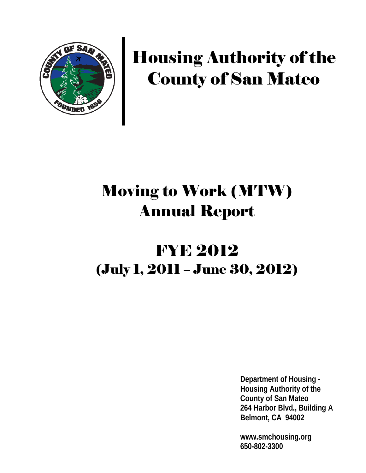

# Housing Authority of the County of San Mateo

# Moving to Work (MTW) Annual Report

# FYE 2012 (July 1, 2011 – June 30, 2012)

**Department of Housing - Housing Authority of the County of San Mateo 264 Harbor Blvd., Building A Belmont, CA 94002**

**www.smchousing.org 650-802-3300**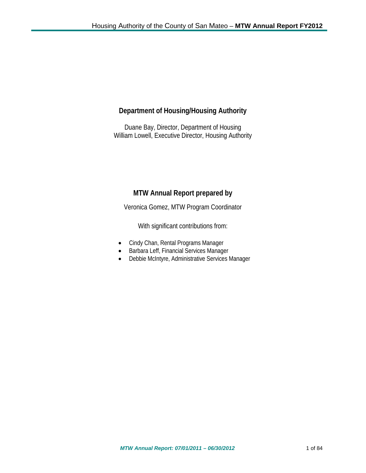# **Department of Housing/Housing Authority**

Duane Bay, Director, Department of Housing William Lowell, Executive Director, Housing Authority

# **MTW Annual Report prepared by**

Veronica Gomez, MTW Program Coordinator

With significant contributions from:

- Cindy Chan, Rental Programs Manager
- Barbara Leff, Financial Services Manager
- Debbie McIntyre, Administrative Services Manager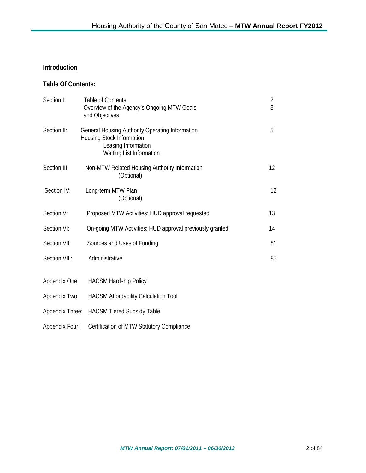## **Introduction**

## **Table Of Contents:**

| Section I:      | <b>Table of Contents</b><br>Overview of the Agency's Ongoing MTW Goals<br>and Objectives                                               | $\overline{2}$<br>3 |
|-----------------|----------------------------------------------------------------------------------------------------------------------------------------|---------------------|
| Section II:     | <b>General Housing Authority Operating Information</b><br>Housing Stock Information<br>Leasing Information<br>Waiting List Information | 5                   |
| Section III:    | Non-MTW Related Housing Authority Information<br>(Optional)                                                                            | 12                  |
| Section IV:     | Long-term MTW Plan<br>(Optional)                                                                                                       | 12                  |
| Section V:      | Proposed MTW Activities: HUD approval requested                                                                                        | 13                  |
| Section VI:     | On-going MTW Activities: HUD approval previously granted                                                                               | 14                  |
| Section VII:    | Sources and Uses of Funding                                                                                                            | 81                  |
| Section VIII:   | Administrative                                                                                                                         | 85                  |
| Appendix One:   | <b>HACSM Hardship Policy</b>                                                                                                           |                     |
| Appendix Two:   | HACSM Affordability Calculation Tool                                                                                                   |                     |
| Appendix Three: | <b>HACSM Tiered Subsidy Table</b>                                                                                                      |                     |
| Appendix Four:  | Certification of MTW Statutory Compliance                                                                                              |                     |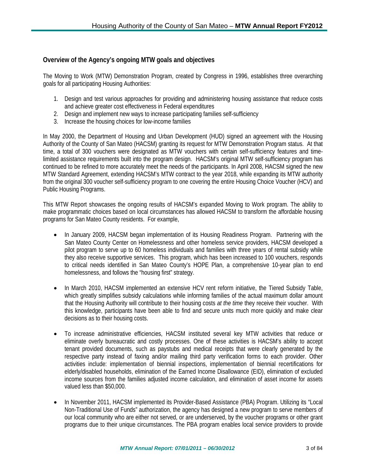## **Overview of the Agency's ongoing MTW goals and objectives**

The Moving to Work (MTW) Demonstration Program, created by Congress in 1996, establishes three overarching goals for all participating Housing Authorities:

- 1. Design and test various approaches for providing and administering housing assistance that reduce costs and achieve greater cost effectiveness in Federal expenditures
- 2. Design and implement new ways to increase participating families self-sufficiency
- 3. Increase the housing choices for low-income families

In May 2000, the Department of Housing and Urban Development (HUD) signed an agreement with the Housing Authority of the County of San Mateo (HACSM) granting its request for MTW Demonstration Program status. At that time, a total of 300 vouchers were designated as MTW vouchers with certain self-sufficiency features and timelimited assistance requirements built into the program design. HACSM's original MTW self-sufficiency program has continued to be refined to more accurately meet the needs of the participants. In April 2008, HACSM signed the new MTW Standard Agreement, extending HACSM's MTW contract to the year 2018, while expanding its MTW authority from the original 300 voucher self-sufficiency program to one covering the entire Housing Choice Voucher (HCV) and Public Housing Programs.

This MTW Report showcases the ongoing results of HACSM's expanded Moving to Work program. The ability to make programmatic choices based on local circumstances has allowed HACSM to transform the affordable housing programs for San Mateo County residents. For example,

- In January 2009, HACSM began implementation of its Housing Readiness Program. Partnering with the San Mateo County Center on Homelessness and other homeless service providers, HACSM developed a pilot program to serve up to 60 homeless individuals and families with three years of rental subsidy while they also receive supportive services. This program, which has been increased to 100 vouchers, responds to critical needs identified in San Mateo County's HOPE Plan, a comprehensive 10-year plan to end homelessness, and follows the "housing first" strategy.
- In March 2010, HACSM implemented an extensive HCV rent reform initiative, the Tiered Subsidy Table, which greatly simplifies subsidy calculations while informing families of the actual maximum dollar amount that the Housing Authority will contribute to their housing costs *at the time* they receive their voucher. With this knowledge, participants have been able to find and secure units much more quickly and make clear decisions as to their housing costs.
- To increase administrative efficiencies, HACSM instituted several key MTW activities that reduce or eliminate overly bureaucratic and costly processes. One of these activities is HACSM's ability to accept tenant provided documents, such as paystubs and medical receipts that were clearly generated by the respective party instead of faxing and/or mailing third party verification forms to each provider. Other activities include: implementation of biennial inspections, implementation of biennial recertifications for elderly/disabled households, elimination of the Earned Income Disallowance (EID), elimination of excluded income sources from the families adjusted income calculation, and elimination of asset income for assets valued less than \$50,000.
- In November 2011, HACSM implemented its Provider-Based Assistance (PBA) Program. Utilizing its "Local Non-Traditional Use of Funds" authorization, the agency has designed a new program to serve members of our local community who are either not served, or are underserved, by the voucher programs or other grant programs due to their unique circumstances. The PBA program enables local service providers to provide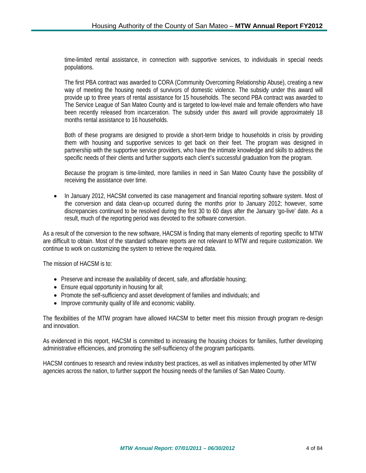time-limited rental assistance, in connection with supportive services, to individuals in special needs populations.

The first PBA contract was awarded to CORA (Community Overcoming Relationship Abuse), creating a new way of meeting the housing needs of survivors of domestic violence. The subsidy under this award will provide up to three years of rental assistance for 15 households. The second PBA contract was awarded to The Service League of San Mateo County and is targeted to low-level male and female offenders who have been recently released from incarceration. The subsidy under this award will provide approximately 18 months rental assistance to 16 households.

Both of these programs are designed to provide a short-term bridge to households in crisis by providing them with housing and supportive services to get back on their feet. The program was designed in partnership with the supportive service providers, who have the intimate knowledge and skills to address the specific needs of their clients and further supports each client's successful graduation from the program.

Because the program is time-limited, more families in need in San Mateo County have the possibility of receiving the assistance over time.

• In January 2012, HACSM converted its case management and financial reporting software system. Most of the conversion and data clean-up occurred during the months prior to January 2012; however, some discrepancies continued to be resolved during the first 30 to 60 days after the January 'go-live' date. As a result, much of the reporting period was devoted to the software conversion.

As a result of the conversion to the new software, HACSM is finding that many elements of reporting specific to MTW are difficult to obtain. Most of the standard software reports are not relevant to MTW and require customization. We continue to work on customizing the system to retrieve the required data.

The mission of HACSM is to:

- Preserve and increase the availability of decent, safe, and affordable housing;
- Ensure equal opportunity in housing for all;
- Promote the self-sufficiency and asset development of families and individuals; and
- Improve community quality of life and economic viability.

The flexibilities of the MTW program have allowed HACSM to better meet this mission through program re-design and innovation.

As evidenced in this report, HACSM is committed to increasing the housing choices for families, further developing administrative efficiencies, and promoting the self-sufficiency of the program participants.

HACSM continues to research and review industry best practices, as well as initiatives implemented by other MTW agencies across the nation, to further support the housing needs of the families of San Mateo County.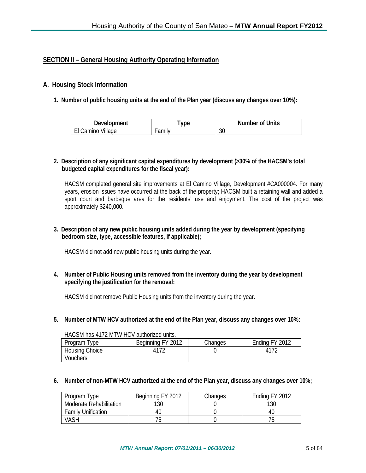## **SECTION II – General Housing Authority Operating Information**

#### **A. Housing Stock Information**

**1. Number of public housing units at the end of the Plan year (discuss any changes over 10%):** 

| <b>Development</b> | vpe   | <b>Number of Units</b> |
|--------------------|-------|------------------------|
| Camino Village     | amily | $\sim$<br>υc           |

#### **2. Description of any significant capital expenditures by development (>30% of the HACSM's total budgeted capital expenditures for the fiscal year):**

HACSM completed general site improvements at El Camino Village, Development #CA000004. For many years, erosion issues have occurred at the back of the property; HACSM built a retaining wall and added a sport court and barbeque area for the residents' use and enjoyment. The cost of the project was approximately \$240,000.

#### **3. Description of any new public housing units added during the year by development (specifying bedroom size, type, accessible features, if applicable);**

HACSM did not add new public housing units during the year.

**4. Number of Public Housing units removed from the inventory during the year by development specifying the justification for the removal:**

HACSM did not remove Public Housing units from the inventory during the year.

**5. Number of MTW HCV authorized at the end of the Plan year, discuss any changes over 10%:**

| Program Type                      | Beginning FY 2012 | Changes | Ending FY 2012 |  |
|-----------------------------------|-------------------|---------|----------------|--|
| <b>Housing Choice</b><br>Vouchers |                   |         |                |  |

#### HACSM has 4172 MTW HCV authorized units.

#### **6. Number of non-MTW HCV authorized at the end of the Plan year, discuss any changes over 10%;**

| Program Type              | Beginning FY 2012 | Changes | Ending FY 2012 |
|---------------------------|-------------------|---------|----------------|
| Moderate Rehabilitation   | 130               |         | 130            |
| <b>Family Unification</b> |                   |         | 4t.            |
| <b>VASH</b>               | J                 |         |                |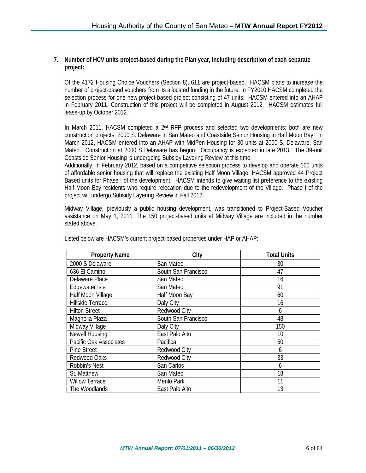#### **7. Number of HCV units project-based during the Plan year, including description of each separate project:**

Of the 4172 Housing Choice Vouchers (Section 8), 611 are project-based. HACSM plans to increase the number of project-based vouchers from its allocated funding in the future. In FY2010 HACSM completed the selection process for one new project-based project consisting of 47 units. HACSM entered into an AHAP in February 2011. Construction of this project will be completed in August 2012. HACSM estimates full lease-up by October 2012.

In March 2011, HACSM completed a 2<sup>nd</sup> RFP process and selected two developments; both are new construction projects, 2000 S. Delaware in San Mateo and Coastside Senior Housing in Half Moon Bay. In March 2012, HACSM entered into an AHAP with MidPen Housing for 30 units at 2000 S. Delaware, San Mateo. Construction at 2000 S Delaware has begun. Occupancy is expected in late 2013. The 39-unit Coastside Senior Housing is undergoing Subsidy Layering Review at this time.

Additionally, in February 2012, based on a competitive selection process to develop and operate 160 units of affordable senior housing that will replace the existing Half Moon Village, HACSM approved 44 Project Based units for Phase I of the development. HACSM intends to give waiting list preference to the existing Half Moon Bay residents who require relocation due to the redevelopment of the Village. Phase I of the project will undergo Subsidy Layering Review in Fall 2012.

Midway Village, previously a public housing development, was transitioned to Project-Based Voucher assistance on May 1, 2011. The 150 project-based units at Midway Village are included in the number stated above.

| <b>Property Name</b>   | City                | <b>Total Units</b> |
|------------------------|---------------------|--------------------|
| 2000 S Delaware        | San Mateo           | 30                 |
| 636 El Camino          | South San Francisco | 47                 |
| Delaware Place         | San Mateo           | 16                 |
| Edgewater Isle         | San Mateo           | 91                 |
| Half Moon Village      | Half Moon Bay       | 60                 |
| Hillside Terrace       | Daly City           | 16                 |
| <b>Hilton Street</b>   | Redwood City        | 6                  |
| Magnolia Plaza         | South San Francisco | 48                 |
| Midway Village         | Daly City           | 150                |
| <b>Newell Housing</b>  | East Palo Alto      | 10                 |
| Pacific Oak Associates | Pacifica            | 50                 |
| <b>Pine Street</b>     | Redwood City        | 6                  |
| Redwood Oaks           | Redwood City        | 33                 |
| Robbin's Nest          | San Carlos          | 6                  |
| St. Matthew            | San Mateo           | 18                 |
| <b>Willow Terrace</b>  | Menlo Park          | 11                 |
| The Woodlands          | East Palo Alto      | 13                 |

Listed below are HACSM's current project-based properties under HAP or AHAP: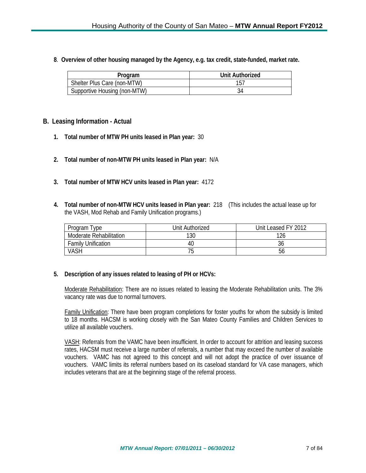**8**. **Overview of other housing managed by the Agency, e.g. tax credit, state-funded, market rate.**

| Program                      | Unit Authorized |
|------------------------------|-----------------|
| Shelter Plus Care (non-MTW)  |                 |
| Supportive Housing (non-MTW) |                 |

#### **B. Leasing Information - Actual**

- **1. Total number of MTW PH units leased in Plan year:** 30
- **2. Total number of non-MTW PH units leased in Plan year:** N/A
- **3. Total number of MTW HCV units leased in Plan year:** 4172
- **4. Total number of non-MTW HCV units leased in Plan year:** 218 (This includes the actual lease up for the VASH, Mod Rehab and Family Unification programs.)

| Program Type                   | Unit Authorized | Unit Leased FY 2012 |
|--------------------------------|-----------------|---------------------|
| <b>Moderate Rehabilitation</b> | 130             | 126                 |
| <b>Family Unification</b>      | 4U              | 36                  |
| VASH                           | 'ე              | Ⴢჿ                  |

#### **5. Description of any issues related to leasing of PH or HCVs:**

Moderate Rehabilitation: There are no issues related to leasing the Moderate Rehabilitation units. The 3% vacancy rate was due to normal turnovers.

Family Unification: There have been program completions for foster youths for whom the subsidy is limited to 18 months. HACSM is working closely with the San Mateo County Families and Children Services to utilize all available vouchers.

VASH: Referrals from the VAMC have been insufficient. In order to account for attrition and leasing success rates, HACSM must receive a large number of referrals, a number that may exceed the number of available vouchers. VAMC has not agreed to this concept and will not adopt the practice of over issuance of vouchers. VAMC limits its referral numbers based on its caseload standard for VA case managers, which includes veterans that are at the beginning stage of the referral process.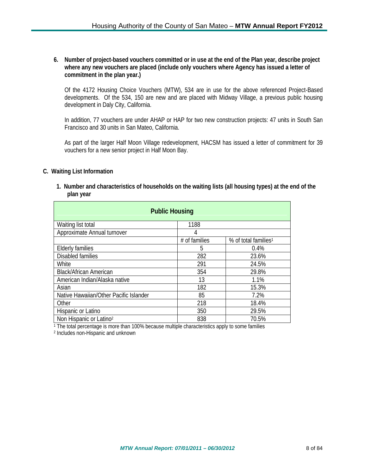**6. Number of project-based vouchers committed or in use at the end of the Plan year, describe project where any new vouchers are placed (include only vouchers where Agency has issued a letter of commitment in the plan year.)**

Of the 4172 Housing Choice Vouchers (MTW), 534 are in use for the above referenced Project-Based developments. Of the 534, 150 are new and are placed with Midway Village, a previous public housing development in Daly City, California.

In addition, 77 vouchers are under AHAP or HAP for two new construction projects: 47 units in South San Francisco and 30 units in San Mateo, California.

As part of the larger Half Moon Village redevelopment, HACSM has issued a letter of commitment for 39 vouchers for a new senior project in Half Moon Bay.

#### **C. Waiting List Information**

**1. Number and characteristics of households on the waiting lists (all housing types) at the end of the plan year**

| <b>Public Housing</b>                  |               |                                  |  |  |
|----------------------------------------|---------------|----------------------------------|--|--|
| Waiting list total                     | 1188          |                                  |  |  |
| Approximate Annual turnover            | 4             |                                  |  |  |
|                                        | # of families | % of total families <sup>1</sup> |  |  |
| <b>Elderly families</b>                | 5             | 0.4%                             |  |  |
| Disabled families                      | 282           | 23.6%                            |  |  |
| White                                  | 291           | 24.5%                            |  |  |
| <b>Black/African American</b>          | 354           | 29.8%                            |  |  |
| American Indian/Alaska native          | 13            | 1.1%                             |  |  |
| Asian                                  | 182           | 15.3%                            |  |  |
| Native Hawaiian/Other Pacific Islander | 85            | 7.2%                             |  |  |
| Other                                  | 218           | 18.4%                            |  |  |
| Hispanic or Latino                     | 350           | 29.5%                            |  |  |
| Non Hispanic or Latino <sup>2</sup>    | 838           | 70.5%                            |  |  |

 $1$  The total percentage is more than 100% because multiple characteristics apply to some families

<sup>2</sup> Includes non-Hispanic and unknown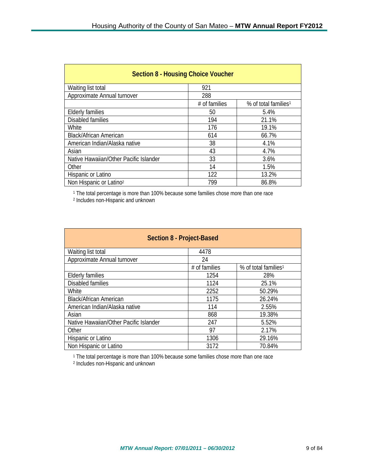| <b>Section 8 - Housing Choice Voucher</b> |               |                                  |  |
|-------------------------------------------|---------------|----------------------------------|--|
| Waiting list total                        | 921           |                                  |  |
| Approximate Annual turnover               | 288           |                                  |  |
|                                           | # of families | % of total families <sup>1</sup> |  |
| <b>Elderly families</b>                   | 50            | 5.4%                             |  |
| Disabled families                         | 194           | 21.1%                            |  |
| White                                     | 176           | 19.1%                            |  |
| <b>Black/African American</b>             | 614           | 66.7%                            |  |
| American Indian/Alaska native             | 38            | 4.1%                             |  |
| Asian                                     | 43            | 4.7%                             |  |
| Native Hawaiian/Other Pacific Islander    | 33            | 3.6%                             |  |
| Other                                     | 14            | 1.5%                             |  |
| Hispanic or Latino                        | 122           | 13.2%                            |  |
| Non Hispanic or Latino <sup>2</sup>       | 799           | 86.8%                            |  |

<sup>1</sup> The total percentage is more than 100% because some families chose more than one race

<sup>2</sup> Includes non-Hispanic and unknown

| Section 8 - Project-Based              |               |                                  |  |  |
|----------------------------------------|---------------|----------------------------------|--|--|
| Waiting list total                     | 4478          |                                  |  |  |
| Approximate Annual turnover            | 24            |                                  |  |  |
|                                        | # of families | % of total families <sup>1</sup> |  |  |
| <b>Elderly families</b>                | 1254          | 28%                              |  |  |
| Disabled families                      | 1124          | 25.1%                            |  |  |
| White                                  | 2252          | 50.29%                           |  |  |
| <b>Black/African American</b>          | 1175          | 26.24%                           |  |  |
| American Indian/Alaska native          | 114           | 2.55%                            |  |  |
| Asian                                  | 868           | 19.38%                           |  |  |
| Native Hawaiian/Other Pacific Islander | 247           | 5.52%                            |  |  |
| Other                                  | 97            | 2.17%                            |  |  |
| Hispanic or Latino                     | 1306          | 29.16%                           |  |  |
| Non Hispanic or Latino                 | 3172          | 70.84%                           |  |  |

<sup>1</sup> The total percentage is more than 100% because some families chose more than one race

<sup>2</sup> Includes non-Hispanic and unknown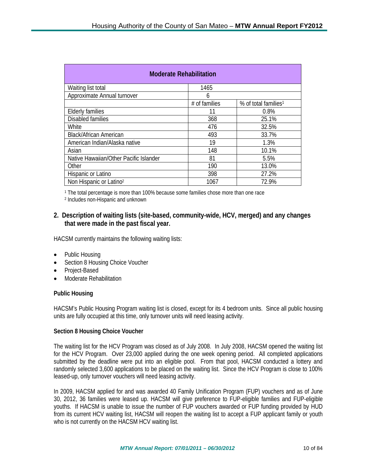| <b>Moderate Rehabilitation</b>         |               |                                  |  |  |
|----------------------------------------|---------------|----------------------------------|--|--|
| Waiting list total                     | 1465          |                                  |  |  |
| Approximate Annual turnover            | 6             |                                  |  |  |
|                                        | # of families | % of total families <sup>1</sup> |  |  |
| <b>Elderly families</b>                | 11            | 0.8%                             |  |  |
| Disabled families                      | 368           | 25.1%                            |  |  |
| White                                  | 476           | 32.5%                            |  |  |
| <b>Black/African American</b>          | 493           | 33.7%                            |  |  |
| American Indian/Alaska native          | 19            | 1.3%                             |  |  |
| Asian                                  | 148           | 10.1%                            |  |  |
| Native Hawaiian/Other Pacific Islander | 81            | 5.5%                             |  |  |
| Other                                  | 190           | 13.0%                            |  |  |
| Hispanic or Latino                     | 398           | 27.2%                            |  |  |
| Non Hispanic or Latino <sup>2</sup>    | 1067          | 72.9%                            |  |  |

<sup>1</sup> The total percentage is more than 100% because some families chose more than one race

<sup>2</sup> Includes non-Hispanic and unknown

### **2. Description of waiting lists (site-based, community-wide, HCV, merged) and any changes that were made in the past fiscal year.**

HACSM currently maintains the following waiting lists:

- Public Housing
- Section 8 Housing Choice Voucher
- Project-Based
- Moderate Rehabilitation

#### **Public Housing**

HACSM's Public Housing Program waiting list is closed, except for its 4 bedroom units. Since all public housing units are fully occupied at this time, only turnover units will need leasing activity.

#### **Section 8 Housing Choice Voucher**

The waiting list for the HCV Program was closed as of July 2008. In July 2008, HACSM opened the waiting list for the HCV Program. Over 23,000 applied during the one week opening period. All completed applications submitted by the deadline were put into an eligible pool. From that pool, HACSM conducted a lottery and randomly selected 3,600 applications to be placed on the waiting list. Since the HCV Program is close to 100% leased-up, only turnover vouchers will need leasing activity.

In 2009, HACSM applied for and was awarded 40 Family Unification Program (FUP) vouchers and as of June 30, 2012, 36 families were leased up. HACSM will give preference to FUP-eligible families and FUP-eligible youths. If HACSM is unable to issue the number of FUP vouchers awarded or FUP funding provided by HUD from its current HCV waiting list, HACSM will reopen the waiting list to accept a FUP applicant family or youth who is not currently on the HACSM HCV waiting list.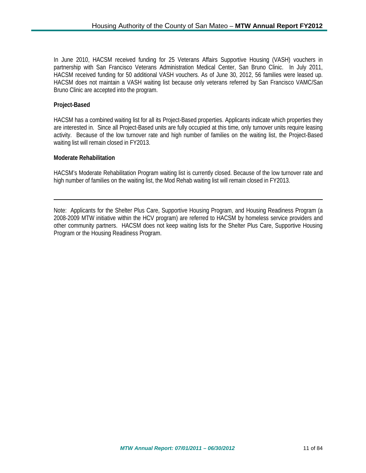In June 2010, HACSM received funding for 25 Veterans Affairs Supportive Housing (VASH) vouchers in partnership with San Francisco Veterans Administration Medical Center, San Bruno Clinic. In July 2011, HACSM received funding for 50 additional VASH vouchers. As of June 30, 2012, 56 families were leased up. HACSM does not maintain a VASH waiting list because only veterans referred by San Francisco VAMC/San Bruno Clinic are accepted into the program.

#### **Project-Based**

HACSM has a combined waiting list for all its Project-Based properties. Applicants indicate which properties they are interested in. Since all Project-Based units are fully occupied at this time, only turnover units require leasing activity. Because of the low turnover rate and high number of families on the waiting list, the Project-Based waiting list will remain closed in FY2013.

#### **Moderate Rehabilitation**

HACSM's Moderate Rehabilitation Program waiting list is currently closed. Because of the low turnover rate and high number of families on the waiting list, the Mod Rehab waiting list will remain closed in FY2013.

Note: Applicants for the Shelter Plus Care, Supportive Housing Program, and Housing Readiness Program (a 2008-2009 MTW initiative within the HCV program) are referred to HACSM by homeless service providers and other community partners. HACSM does not keep waiting lists for the Shelter Plus Care, Supportive Housing Program or the Housing Readiness Program.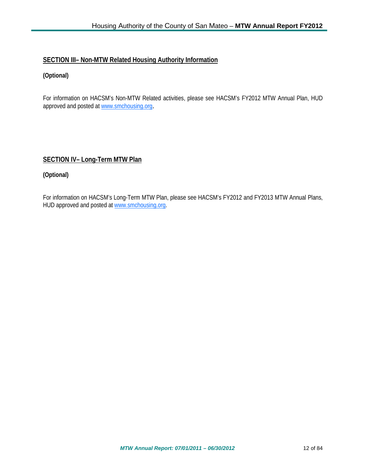## **SECTION III– Non-MTW Related Housing Authority Information**

## **(Optional)**

For information on HACSM's Non-MTW Related activities, please see HACSM's FY2012 MTW Annual Plan, HUD approved and posted at [www.smchousing.org](http://www.smchousing.org/).

## **SECTION IV– Long-Term MTW Plan**

## **(Optional)**

For information on HACSM's Long-Term MTW Plan, please see HACSM's FY2012 and FY2013 MTW Annual Plans, HUD approved and posted at [www.smchousing.org.](http://www.smchousing.org/)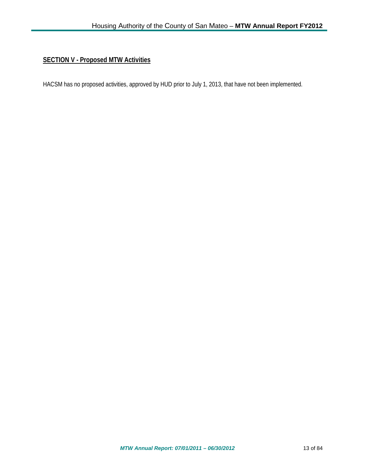## **SECTION V - Proposed MTW Activities**

HACSM has no proposed activities, approved by HUD prior to July 1, 2013, that have not been implemented.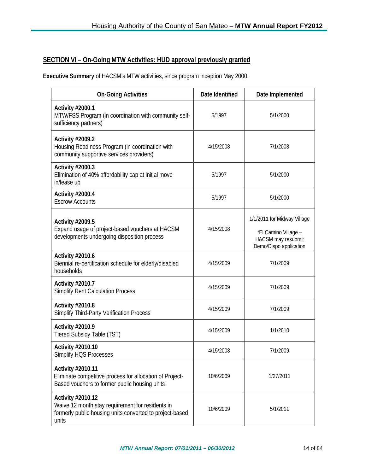## **SECTION VI – On-Going MTW Activities: HUD approval previously granted**

**Executive Summary** of HACSM's MTW activities, since program inception May 2000.

| <b>On-Going Activities</b>                                                                                                                 | Date Identified | Date Implemented                                                                                    |
|--------------------------------------------------------------------------------------------------------------------------------------------|-----------------|-----------------------------------------------------------------------------------------------------|
| Activity #2000.1<br>MTW/FSS Program (in coordination with community self-<br>sufficiency partners)                                         | 5/1997          | 5/1/2000                                                                                            |
| <b>Activity #2009.2</b><br>Housing Readiness Program (in coordination with<br>community supportive services providers)                     | 4/15/2008       | 7/1/2008                                                                                            |
| Activity #2000.3<br>Elimination of 40% affordability cap at initial move<br>in/lease up                                                    | 5/1997          | 5/1/2000                                                                                            |
| <b>Activity #2000.4</b><br><b>Escrow Accounts</b>                                                                                          | 5/1997          | 5/1/2000                                                                                            |
| <b>Activity #2009.5</b><br>Expand usage of project-based vouchers at HACSM<br>developments undergoing disposition process                  | 4/15/2008       | 1/1/2011 for Midway Village<br>*El Camino Village -<br>HACSM may resubmit<br>Demo/Dispo application |
| <b>Activity #2010.6</b><br>Biennial re-certification schedule for elderly/disabled<br>households                                           | 4/15/2009       | 7/1/2009                                                                                            |
| Activity #2010.7<br><b>Simplify Rent Calculation Process</b>                                                                               | 4/15/2009       | 7/1/2009                                                                                            |
| <b>Activity #2010.8</b><br>Simplify Third-Party Verification Process                                                                       | 4/15/2009       | 7/1/2009                                                                                            |
| Activity #2010.9<br>Tiered Subsidy Table (TST)                                                                                             | 4/15/2009       | 1/1/2010                                                                                            |
| Activity #2010.10<br>Simplify HQS Processes                                                                                                | 4/15/2008       | 7/1/2009                                                                                            |
| Activity #2010.11<br>Eliminate competitive process for allocation of Project-<br>Based vouchers to former public housing units             | 10/6/2009       | 1/27/2011                                                                                           |
| Activity #2010.12<br>Waive 12 month stay requirement for residents in<br>formerly public housing units converted to project-based<br>units | 10/6/2009       | 5/1/2011                                                                                            |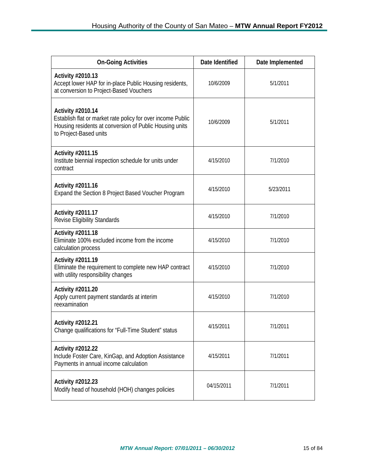| <b>On-Going Activities</b>                                                                                                                                            | Date Identified | Date Implemented |
|-----------------------------------------------------------------------------------------------------------------------------------------------------------------------|-----------------|------------------|
| Activity #2010.13<br>Accept lower HAP for in-place Public Housing residents,<br>at conversion to Project-Based Vouchers                                               | 10/6/2009       | 5/1/2011         |
| Activity #2010.14<br>Establish flat or market rate policy for over income Public<br>Housing residents at conversion of Public Housing units<br>to Project-Based units | 10/6/2009       | 5/1/2011         |
| Activity #2011.15<br>Institute biennial inspection schedule for units under<br>contract                                                                               | 4/15/2010       | 7/1/2010         |
| Activity #2011.16<br>Expand the Section 8 Project Based Voucher Program                                                                                               | 4/15/2010       | 5/23/2011        |
| Activity #2011.17<br><b>Revise Eligibility Standards</b>                                                                                                              | 4/15/2010       | 7/1/2010         |
| Activity #2011.18<br>Eliminate 100% excluded income from the income<br>calculation process                                                                            | 4/15/2010       | 7/1/2010         |
| <b>Activity #2011.19</b><br>Eliminate the requirement to complete new HAP contract<br>with utility responsibility changes                                             | 4/15/2010       | 7/1/2010         |
| Activity #2011.20<br>Apply current payment standards at interim<br>reexamination                                                                                      | 4/15/2010       | 7/1/2010         |
| Activity #2012.21<br>Change qualifications for "Full-Time Student" status                                                                                             | 4/15/2011       | 7/1/2011         |
| Activity #2012.22<br>Include Foster Care, KinGap, and Adoption Assistance<br>Payments in annual income calculation                                                    | 4/15/2011       | 7/1/2011         |
| Activity #2012.23<br>Modify head of household (HOH) changes policies                                                                                                  | 04/15/2011      | 7/1/2011         |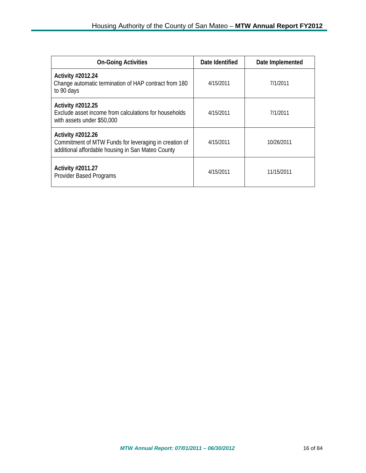| <b>On-Going Activities</b>                                                                                                      | Date Identified | Date Implemented |
|---------------------------------------------------------------------------------------------------------------------------------|-----------------|------------------|
| Activity #2012.24<br>Change automatic termination of HAP contract from 180<br>to 90 days                                        | 4/15/2011       | 7/1/2011         |
| Activity #2012.25<br>Exclude asset income from calculations for households<br>with assets under \$50,000                        | 4/15/2011       | 7/1/2011         |
| Activity #2012.26<br>Commitment of MTW Funds for leveraging in creation of<br>additional affordable housing in San Mateo County | 4/15/2011       | 10/26/2011       |
| Activity #2011.27<br>Provider Based Programs                                                                                    | 4/15/2011       | 11/15/2011       |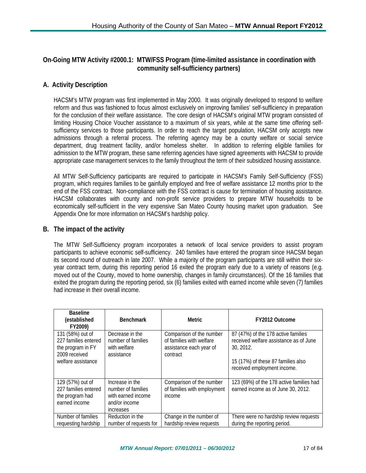## **On-Going MTW Activity #2000.1: MTW/FSS Program (time-limited assistance in coordination with community self-sufficiency partners)**

## **A. Activity Description**

HACSM's MTW program was first implemented in May 2000. It was originally developed to respond to welfare reform and thus was fashioned to focus almost exclusively on improving families' self-sufficiency in preparation for the conclusion of their welfare assistance. The core design of HACSM's original MTW program consisted of limiting Housing Choice Voucher assistance to a maximum of six years, while at the same time offering selfsufficiency services to those participants. In order to reach the target population, HACSM only accepts new admissions through a referral process. The referring agency may be a county welfare or social service department, drug treatment facility, and/or homeless shelter. In addition to referring eligible families for admission to the MTW program, these same referring agencies have signed agreements with HACSM to provide appropriate case management services to the family throughout the term of their subsidized housing assistance.

All MTW Self-Sufficiency participants are required to participate in HACSM's Family Self-Sufficiency (FSS) program, which requires families to be gainfully employed and free of welfare assistance 12 months prior to the end of the FSS contract. Non-compliance with the FSS contract is cause for termination of housing assistance. HACSM collaborates with county and non-profit service providers to prepare MTW households to be economically self-sufficient in the very expensive San Mateo County housing market upon graduation. See Appendix One for more information on HACSM's hardship policy.

## **B. The impact of the activity**

The MTW Self-Sufficiency program incorporates a network of local service providers to assist program participants to achieve economic self-sufficiency. 240 families have entered the program since HACSM began its second round of outreach in late 2007. While a majority of the program participants are still within their sixyear contract term, during this reporting period 16 exited the program early due to a variety of reasons (e.g. moved out of the County, moved to home ownership, changes in family circumstances). Of the 16 families that exited the program during the reporting period, six (6) families exited with earned income while seven (7) families had increase in their overall income.

| <b>Baseline</b><br>(established<br>FY2009)                                     | <b>Benchmark</b>                                                                          | Metric                                                                                      | FY2012 Outcome                                                                             |
|--------------------------------------------------------------------------------|-------------------------------------------------------------------------------------------|---------------------------------------------------------------------------------------------|--------------------------------------------------------------------------------------------|
| 131 (58%) out of<br>227 families entered<br>the program in FY<br>2009 received | Decrease in the<br>number of families<br>with welfare<br>assistance                       | Comparison of the number<br>of families with welfare<br>assistance each year of<br>contract | 87 (47%) of the 178 active families<br>received welfare assistance as of June<br>30, 2012. |
| welfare assistance                                                             |                                                                                           |                                                                                             | 15 (17%) of these 87 families also<br>received employment income.                          |
| 129 (57%) out of<br>227 families entered<br>the program had<br>earned income   | Increase in the<br>number of families<br>with earned income<br>and/or income<br>increases | Comparison of the number<br>of families with employment<br>income                           | 123 (69%) of the 178 active families had<br>earned income as of June 30, 2012.             |
| Number of families<br>requesting hardship                                      | Reduction in the<br>number of requests for                                                | Change in the number of<br>hardship review requests                                         | There were no hardship review requests<br>during the reporting period.                     |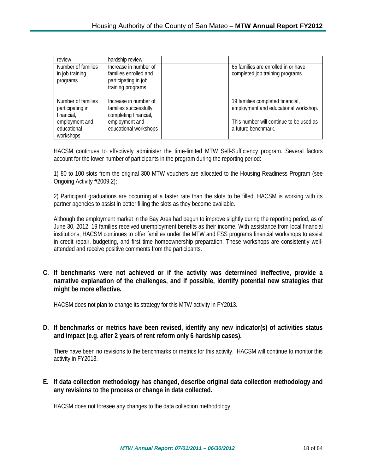| review                                                   | hardship review                                                                             |                                                                          |
|----------------------------------------------------------|---------------------------------------------------------------------------------------------|--------------------------------------------------------------------------|
| Number of families<br>in job training<br>programs        | Increase in number of<br>families enrolled and<br>participating in job<br>training programs | 65 families are enrolled in or have<br>completed job training programs.  |
| Number of families<br>participating in                   | Increase in number of<br>families successfully                                              | 19 families completed financial,<br>employment and educational workshop. |
| financial,<br>employment and<br>educational<br>workshops | completing financial,<br>employment and<br>educational workshops                            | This number will continue to be used as<br>a future benchmark.           |

HACSM continues to effectively administer the time-limited MTW Self-Sufficiency program. Several factors account for the lower number of participants in the program during the reporting period:

1) 80 to 100 slots from the original 300 MTW vouchers are allocated to the Housing Readiness Program (see Ongoing Activity #2009.2);

2) Participant graduations are occurring at a faster rate than the slots to be filled. HACSM is working with its partner agencies to assist in better filling the slots as they become available.

Although the employment market in the Bay Area had begun to improve slightly during the reporting period, as of June 30, 2012, 19 families received unemployment benefits as their income. With assistance from local financial institutions, HACSM continues to offer families under the MTW and FSS programs financial workshops to assist in credit repair, budgeting, and first time homeownership preparation. These workshops are consistently wellattended and receive positive comments from the participants.

**C. If benchmarks were not achieved or if the activity was determined ineffective, provide a narrative explanation of the challenges, and if possible, identify potential new strategies that might be more effective.**

HACSM does not plan to change its strategy for this MTW activity in FY2013.

**D. If benchmarks or metrics have been revised, identify any new indicator(s) of activities status and impact (e.g. after 2 years of rent reform only 6 hardship cases).**

There have been no revisions to the benchmarks or metrics for this activity. HACSM will continue to monitor this activity in FY2013.

**E. If data collection methodology has changed, describe original data collection methodology and any revisions to the process or change in data collected.**

HACSM does not foresee any changes to the data collection methodology.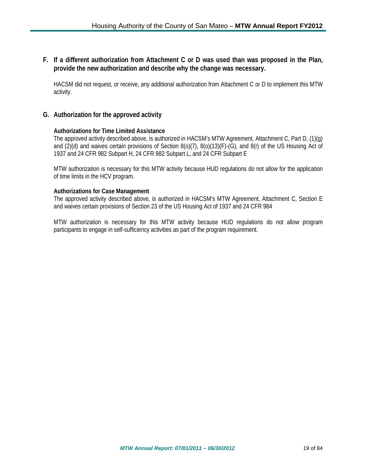## **F. If a different authorization from Attachment C or D was used than was proposed in the Plan, provide the new authorization and describe why the change was necessary.**

HACSM did not request, or receive, any additional authorization from Attachment C or D to implement this MTW activity.

## **G. Authorization for the approved activity**

#### **Authorizations for Time Limited Assistance**

The approved activity described above, is authorized in HACSM's MTW Agreement, Attachment C, Part D, (1)(g) and (2)(d) and waives certain provisions of Section 8(o)(7), 8(o)(13)(F)-(G), and 8(r) of the US Housing Act of 1937 and 24 CFR 982 Subpart H, 24 CFR 982 Subpart L, and 24 CFR Subpart E

MTW authorization is necessary for this MTW activity because HUD regulations do not allow for the application of time limits in the HCV program.

#### **Authorizations for Case Management**

The approved activity described above, is authorized in HACSM's MTW Agreement, Attachment C, Section E and waives certain provisions of Section 23 of the US Housing Act of 1937 and 24 CFR 984

MTW authorization is necessary for this MTW activity because HUD regulations do not allow program participants to engage in self-sufficiency activities as part of the program requirement.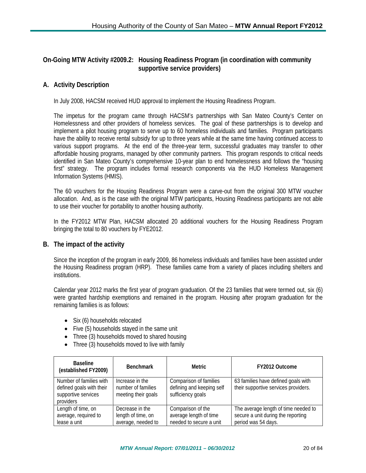## **On-Going MTW Activity #2009.2: Housing Readiness Program (in coordination with community supportive service providers)**

## **A. Activity Description**

In July 2008, HACSM received HUD approval to implement the Housing Readiness Program.

The impetus for the program came through HACSM's partnerships with San Mateo County's Center on Homelessness and other providers of homeless services. The goal of these partnerships is to develop and implement a pilot housing program to serve up to 60 homeless individuals and families. Program participants have the ability to receive rental subsidy for up to three years while at the same time having continued access to various support programs. At the end of the three-year term, successful graduates may transfer to other affordable housing programs, managed by other community partners. This program responds to critical needs identified in San Mateo County's comprehensive 10-year plan to end homelessness and follows the "housing first" strategy. The program includes formal research components via the HUD Homeless Management Information Systems (HMIS).

The 60 vouchers for the Housing Readiness Program were a carve-out from the original 300 MTW voucher allocation. And, as is the case with the original MTW participants, Housing Readiness participants are not able to use their voucher for portability to another housing authority.

In the FY2012 MTW Plan, HACSM allocated 20 additional vouchers for the Housing Readiness Program bringing the total to 80 vouchers by FYE2012.

#### **B. The impact of the activity**

Since the inception of the program in early 2009, 86 homeless individuals and families have been assisted under the Housing Readiness program (HRP). These families came from a variety of places including shelters and institutions.

Calendar year 2012 marks the first year of program graduation. Of the 23 families that were termed out, six (6) were granted hardship exemptions and remained in the program. Housing after program graduation for the remaining families is as follows:

- Six (6) households relocated
- Five (5) households stayed in the same unit
- Three (3) households moved to shared housing
- Three (3) households moved to live with family

| <b>Baseline</b><br>(established FY2009)                                                 | <b>Benchmark</b>                                             | Metric                                                                   | FY2012 Outcome                                                                                    |
|-----------------------------------------------------------------------------------------|--------------------------------------------------------------|--------------------------------------------------------------------------|---------------------------------------------------------------------------------------------------|
| Number of families with<br>defined goals with their<br>supportive services<br>providers | Increase in the<br>number of families<br>meeting their goals | Comparison of families<br>defining and keeping self<br>sufficiency goals | 63 families have defined goals with<br>their supportive services providers.                       |
| Length of time, on<br>average, required to<br>lease a unit                              | Decrease in the<br>length of time, on<br>average, needed to  | Comparison of the<br>average length of time<br>needed to secure a unit   | The average length of time needed to<br>secure a unit during the reporting<br>period was 54 days. |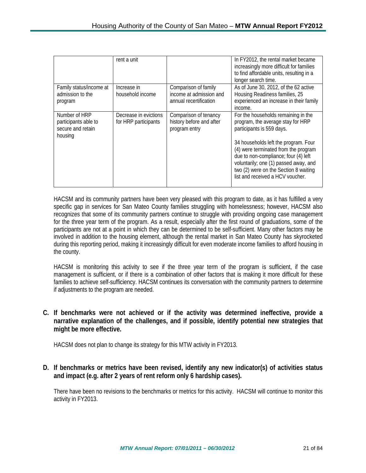|                                                                       | rent a unit                                   |                                                                           | In FY2012, the rental market became<br>increasingly more difficult for families<br>to find affordable units, resulting in a<br>longer search time.                                                                                                                                                                                                  |
|-----------------------------------------------------------------------|-----------------------------------------------|---------------------------------------------------------------------------|-----------------------------------------------------------------------------------------------------------------------------------------------------------------------------------------------------------------------------------------------------------------------------------------------------------------------------------------------------|
| Family status/income at<br>admission to the<br>program                | Increase in<br>household income               | Comparison of family<br>income at admission and<br>annual recertification | As of June 30, 2012, of the 62 active<br>Housing Readiness families, 25<br>experienced an increase in their family<br>income.                                                                                                                                                                                                                       |
| Number of HRP<br>participants able to<br>secure and retain<br>housing | Decrease in evictions<br>for HRP participants | Comparison of tenancy<br>history before and after<br>program entry        | For the households remaining in the<br>program, the average stay for HRP<br>participants is 559 days.<br>34 households left the program. Four<br>(4) were terminated from the program<br>due to non-compliance; four (4) left<br>voluntarily; one (1) passed away, and<br>two (2) were on the Section 8 waiting<br>list and received a HCV voucher. |

HACSM and its community partners have been very pleased with this program to date, as it has fulfilled a very specific gap in services for San Mateo County families struggling with homelessness; however, HACSM also recognizes that some of its community partners continue to struggle with providing ongoing case management for the three year term of the program. As a result, especially after the first round of graduations, some of the participants are not at a point in which they can be determined to be self-sufficient. Many other factors may be involved in addition to the housing element, although the rental market in San Mateo County has skyrocketed during this reporting period, making it increasingly difficult for even moderate income families to afford housing in the county.

HACSM is monitoring this activity to see if the three year term of the program is sufficient, if the case management is sufficient, or if there is a combination of other factors that is making it more difficult for these families to achieve self-sufficiency. HACSM continues its conversation with the community partners to determine if adjustments to the program are needed.

## **C. If benchmarks were not achieved or if the activity was determined ineffective, provide a narrative explanation of the challenges, and if possible, identify potential new strategies that might be more effective.**

HACSM does not plan to change its strategy for this MTW activity in FY2013.

## **D. If benchmarks or metrics have been revised, identify any new indicator(s) of activities status and impact (e.g. after 2 years of rent reform only 6 hardship cases).**

There have been no revisions to the benchmarks or metrics for this activity. HACSM will continue to monitor this activity in FY2013.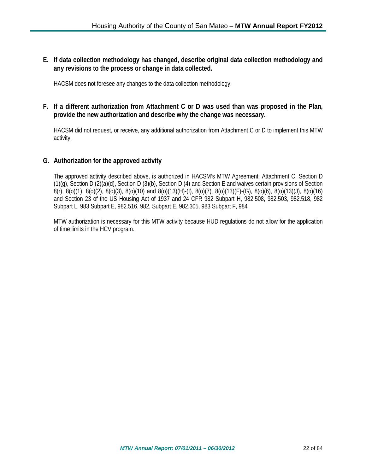**E. If data collection methodology has changed, describe original data collection methodology and any revisions to the process or change in data collected.**

HACSM does not foresee any changes to the data collection methodology.

### **F. If a different authorization from Attachment C or D was used than was proposed in the Plan, provide the new authorization and describe why the change was necessary.**

HACSM did not request, or receive, any additional authorization from Attachment C or D to implement this MTW activity.

#### **G. Authorization for the approved activity**

The approved activity described above, is authorized in HACSM's MTW Agreement, Attachment C, Section D (1)(g), Section D (2)(a)(d), Section D (3)(b), Section D (4) and Section E and waives certain provisions of Section 8(r), 8(o)(1), 8(o)(2), 8(o)(3), 8(o)(10) and 8(o)(13)(H)-(I), 8(o)(7), 8(o)(13)(F)-(G), 8(o)(6), 8(o)(13)(J), 8(o)(16) and Section 23 of the US Housing Act of 1937 and 24 CFR 982 Subpart H, 982.508, 982.503, 982.518, 982 Subpart L, 983 Subpart E, 982.516, 982, Subpart E, 982.305, 983 Subpart F, 984

MTW authorization is necessary for this MTW activity because HUD regulations do not allow for the application of time limits in the HCV program.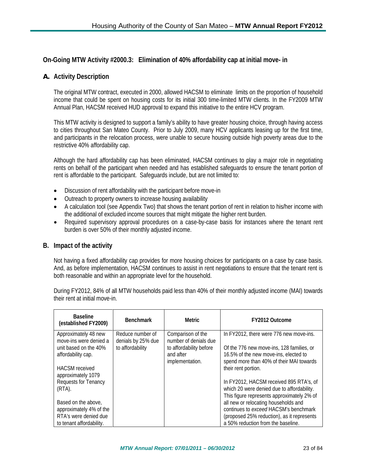## **On-Going MTW Activity #2000.3: Elimination of 40% affordability cap at initial move- in**

## **A. Activity Description**

The original MTW contract, executed in 2000, allowed HACSM to eliminate limits on the proportion of household income that could be spent on housing costs for its initial 300 time-limited MTW clients. In the FY2009 MTW Annual Plan, HACSM received HUD approval to expand this initiative to the entire HCV program.

This MTW activity is designed to support a family's ability to have greater housing choice, through having access to cities throughout San Mateo County. Prior to July 2009, many HCV applicants leasing up for the first time, and participants in the relocation process, were unable to secure housing outside high poverty areas due to the restrictive 40% affordability cap.

Although the hard affordability cap has been eliminated, HACSM continues to play a major role in negotiating rents on behalf of the participant when needed and has established safeguards to ensure the tenant portion of rent is affordable to the participant. Safeguards include, but are not limited to:

- Discussion of rent affordability with the participant before move-in
- Outreach to property owners to increase housing availability
- A calculation tool (see Appendix Two) that shows the tenant portion of rent in relation to his/her income with the additional of excluded income sources that might mitigate the higher rent burden.
- Required supervisory approval procedures on a case-by-case basis for instances where the tenant rent burden is over 50% of their monthly adjusted income.

#### **B. Impact of the activity**

Not having a fixed affordability cap provides for more housing choices for participants on a case by case basis. And, as before implementation, HACSM continues to assist in rent negotiations to ensure that the tenant rent is both reasonable and within an appropriate level for the household.

During FY2012, 84% of all MTW households paid less than 40% of their monthly adjusted income (MAI) towards their rent at initial move-in.

| <b>Baseline</b><br>(established FY2009) | <b>Benchmark</b>   | <b>Metric</b>           | FY2012 Outcome                             |
|-----------------------------------------|--------------------|-------------------------|--------------------------------------------|
| Approximately 48 new                    | Reduce number of   | Comparison of the       | In FY2012, there were 776 new move-ins.    |
| move-ins were denied a                  | denials by 25% due | number of denials due   |                                            |
| unit based on the 40%                   | to affordability   | to affordability before | Of the 776 new move-ins, 128 families, or  |
| affordability cap.                      |                    | and after               | 16.5% of the new move-ins, elected to      |
|                                         |                    | implementation.         | spend more than 40% of their MAI towards   |
| <b>HACSM</b> received                   |                    |                         | their rent portion.                        |
| approximately 1079                      |                    |                         |                                            |
| Requests for Tenancy                    |                    |                         | In FY2012, HACSM received 895 RTA's, of    |
| (RTA).                                  |                    |                         | which 20 were denied due to affordability. |
|                                         |                    |                         | This figure represents approximately 2% of |
| Based on the above,                     |                    |                         | all new or relocating households and       |
| approximately 4% of the                 |                    |                         | continues to exceed HACSM's benchmark      |
| RTA's were denied due                   |                    |                         | (proposed 25% reduction), as it represents |
| to tenant affordability.                |                    |                         | a 50% reduction from the baseline.         |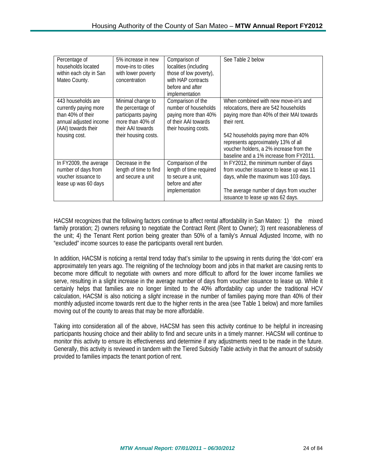| Percentage of<br>households located<br>within each city in San<br>Mateo County.                                                    | 5% increase in new<br>move-ins to cities<br>with lower poverty<br>concentration                                                | Comparison of<br>localities (including<br>those of low poverty),<br>with HAP contracts<br>before and after<br>implementation | See Table 2 below                                                                                                                                                                                                                                                                                             |
|------------------------------------------------------------------------------------------------------------------------------------|--------------------------------------------------------------------------------------------------------------------------------|------------------------------------------------------------------------------------------------------------------------------|---------------------------------------------------------------------------------------------------------------------------------------------------------------------------------------------------------------------------------------------------------------------------------------------------------------|
| 443 households are<br>currently paying more<br>than 40% of their<br>annual adjusted income<br>(AAI) towards their<br>housing cost. | Minimal change to<br>the percentage of<br>participants paying<br>more than 40% of<br>their AAI towards<br>their housing costs. | Comparison of the<br>number of households<br>paying more than 40%<br>of their AAI towards<br>their housing costs.            | When combined with new move-in's and<br>relocations, there are 542 households<br>paying more than 40% of their MAI towards<br>their rent.<br>542 households paying more than 40%<br>represents approximately 13% of all<br>voucher holders, a 2% increase from the<br>baseline and a 1% increase from FY2011. |
| In FY2009, the average<br>number of days from<br>voucher issuance to<br>lease up was 60 days                                       | Decrease in the<br>length of time to find<br>and secure a unit                                                                 | Comparison of the<br>length of time required<br>to secure a unit,<br>before and after<br>implementation                      | In FY2012, the minimum number of days<br>from voucher issuance to lease up was 11<br>days, while the maximum was 103 days.<br>The average number of days from voucher<br>issuance to lease up was 62 days.                                                                                                    |

HACSM recognizes that the following factors continue to affect rental affordability in San Mateo: 1) the mixed family proration; 2) owners refusing to negotiate the Contract Rent (Rent to Owner); 3) rent reasonableness of the unit; 4) the Tenant Rent portion being greater than 50% of a family's Annual Adjusted Income, with no "excluded" income sources to ease the participants overall rent burden.

In addition, HACSM is noticing a rental trend today that's similar to the upswing in rents during the 'dot-com' era approximately ten years ago. The reigniting of the technology boom and jobs in that market are causing rents to become more difficult to negotiate with owners and more difficult to afford for the lower income families we serve, resulting in a slight increase in the average number of days from voucher issuance to lease up. While it certainly helps that families are no longer limited to the 40% affordability cap under the traditional HCV calculation, HACSM is also noticing a *slight* increase in the number of families paying more than 40% of their monthly adjusted income towards rent due to the higher rents in the area (see Table 1 below) and more families moving out of the county to areas that may be more affordable.

Taking into consideration all of the above, HACSM has seen this activity continue to be helpful in increasing participants housing choice and their ability to find and secure units in a timely manner. HACSM will continue to monitor this activity to ensure its effectiveness and determine if any adjustments need to be made in the future. Generally, this activity is reviewed in tandem with the Tiered Subsidy Table activity in that the amount of subsidy provided to families impacts the tenant portion of rent.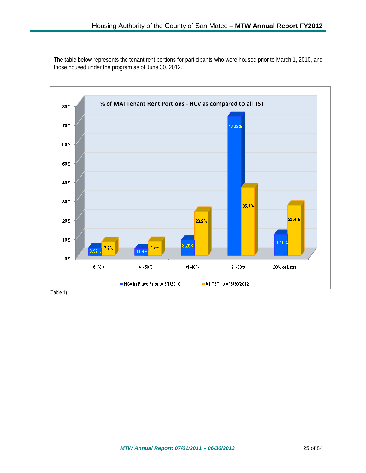The table below represents the tenant rent portions for participants who were housed prior to March 1, 2010, and those housed under the program as of June 30, 2012.

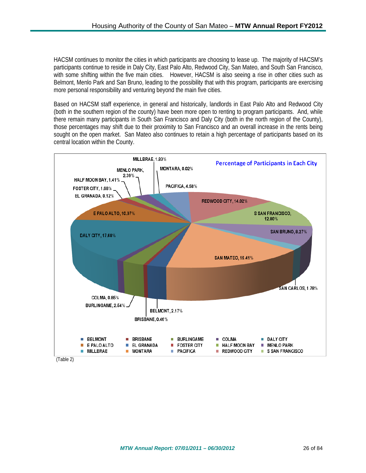HACSM continues to monitor the cities in which participants are choosing to lease up. The majority of HACSM's participants continue to reside in Daly City, East Palo Alto, Redwood City, San Mateo, and South San Francisco, with some shifting within the five main cities. However, HACSM is also seeing a rise in other cities such as Belmont, Menlo Park and San Bruno, leading to the possibility that with this program, participants are exercising more personal responsibility and venturing beyond the main five cities.

Based on HACSM staff experience, in general and historically, landlords in East Palo Alto and Redwood City (both in the southern region of the county) have been more open to renting to program participants. And, while there remain many participants in South San Francisco and Daly City (both in the north region of the County), those percentages may shift due to their proximity to San Francisco and an overall increase in the rents being sought on the open market. San Mateo also continues to retain a high percentage of participants based on its central location within the County.



(Table 2)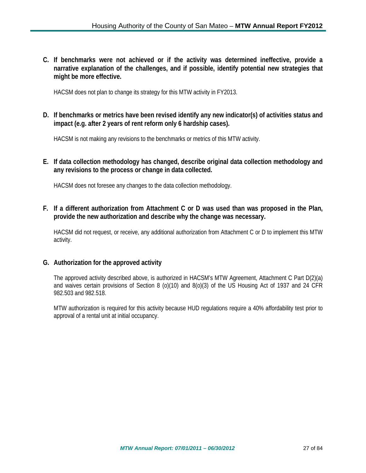**C. If benchmarks were not achieved or if the activity was determined ineffective, provide a narrative explanation of the challenges, and if possible, identify potential new strategies that might be more effective.**

HACSM does not plan to change its strategy for this MTW activity in FY2013.

**D. If benchmarks or metrics have been revised identify any new indicator(s) of activities status and impact (e.g. after 2 years of rent reform only 6 hardship cases).**

HACSM is not making any revisions to the benchmarks or metrics of this MTW activity.

**E. If data collection methodology has changed, describe original data collection methodology and any revisions to the process or change in data collected.**

HACSM does not foresee any changes to the data collection methodology.

**F. If a different authorization from Attachment C or D was used than was proposed in the Plan, provide the new authorization and describe why the change was necessary.**

HACSM did not request, or receive, any additional authorization from Attachment C or D to implement this MTW activity.

#### **G. Authorization for the approved activity**

The approved activity described above, is authorized in HACSM's MTW Agreement, Attachment C Part D(2)(a) and waives certain provisions of Section 8 (o)(10) and 8(o)(3) of the US Housing Act of 1937 and 24 CFR 982.503 and 982.518.

MTW authorization is required for this activity because HUD regulations require a 40% affordability test prior to approval of a rental unit at initial occupancy.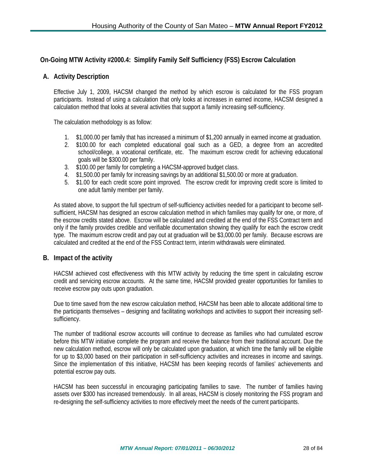## **On-Going MTW Activity #2000.4: Simplify Family Self Sufficiency (FSS) Escrow Calculation**

### **A. Activity Description**

Effective July 1, 2009, HACSM changed the method by which escrow is calculated for the FSS program participants. Instead of using a calculation that only looks at increases in earned income, HACSM designed a calculation method that looks at several activities that support a family increasing self-sufficiency.

The calculation methodology is as follow:

- 1. \$1,000.00 per family that has increased a minimum of \$1,200 annually in earned income at graduation.
- 2. \$100.00 for each completed educational goal such as a GED, a degree from an accredited school/college, a vocational certificate, etc. The maximum escrow credit for achieving educational goals will be \$300.00 per family.
- 3. \$100.00 per family for completing a HACSM-approved budget class.
- 4. \$1,500.00 per family for increasing savings by an additional \$1,500.00 or more at graduation.
- 5. \$1.00 for each credit score point improved. The escrow credit for improving credit score is limited to one adult family member per family.

As stated above, to support the full spectrum of self-sufficiency activities needed for a participant to become selfsufficient, HACSM has designed an escrow calculation method in which families may qualify for one, or more, of the escrow credits stated above. Escrow will be calculated and credited at the end of the FSS Contract term and only if the family provides credible and verifiable documentation showing they qualify for each the escrow credit type. The maximum escrow credit and pay out at graduation will be \$3,000.00 per family. Because escrows are calculated and credited at the end of the FSS Contract term, interim withdrawals were eliminated.

#### **B. Impact of the activity**

HACSM achieved cost effectiveness with this MTW activity by reducing the time spent in calculating escrow credit and servicing escrow accounts. At the same time, HACSM provided greater opportunities for families to receive escrow pay outs upon graduation.

Due to time saved from the new escrow calculation method, HACSM has been able to allocate additional time to the participants themselves – designing and facilitating workshops and activities to support their increasing selfsufficiency.

The number of traditional escrow accounts will continue to decrease as families who had cumulated escrow before this MTW initiative complete the program and receive the balance from their traditional account. Due the new calculation method, escrow will only be calculated upon graduation, at which time the family will be eligible for up to \$3,000 based on their participation in self-sufficiency activities and increases in income and savings. Since the implementation of this initiative, HACSM has been keeping records of families' achievements and potential escrow pay outs.

HACSM has been successful in encouraging participating families to save. The number of families having assets over \$300 has increased tremendously. In all areas, HACSM is closely monitoring the FSS program and re-designing the self-sufficiency activities to more effectively meet the needs of the current participants.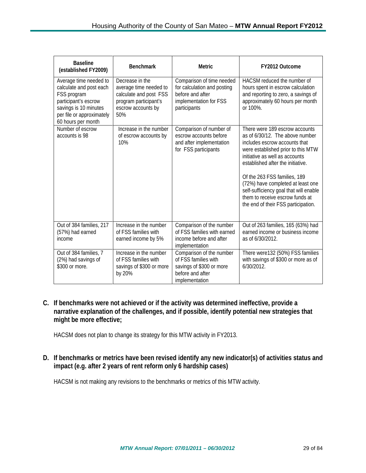| <b>Baseline</b><br>(established FY2009)                                                                                                                              | <b>Benchmark</b>                                                                                                          | <b>Metric</b>                                                                                                          | FY2012 Outcome                                                                                                                                                                                                                                                                                                                                                                                           |
|----------------------------------------------------------------------------------------------------------------------------------------------------------------------|---------------------------------------------------------------------------------------------------------------------------|------------------------------------------------------------------------------------------------------------------------|----------------------------------------------------------------------------------------------------------------------------------------------------------------------------------------------------------------------------------------------------------------------------------------------------------------------------------------------------------------------------------------------------------|
| Average time needed to<br>calculate and post each<br>FSS program<br>participant's escrow<br>savings is 10 minutes<br>per file or approximately<br>60 hours per month | Decrease in the<br>average time needed to<br>calculate and post FSS<br>program participant's<br>escrow accounts by<br>50% | Comparison of time needed<br>for calculation and posting<br>before and after<br>implementation for FSS<br>participants | HACSM reduced the number of<br>hours spent in escrow calculation<br>and reporting to zero, a savings of<br>approximately 60 hours per month<br>or 100%.                                                                                                                                                                                                                                                  |
| Number of escrow<br>accounts is 98                                                                                                                                   | Increase in the number<br>of escrow accounts by<br>10%                                                                    | Comparison of number of<br>escrow accounts before<br>and after implementation<br>for FSS participants                  | There were 189 escrow accounts<br>as of 6/30/12. The above number<br>includes escrow accounts that<br>were established prior to this MTW<br>initiative as well as accounts<br>established after the initiative.<br>Of the 263 FSS families, 189<br>(72%) have completed at least one<br>self-sufficiency goal that will enable<br>them to receive escrow funds at<br>the end of their FSS participation. |
| Out of 384 families, 217<br>(57%) had earned<br>income                                                                                                               | Increase in the number<br>of FSS families with<br>earned income by 5%                                                     | Comparison of the number<br>of FSS families with earned<br>income before and after<br>implementation                   | Out of 263 families, 165 (63%) had<br>earned income or business income<br>as of 6/30/2012.                                                                                                                                                                                                                                                                                                               |
| Out of 384 families, 7<br>(2%) had savings of<br>\$300 or more.                                                                                                      | Increase in the number<br>of FSS families with<br>savings of \$300 or more<br>by 20%                                      | Comparison of the number<br>of FSS families with<br>savings of \$300 or more<br>before and after<br>implementation     | There were132 (50%) FSS families<br>with savings of \$300 or more as of<br>6/30/2012.                                                                                                                                                                                                                                                                                                                    |

**C. If benchmarks were not achieved or if the activity was determined ineffective, provide a narrative explanation of the challenges, and if possible, identify potential new strategies that might be more effective;**

HACSM does not plan to change its strategy for this MTW activity in FY2013.

**D. If benchmarks or metrics have been revised identify any new indicator(s) of activities status and impact (e.g. after 2 years of rent reform only 6 hardship cases)**

HACSM is not making any revisions to the benchmarks or metrics of this MTW activity.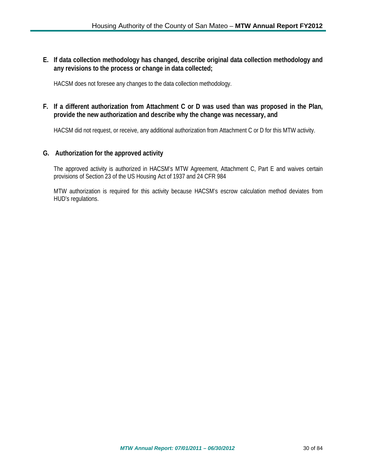**E. If data collection methodology has changed, describe original data collection methodology and any revisions to the process or change in data collected;**

HACSM does not foresee any changes to the data collection methodology.

## **F. If a different authorization from Attachment C or D was used than was proposed in the Plan, provide the new authorization and describe why the change was necessary, and**

HACSM did not request, or receive, any additional authorization from Attachment C or D for this MTW activity.

#### **G. Authorization for the approved activity**

The approved activity is authorized in HACSM's MTW Agreement, Attachment C, Part E and waives certain provisions of Section 23 of the US Housing Act of 1937 and 24 CFR 984

MTW authorization is required for this activity because HACSM's escrow calculation method deviates from HUD's regulations.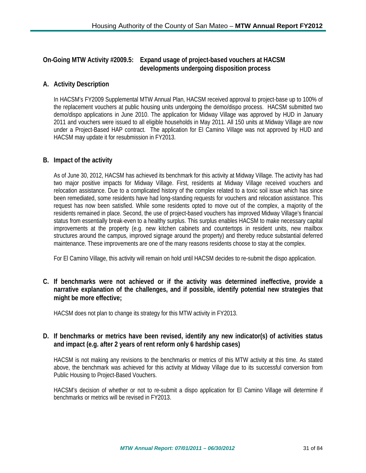## **On-Going MTW Activity #2009.5: Expand usage of project-based vouchers at HACSM developments undergoing disposition process**

## **A. Activity Description**

In HACSM's FY2009 Supplemental MTW Annual Plan, HACSM received approval to project-base up to 100% of the replacement vouchers at public housing units undergoing the demo/dispo process. HACSM submitted two demo/dispo applications in June 2010. The application for Midway Village was approved by HUD in January 2011 and vouchers were issued to all eligible households in May 2011. All 150 units at Midway Village are now under a Project-Based HAP contract. The application for El Camino Village was not approved by HUD and HACSM may update it for resubmission in FY2013.

## **B. Impact of the activity**

As of June 30, 2012, HACSM has achieved its benchmark for this activity at Midway Village. The activity has had two major positive impacts for Midway Village. First, residents at Midway Village received vouchers and relocation assistance. Due to a complicated history of the complex related to a toxic soil issue which has since been remediated, some residents have had long-standing requests for vouchers and relocation assistance. This request has now been satisfied. While some residents opted to move out of the complex, a majority of the residents remained in place. Second, the use of project-based vouchers has improved Midway Village's financial status from essentially break-even to a healthy surplus. This surplus enables HACSM to make necessary capital improvements at the property (e.g. new kitchen cabinets and countertops in resident units, new mailbox structures around the campus, improved signage around the property) and thereby reduce substantial deferred maintenance. These improvements are one of the many reasons residents choose to stay at the complex.

For El Camino Village, this activity will remain on hold until HACSM decides to re-submit the dispo application.

**C. If benchmarks were not achieved or if the activity was determined ineffective, provide a narrative explanation of the challenges, and if possible, identify potential new strategies that might be more effective;**

HACSM does not plan to change its strategy for this MTW activity in FY2013.

## **D. If benchmarks or metrics have been revised, identify any new indicator(s) of activities status and impact (e.g. after 2 years of rent reform only 6 hardship cases)**

HACSM is not making any revisions to the benchmarks or metrics of this MTW activity at this time. As stated above, the benchmark was achieved for this activity at Midway Village due to its successful conversion from Public Housing to Project-Based Vouchers.

HACSM's decision of whether or not to re-submit a dispo application for El Camino Village will determine if benchmarks or metrics will be revised in FY2013.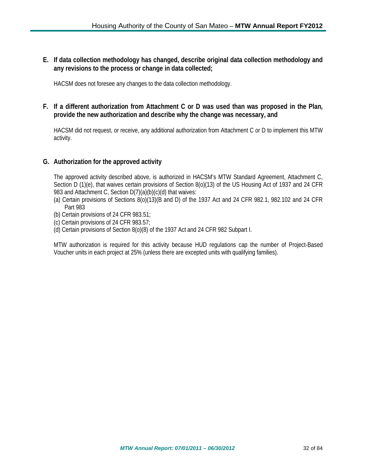**E. If data collection methodology has changed, describe original data collection methodology and any revisions to the process or change in data collected;**

HACSM does not foresee any changes to the data collection methodology.

## **F. If a different authorization from Attachment C or D was used than was proposed in the Plan, provide the new authorization and describe why the change was necessary, and**

HACSM did not request, or receive, any additional authorization from Attachment C or D to implement this MTW activity.

#### **G. Authorization for the approved activity**

The approved activity described above, is authorized in HACSM's MTW Standard Agreement, Attachment C, Section D (1)(e), that waives certain provisions of Section 8(o)(13) of the US Housing Act of 1937 and 24 CFR 983 and Attachment C, Section D(7)(a)(b)(c)(d) that waives:

- (a) Certain provisions of Sections 8(o)(13)(B and D) of the 1937 Act and 24 CFR 982.1, 982.102 and 24 CFR Part 983
- (b) Certain provisions of 24 CFR 983.51;
- (c) Certain provisions of 24 CFR 983.57;
- (d) Certain provisions of Section 8(o)(8) of the 1937 Act and 24 CFR 982 Subpart I.

MTW authorization is required for this activity because HUD regulations cap the number of Project-Based Voucher units in each project at 25% (unless there are excepted units with qualifying families).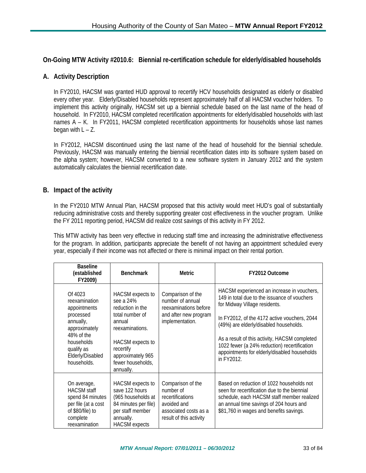## **On-Going MTW Activity #2010.6: Biennial re-certification schedule for elderly/disabled households**

## **A. Activity Description**

In FY2010, HACSM was granted HUD approval to recertify HCV households designated as elderly or disabled every other year. Elderly/Disabled households represent approximately half of all HACSM voucher holders. To implement this activity originally, HACSM set up a biennial schedule based on the last name of the head of household. In FY2010, HACSM completed recertification appointments for elderly/disabled households with last names A – K. In FY2011, HACSM completed recertification appointments for households whose last names began with  $L - Z$ .

In FY2012, HACSM discontinued using the last name of the head of household for the biennial schedule. Previously, HACSM was manually entering the biennial recertification dates into its software system based on the alpha system; however, HACSM converted to a new software system in January 2012 and the system automatically calculates the biennial recertification date.

#### **B. Impact of the activity**

In the FY2010 MTW Annual Plan, HACSM proposed that this activity would meet HUD's goal of substantially reducing administrative costs and thereby supporting greater cost effectiveness in the voucher program. Unlike the FY 2011 reporting period, HACSM did realize cost savings of this activity in FY 2012.

This MTW activity has been very effective in reducing staff time and increasing the administrative effectiveness for the program. In addition, participants appreciate the benefit of not having an appointment scheduled every year, especially if their income was not affected or there is minimal impact on their rental portion.

| <b>Baseline</b><br>(established<br>FY2009)                                                                                                                       | <b>Benchmark</b>                                                                                                                                                                          | <b>Metric</b>                                                                                                         | FY2012 Outcome                                                                                                                                                                                                                                                                                                                                                                       |
|------------------------------------------------------------------------------------------------------------------------------------------------------------------|-------------------------------------------------------------------------------------------------------------------------------------------------------------------------------------------|-----------------------------------------------------------------------------------------------------------------------|--------------------------------------------------------------------------------------------------------------------------------------------------------------------------------------------------------------------------------------------------------------------------------------------------------------------------------------------------------------------------------------|
| Of 4023<br>reexamination<br>appointments<br>processed<br>annually,<br>approximately<br>48% of the<br>households<br>qualify as<br>Elderly/Disabled<br>households. | HACSM expects to<br>see a 24%<br>reduction in the<br>total number of<br>annual<br>reexaminations.<br>HACSM expects to<br>recertify<br>approximately 965<br>fewer households,<br>annually. | Comparison of the<br>number of annual<br>reexaminations before<br>and after new program<br>implementation.            | HACSM experienced an increase in vouchers,<br>149 in total due to the issuance of vouchers<br>for Midway Village residents.<br>In FY2012, of the 4172 active vouchers, 2044<br>(49%) are elderly/disabled households.<br>As a result of this activity, HACSM completed<br>1022 fewer (a 24% reduction) recertification<br>appointments for elderly/disabled households<br>in FY2012. |
| On average,<br><b>HACSM</b> staff<br>spend 84 minutes<br>per file (at a cost<br>of \$80/file) to<br>complete<br>reexamination                                    | HACSM expects to<br>save 122 hours<br>(965 households at<br>84 minutes per file)<br>per staff member<br>annually.<br><b>HACSM</b> expects                                                 | Comparison of the<br>number of<br>recertifications<br>avoided and<br>associated costs as a<br>result of this activity | Based on reduction of 1022 households not<br>seen for recertification due to the biennial<br>schedule, each HACSM staff member realized<br>an annual time savings of 204 hours and<br>\$81,760 in wages and benefits savings.                                                                                                                                                        |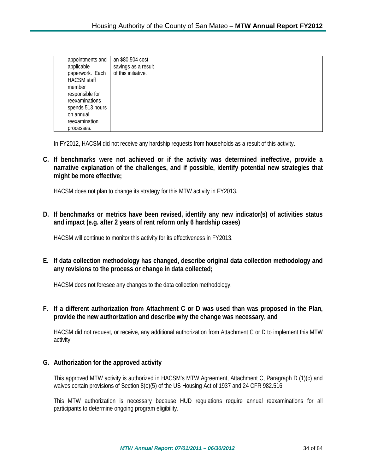| appointments and   | an \$80,504 cost    |  |
|--------------------|---------------------|--|
| applicable         | savings as a result |  |
| paperwork. Each    | of this initiative. |  |
| <b>HACSM</b> staff |                     |  |
| member             |                     |  |
| responsible for    |                     |  |
| reexaminations     |                     |  |
| spends 513 hours   |                     |  |
| on annual          |                     |  |
| reexamination      |                     |  |
|                    |                     |  |
| processes.         |                     |  |

In FY2012, HACSM did not receive any hardship requests from households as a result of this activity.

**C. If benchmarks were not achieved or if the activity was determined ineffective, provide a narrative explanation of the challenges, and if possible, identify potential new strategies that might be more effective;**

HACSM does not plan to change its strategy for this MTW activity in FY2013.

**D. If benchmarks or metrics have been revised, identify any new indicator(s) of activities status and impact (e.g. after 2 years of rent reform only 6 hardship cases)**

HACSM will continue to monitor this activity for its effectiveness in FY2013.

**E. If data collection methodology has changed, describe original data collection methodology and any revisions to the process or change in data collected;**

HACSM does not foresee any changes to the data collection methodology.

**F. If a different authorization from Attachment C or D was used than was proposed in the Plan, provide the new authorization and describe why the change was necessary, and**

HACSM did not request, or receive, any additional authorization from Attachment C or D to implement this MTW activity.

#### **G. Authorization for the approved activity**

This approved MTW activity is authorized in HACSM's MTW Agreement, Attachment C, Paragraph D (1)(c) and waives certain provisions of Section 8(o)(5) of the US Housing Act of 1937 and 24 CFR 982.516

This MTW authorization is necessary because HUD regulations require annual reexaminations for all participants to determine ongoing program eligibility.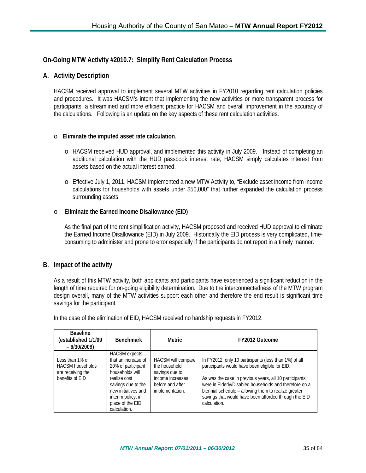## **On-Going MTW Activity #2010.7: Simplify Rent Calculation Process**

#### **A. Activity Description**

HACSM received approval to implement several MTW activities in FY2010 regarding rent calculation policies and procedures. It was HACSM's intent that implementing the new activities or more transparent process for participants, a streamlined and more efficient practice for HACSM and overall improvement in the accuracy of the calculations. Following is an update on the key aspects of these rent calculation activities.

#### o **Eliminate the imputed asset rate calculation**.

- o HACSM received HUD approval, and implemented this activity in July 2009. Instead of completing an additional calculation with the HUD passbook interest rate, HACSM simply calculates interest from assets based on the actual interest earned.
- o Effective July 1, 2011, HACSM implemented a new MTW Activity to, "Exclude asset income from income calculations for households with assets under \$50,000" that further expanded the calculation process surrounding assets.

#### o **Eliminate the Earned Income Disallowance (EID)**

As the final part of the rent simplification activity, HACSM proposed and received HUD approval to eliminate the Earned Income Disallowance (EID) in July 2009. Historically the EID process is very complicated, timeconsuming to administer and prone to error especially if the participants do not report in a timely manner.

#### **B. Impact of the activity**

As a result of this MTW activity, both applicants and participants have experienced a significant reduction in the length of time required for on-going eligibility determination. Due to the interconnectedness of the MTW program design overall, many of the MTW activities support each other and therefore the end result is significant time savings for the participant.

| <b>Baseline</b><br>(established 1/1/09<br>$-6/30/2009$                             | <b>Benchmark</b>                                                                                                                                                                                            | Metric                                                                                                           | FY2012 Outcome                                                                                                                                                                                                                                                                                                                                               |
|------------------------------------------------------------------------------------|-------------------------------------------------------------------------------------------------------------------------------------------------------------------------------------------------------------|------------------------------------------------------------------------------------------------------------------|--------------------------------------------------------------------------------------------------------------------------------------------------------------------------------------------------------------------------------------------------------------------------------------------------------------------------------------------------------------|
| Less than 1% of<br><b>HACSM</b> households<br>are receiving the<br>benefits of EID | <b>HACSM</b> expects<br>that an increase of<br>20% of participant<br>households will<br>realize cost<br>savings due to the<br>new initiatives and<br>interim policy, in<br>place of the EID<br>calculation. | HACSM will compare<br>the household<br>savings due to<br>income increases<br>before and after<br>implementation. | In FY2012, only 10 participants (less than 1%) of all<br>participants would have been eligible for EID.<br>As was the case in previous years, all 10 participants<br>were in Elderly/Disabled households and therefore on a<br>biennial schedule - allowing them to realize greater<br>savings that would have been afforded through the EID<br>calculation. |

In the case of the elimination of EID, HACSM received no hardship requests in FY2012.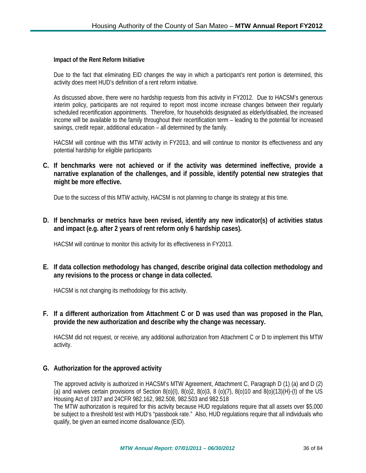#### **Impact of the Rent Reform Initiative**

Due to the fact that eliminating EID changes the way in which a participant's rent portion is determined, this activity does meet HUD's definition of a rent reform initiative.

As discussed above, there were no hardship requests from this activity in FY2012. Due to HACSM's generous interim policy, participants are not required to report most income increase changes between their regularly scheduled recertification appointments. Therefore, for households designated as elderly/disabled, the increased income will be available to the family throughout their recertification term – leading to the potential for increased savings, credit repair, additional education – all determined by the family.

HACSM will continue with this MTW activity in FY2013, and will continue to monitor its effectiveness and any potential hardship for eligible participants

**C. If benchmarks were not achieved or if the activity was determined ineffective, provide a narrative explanation of the challenges, and if possible, identify potential new strategies that might be more effective.**

Due to the success of this MTW activity, HACSM is not planning to change its strategy at this time.

**D. If benchmarks or metrics have been revised, identify any new indicator(s) of activities status and impact (e.g. after 2 years of rent reform only 6 hardship cases).**

HACSM will continue to monitor this activity for its effectiveness in FY2013.

**E. If data collection methodology has changed, describe original data collection methodology and any revisions to the process or change in data collected.**

HACSM is not changing its methodology for this activity.

**F. If a different authorization from Attachment C or D was used than was proposed in the Plan, provide the new authorization and describe why the change was necessary.**

HACSM did not request, or receive, any additional authorization from Attachment C or D to implement this MTW activity.

#### **G. Authorization for the approved activity**

The approved activity is authorized in HACSM's MTW Agreement, Attachment C, Paragraph D (1) (a) and D (2) (a) and waives certain provisions of Section 8(o)(I), 8(o)2, 8(o)3, 8 (o)(7), 8(o)10 and 8(o)(13)(H)-(I) of the US Housing Act of 1937 and 24CFR 982.162, 982.508, 982.503 and 982.518

The MTW authorization is required for this activity because HUD regulations require that all assets over \$5,000 be subject to a threshold test with HUD's "passbook rate." Also, HUD regulations require that all individuals who qualify, be given an earned income disallowance (EID).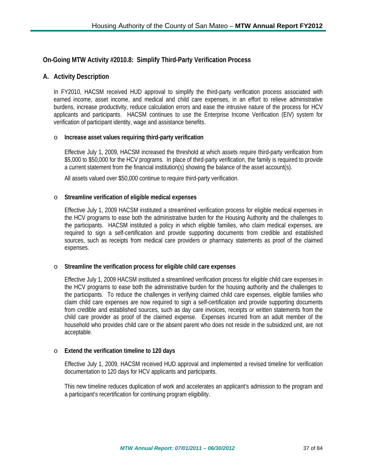# **On-Going MTW Activity #2010.8: Simplify Third-Party Verification Process**

### **A. Activity Description**

In FY2010, HACSM received HUD approval to simplify the third-party verification process associated with earned income, asset income, and medical and child care expenses, in an effort to relieve administrative burdens, increase productivity, reduce calculation errors and ease the intrusive nature of the process for HCV applicants and participants. HACSM continues to use the Enterprise Income Verification (EIV) system for verification of participant identity, wage and assistance benefits.

#### o **Increase asset values requiring third-party verification**

Effective July 1, 2009, HACSM increased the threshold at which assets require third-party verification from \$5,000 to \$50,000 for the HCV programs. In place of third-party verification, the family is required to provide a current statement from the financial institution(s) showing the balance of the asset account(s).

All assets valued over \$50,000 continue to require third-party verification.

#### o **Streamline verification of eligible medical expenses**

Effective July 1, 2009 HACSM instituted a streamlined verification process for eligible medical expenses in the HCV programs to ease both the administrative burden for the Housing Authority and the challenges to the participants. HACSM instituted a policy in which eligible families, who claim medical expenses, are required to sign a self-certification and provide supporting documents from credible and established sources, such as receipts from medical care providers or pharmacy statements as proof of the claimed expenses.

#### o **Streamline the verification process for eligible child care expenses**

Effective July 1, 2009 HACSM instituted a streamlined verification process for eligible child care expenses in the HCV programs to ease both the administrative burden for the housing authority and the challenges to the participants. To reduce the challenges in verifying claimed child care expenses, eligible families who claim child care expenses are now required to sign a self-certification and provide supporting documents from credible and established sources, such as day care invoices, receipts or written statements from the child care provider as proof of the claimed expense. Expenses incurred from an adult member of the household who provides child care or the absent parent who does not reside in the subsidized unit, are not acceptable.

#### o **Extend the verification timeline to 120 days**

Effective July 1, 2009, HACSM received HUD approval and implemented a revised timeline for verification documentation to 120 days for HCV applicants and participants.

This new timeline reduces duplication of work and accelerates an applicant's admission to the program and a participant's recertification for continuing program eligibility.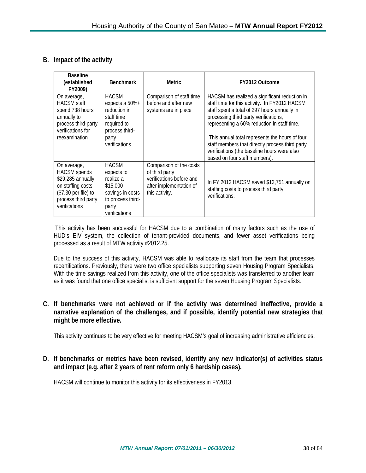## **B. Impact of the activity**

| <b>Baseline</b><br>(established<br>FY2009)                                                                                                   | <b>Benchmark</b>                                                                                                           | <b>Metric</b>                                                                                                      | FY2012 Outcome                                                                                                                                                                                                                                                                                                                                                                                                              |
|----------------------------------------------------------------------------------------------------------------------------------------------|----------------------------------------------------------------------------------------------------------------------------|--------------------------------------------------------------------------------------------------------------------|-----------------------------------------------------------------------------------------------------------------------------------------------------------------------------------------------------------------------------------------------------------------------------------------------------------------------------------------------------------------------------------------------------------------------------|
| On average,<br><b>HACSM</b> staff<br>spend 738 hours<br>annually to<br>process third-party<br>verifications for<br>reexamination             | <b>HACSM</b><br>expects a $50\%+$<br>reduction in<br>staff time<br>required to<br>process third-<br>party<br>verifications | Comparison of staff time<br>before and after new<br>systems are in place                                           | HACSM has realized a significant reduction in<br>staff time for this activity. In FY2012 HACSM<br>staff spent a total of 297 hours annually in<br>processing third party verifications,<br>representing a 60% reduction in staff time.<br>This annual total represents the hours of four<br>staff members that directly process third party<br>verifications (the baseline hours were also<br>based on four staff members). |
| On average,<br><b>HACSM</b> spends<br>\$29,285 annually<br>on staffing costs<br>(\$7.30 per file) to<br>process third party<br>verifications | <b>HACSM</b><br>expects to<br>realize a<br>\$15,000<br>savings in costs<br>to process third-<br>party<br>verifications     | Comparison of the costs<br>of third party<br>verifications before and<br>after implementation of<br>this activity. | In FY 2012 HACSM saved \$13,751 annually on<br>staffing costs to process third party<br>verifications.                                                                                                                                                                                                                                                                                                                      |

This activity has been successful for HACSM due to a combination of many factors such as the use of HUD's EIV system, the collection of tenant-provided documents, and fewer asset verifications being processed as a result of MTW activity #2012.25.

Due to the success of this activity, HACSM was able to reallocate its staff from the team that processes recertifications. Previously, there were two office specialists supporting seven Housing Program Specialists. With the time savings realized from this activity, one of the office specialists was transferred to another team as it was found that one office specialist is sufficient support for the seven Housing Program Specialists.

**C. If benchmarks were not achieved or if the activity was determined ineffective, provide a narrative explanation of the challenges, and if possible, identify potential new strategies that might be more effective.**

This activity continues to be very effective for meeting HACSM's goal of increasing administrative efficiencies.

**D. If benchmarks or metrics have been revised, identify any new indicator(s) of activities status and impact (e.g. after 2 years of rent reform only 6 hardship cases).**

HACSM will continue to monitor this activity for its effectiveness in FY2013.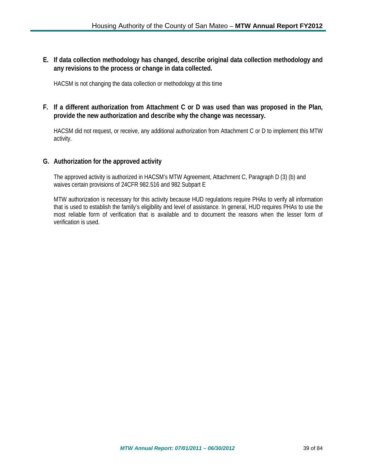**E. If data collection methodology has changed, describe original data collection methodology and any revisions to the process or change in data collected.**

HACSM is not changing the data collection or methodology at this time

### **F. If a different authorization from Attachment C or D was used than was proposed in the Plan, provide the new authorization and describe why the change was necessary.**

HACSM did not request, or receive, any additional authorization from Attachment C or D to implement this MTW activity.

### **G. Authorization for the approved activity**

The approved activity is authorized in HACSM's MTW Agreement, Attachment C, Paragraph D (3) (b) and waives certain provisions of 24CFR 982.516 and 982 Subpart E

MTW authorization is necessary for this activity because HUD regulations require PHAs to verify all information that is used to establish the family's eligibility and level of assistance. In general, HUD requires PHAs to use the most reliable form of verification that is available and to document the reasons when the lesser form of verification is used.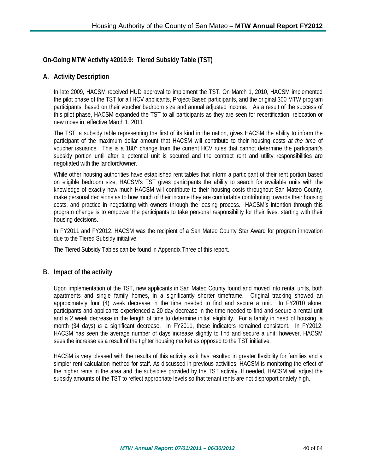# **On-Going MTW Activity #2010.9: Tiered Subsidy Table (TST)**

# **A. Activity Description**

In late 2009, HACSM received HUD approval to implement the TST. On March 1, 2010, HACSM implemented the pilot phase of the TST for all HCV applicants, Project-Based participants, and the original 300 MTW program participants, based on their voucher bedroom size and annual adjusted income. As a result of the success of this pilot phase, HACSM expanded the TST to all participants as they are seen for recertification, relocation or new move in, effective March 1, 2011.

The TST, a subsidy table representing the first of its kind in the nation, gives HACSM the ability to inform the participant of the maximum dollar amount that HACSM will contribute to their housing costs *at the time* of voucher issuance. This is a 180° change from the current HCV rules that cannot determine the participant's subsidy portion until after a potential unit is secured and the contract rent and utility responsibilities are negotiated with the landlord/owner.

While other housing authorities have established rent tables that inform a participant of their rent portion based on eligible bedroom size, HACSM's TST gives participants the ability to search for available units with the knowledge of exactly how much HACSM will contribute to their housing costs throughout San Mateo County, make personal decisions as to how much of their income they are comfortable contributing towards their housing costs, and practice in negotiating with owners through the leasing process. HACSM's intention through this program change is to empower the participants to take personal responsibility for their lives, starting with their housing decisions.

In FY2011 and FY2012, HACSM was the recipient of a San Mateo County Star Award for program innovation due to the Tiered Subsidy initiative.

The Tiered Subsidy Tables can be found in Appendix Three of this report.

### **B. Impact of the activity**

Upon implementation of the TST, new applicants in San Mateo County found and moved into rental units, both apartments and single family homes, in a significantly shorter timeframe. Original tracking showed an approximately four (4) week decrease in the time needed to find and secure a unit. In FY2010 alone, participants and applicants experienced a 20 day decrease in the time needed to find and secure a rental unit and a 2 week decrease in the length of time to determine initial eligibility. For a family in need of housing, a month (34 days) *is* a significant decrease. In FY2011, these indicators remained consistent. In FY2012, HACSM has seen the average number of days increase slightly to find and secure a unit; however, HACSM sees the increase as a result of the tighter housing market as opposed to the TST initiative.

HACSM is very pleased with the results of this activity as it has resulted in greater flexibility for families and a simpler rent calculation method for staff. As discussed in previous activities, HACSM is monitoring the effect of the higher rents in the area and the subsidies provided by the TST activity. If needed, HACSM will adjust the subsidy amounts of the TST to reflect appropriate levels so that tenant rents are not disproportionately high.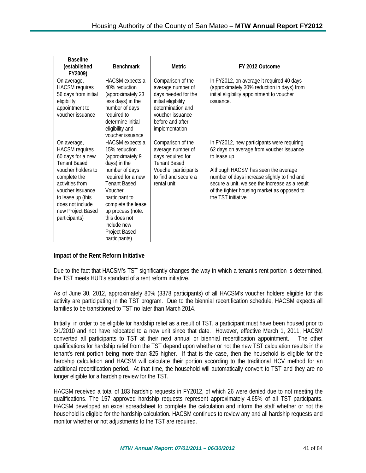| <b>Baseline</b><br>(established<br>FY2009)                                                                                                                                                                                                   | <b>Benchmark</b>                                                                                                                                                                                                                                                                     | <b>Metric</b>                                                                                                                                                       | FY 2012 Outcome                                                                                                                                                                                                                                                                                                       |
|----------------------------------------------------------------------------------------------------------------------------------------------------------------------------------------------------------------------------------------------|--------------------------------------------------------------------------------------------------------------------------------------------------------------------------------------------------------------------------------------------------------------------------------------|---------------------------------------------------------------------------------------------------------------------------------------------------------------------|-----------------------------------------------------------------------------------------------------------------------------------------------------------------------------------------------------------------------------------------------------------------------------------------------------------------------|
| On average,<br><b>HACSM</b> requires<br>56 days from initial<br>eligibility<br>appointment to<br>voucher issuance                                                                                                                            | HACSM expects a<br>40% reduction<br>(approximately 23<br>less days) in the<br>number of days<br>required to<br>determine initial<br>eligibility and<br>voucher issuance                                                                                                              | Comparison of the<br>average number of<br>days needed for the<br>initial eligibility<br>determination and<br>voucher issuance<br>before and after<br>implementation | In FY2012, on average it required 40 days<br>(approximately 30% reduction in days) from<br>initial eligibility appointment to voucher<br>issuance.                                                                                                                                                                    |
| On average,<br><b>HACSM</b> requires<br>60 days for a new<br><b>Tenant Based</b><br>voucher holders to<br>complete the<br>activities from<br>voucher issuance<br>to lease up (this<br>does not include<br>new Project Based<br>participants) | <b>HACSM</b> expects a<br>15% reduction<br>(approximately 9<br>days) in the<br>number of days<br>required for a new<br><b>Tenant Based</b><br>Voucher<br>participant to<br>complete the lease<br>up process (note:<br>this does not<br>include new<br>Project Based<br>participants) | Comparison of the<br>average number of<br>days required for<br><b>Tenant Based</b><br>Voucher participants<br>to find and secure a<br>rental unit                   | In FY2012, new participants were requiring<br>62 days on average from voucher issuance<br>to lease up.<br>Although HACSM has seen the average<br>number of days increase slightly to find and<br>secure a unit, we see the increase as a result<br>of the tighter housing market as opposed to<br>the TST initiative. |

### **Impact of the Rent Reform Initiative**

Due to the fact that HACSM's TST significantly changes the way in which a tenant's rent portion is determined, the TST meets HUD's standard of a rent reform initiative.

As of June 30, 2012, approximately 80% (3378 participants) of all HACSM's voucher holders eligible for this activity are participating in the TST program. Due to the biennial recertification schedule, HACSM expects all families to be transitioned to TST no later than March 2014.

Initially, in order to be eligible for hardship relief as a result of TST, a participant must have been housed prior to 3/1/2010 and not have relocated to a new unit since that date. However, effective March 1, 2011, HACSM converted all participants to TST at their next annual or biennial recertification appointment. The other qualifications for hardship relief from the TST depend upon whether or not the new TST calculation results in the tenant's rent portion being more than \$25 higher. If that is the case, then the household is eligible for the hardship calculation and HACSM will calculate their portion according to the traditional HCV method for an additional recertification period. At that time, the household will automatically convert to TST and they are no longer eligible for a hardship review for the TST.

HACSM received a total of 183 hardship requests in FY2012, of which 26 were denied due to not meeting the qualifications. The 157 approved hardship requests represent approximately 4.65% of all TST participants. HACSM developed an excel spreadsheet to complete the calculation and inform the staff whether or not the household is eligible for the hardship calculation. HACSM continues to review any and all hardship requests and monitor whether or not adjustments to the TST are required.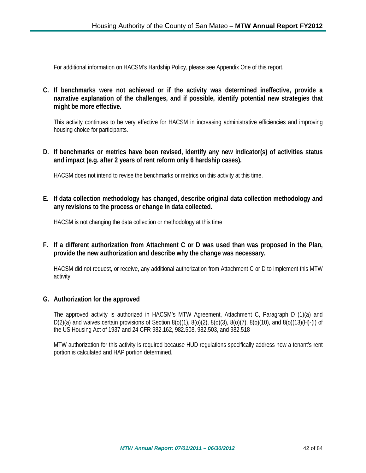For additional information on HACSM's Hardship Policy, please see Appendix One of this report.

**C. If benchmarks were not achieved or if the activity was determined ineffective, provide a narrative explanation of the challenges, and if possible, identify potential new strategies that might be more effective.**

This activity continues to be very effective for HACSM in increasing administrative efficiencies and improving housing choice for participants.

**D. If benchmarks or metrics have been revised, identify any new indicator(s) of activities status and impact (e.g. after 2 years of rent reform only 6 hardship cases).**

HACSM does not intend to revise the benchmarks or metrics on this activity at this time.

**E. If data collection methodology has changed, describe original data collection methodology and any revisions to the process or change in data collected.**

HACSM is not changing the data collection or methodology at this time

**F. If a different authorization from Attachment C or D was used than was proposed in the Plan, provide the new authorization and describe why the change was necessary.**

HACSM did not request, or receive, any additional authorization from Attachment C or D to implement this MTW activity.

### **G. Authorization for the approved**

The approved activity is authorized in HACSM's MTW Agreement, Attachment C, Paragraph D (1)(a) and D(2)(a) and waives certain provisions of Section 8(o)(1), 8(o)(2), 8(o)(3), 8(o)(7), 8(o)(10), and 8(o)(13)(H)-(I) of the US Housing Act of 1937 and 24 CFR 982.162, 982.508, 982.503, and 982.518

MTW authorization for this activity is required because HUD regulations specifically address how a tenant's rent portion is calculated and HAP portion determined.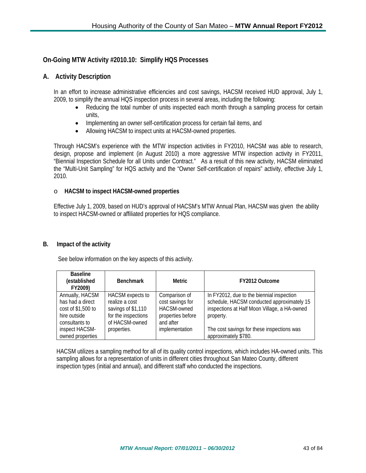## **On-Going MTW Activity #2010.10: Simplify HQS Processes**

### **A. Activity Description**

In an effort to increase administrative efficiencies and cost savings, HACSM received HUD approval, July 1, 2009, to simplify the annual HQS inspection process in several areas, including the following:

- Reducing the total number of units inspected each month through a sampling process for certain units,
- Implementing an owner self-certification process for certain fail items, and
- Allowing HACSM to inspect units at HACSM-owned properties.

Through HACSM's experience with the MTW inspection activities in FY2010, HACSM was able to research, design, propose and implement (in August 2010) a more aggressive MTW inspection activity in FY2011, "Biennial Inspection Schedule for all Units under Contract." As a result of this new activity, HACSM eliminated the "Multi-Unit Sampling" for HQS activity and the "Owner Self-certification of repairs" activity, effective July 1, 2010.

#### o **HACSM to inspect HACSM-owned properties**

Effective July 1, 2009, based on HUD's approval of HACSM's MTW Annual Plan, HACSM was given the ability to inspect HACSM-owned or affiliated properties for HQS compliance.

#### **B. Impact of the activity**

See below information on the key aspects of this activity.

| <b>Baseline</b><br>(established<br>FY2009)                                                  | <b>Benchmark</b>                                                                                         | Metric                                                                                    | FY2012 Outcome                                                                                                                                       |
|---------------------------------------------------------------------------------------------|----------------------------------------------------------------------------------------------------------|-------------------------------------------------------------------------------------------|------------------------------------------------------------------------------------------------------------------------------------------------------|
| Annually, HACSM<br>has had a direct<br>cost of \$1,500 to<br>hire outside<br>consultants to | <b>HACSM</b> expects to<br>realize a cost<br>savings of \$1,110<br>for the inspections<br>of HACSM-owned | Comparison of<br>cost savings for<br><b>HACSM-owned</b><br>properties before<br>and after | In FY2012, due to the biennial inspection<br>schedule, HACSM conducted approximately 15<br>inspections at Half Moon Village, a HA-owned<br>property. |
| inspect HACSM-<br>owned properties                                                          | properties.                                                                                              | implementation                                                                            | The cost savings for these inspections was<br>approximately \$780.                                                                                   |

HACSM utilizes a sampling method for all of its quality control inspections, which includes HA-owned units. This sampling allows for a representation of units in different cities throughout San Mateo County, different inspection types (initial and annual), and different staff who conducted the inspections.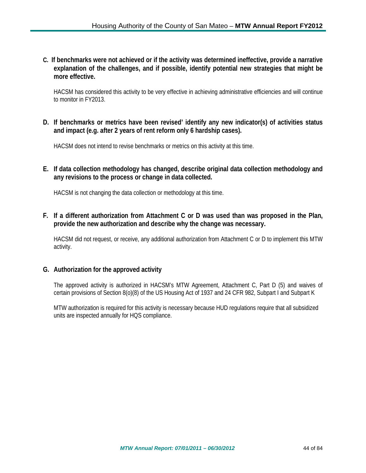**C. If benchmarks were not achieved or if the activity was determined ineffective, provide a narrative explanation of the challenges, and if possible, identify potential new strategies that might be more effective.**

HACSM has considered this activity to be very effective in achieving administrative efficiencies and will continue to monitor in FY2013.

**D. If benchmarks or metrics have been revised' identify any new indicator(s) of activities status and impact (e.g. after 2 years of rent reform only 6 hardship cases).**

HACSM does not intend to revise benchmarks or metrics on this activity at this time.

**E. If data collection methodology has changed, describe original data collection methodology and any revisions to the process or change in data collected.**

HACSM is not changing the data collection or methodology at this time.

**F. If a different authorization from Attachment C or D was used than was proposed in the Plan, provide the new authorization and describe why the change was necessary.**

HACSM did not request, or receive, any additional authorization from Attachment C or D to implement this MTW activity.

### **G. Authorization for the approved activity**

The approved activity is authorized in HACSM's MTW Agreement, Attachment C, Part D (5) and waives of certain provisions of Section 8(o)(8) of the US Housing Act of 1937 and 24 CFR 982, Subpart I and Subpart K

MTW authorization is required for this activity is necessary because HUD regulations require that all subsidized units are inspected annually for HQS compliance.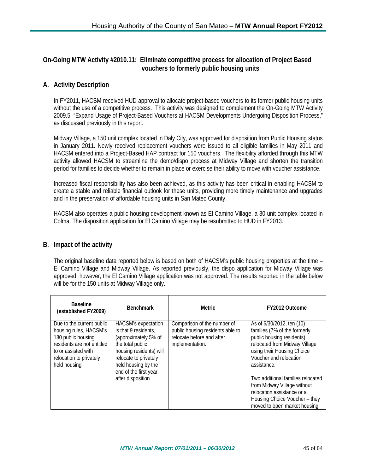# **On-Going MTW Activity #2010.11: Eliminate competitive process for allocation of Project Based vouchers to formerly public housing units**

# **A. Activity Description**

In FY2011, HACSM received HUD approval to allocate project-based vouchers to its former public housing units without the use of a competitive process. This activity was designed to complement the On-Going MTW Activity 2009.5, "Expand Usage of Project-Based Vouchers at HACSM Developments Undergoing Disposition Process," as discussed previously in this report.

Midway Village, a 150 unit complex located in Daly City, was approved for disposition from Public Housing status in January 2011. Newly received replacement vouchers were issued to all eligible families in May 2011 and HACSM entered into a Project-Based HAP contract for 150 vouchers. The flexibility afforded through this MTW activity allowed HACSM to streamline the demo/dispo process at Midway Village and shorten the transition period for families to decide whether to remain in place or exercise their ability to move with voucher assistance.

Increased fiscal responsibility has also been achieved, as this activity has been critical in enabling HACSM to create a stable and reliable financial outlook for these units, providing more timely maintenance and upgrades and in the preservation of affordable housing units in San Mateo County.

HACSM also operates a public housing development known as El Camino Village, a 30 unit complex located in Colma. The disposition application for El Camino Village may be resubmitted to HUD in FY2013.

### **B. Impact of the activity**

The original baseline data reported below is based on both of HACSM's public housing properties at the time – El Camino Village and Midway Village. As reported previously, the dispo application for Midway Village was approved; however, the El Camino Village application was not approved. The results reported in the table below will be for the 150 units at Midway Village only.

| <b>Baseline</b><br>(established FY2009)                                                                                                                                   | <b>Benchmark</b>                                                                                                                                                                                                        | Metric                                                                                                          | FY2012 Outcome                                                                                                                                                                                                                                                                                                                                                     |
|---------------------------------------------------------------------------------------------------------------------------------------------------------------------------|-------------------------------------------------------------------------------------------------------------------------------------------------------------------------------------------------------------------------|-----------------------------------------------------------------------------------------------------------------|--------------------------------------------------------------------------------------------------------------------------------------------------------------------------------------------------------------------------------------------------------------------------------------------------------------------------------------------------------------------|
| Due to the current public<br>housing rules, HACSM's<br>180 public housing<br>residents are not entitled<br>to or assisted with<br>relocation to privately<br>held housing | <b>HACSM's expectation</b><br>is that 9 residents,<br>(approximately 5% of<br>the total public<br>housing residents) will<br>relocate to privately<br>held housing by the<br>end of the first year<br>after disposition | Comparison of the number of<br>public housing residents able to<br>relocate before and after<br>implementation. | As of 6/30/2012, ten (10)<br>families (7% of the formerly<br>public housing residents)<br>relocated from Midway Village<br>using their Housing Choice<br>Voucher and relocation<br>assistance.<br>Two additional families relocated<br>from Midway Village without<br>relocation assistance or a<br>Housing Choice Voucher - they<br>moved to open market housing. |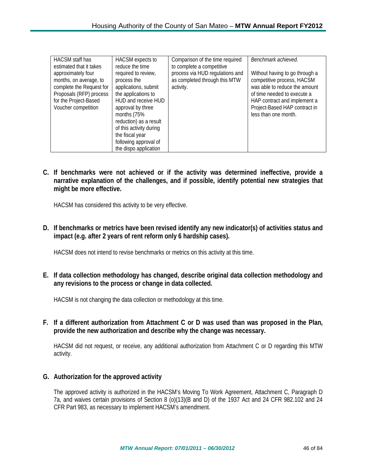| HACSM staff has          | HACSM expects to        | Comparison of the time required | Benchmark achieved.            |
|--------------------------|-------------------------|---------------------------------|--------------------------------|
| estimated that it takes  | reduce the time         | to complete a competitive       |                                |
| approximately four       | required to review,     | process via HUD regulations and | Without having to go through a |
| months, on average, to   | process the             | as completed through this MTW   | competitive process, HACSM     |
| complete the Request for | applications, submit    | activity.                       | was able to reduce the amount  |
| Proposals (RFP) process  | the applications to     |                                 | of time needed to execute a    |
| for the Project-Based    | HUD and receive HUD     |                                 | HAP contract and implement a   |
| Voucher competition      | approval by three       |                                 | Project-Based HAP contract in  |
|                          | months (75%             |                                 | less than one month.           |
|                          | reduction) as a result  |                                 |                                |
|                          | of this activity during |                                 |                                |
|                          | the fiscal year         |                                 |                                |
|                          | following approval of   |                                 |                                |
|                          | the dispo application   |                                 |                                |

**C. If benchmarks were not achieved or if the activity was determined ineffective, provide a narrative explanation of the challenges, and if possible, identify potential new strategies that might be more effective.**

HACSM has considered this activity to be very effective.

**D. If benchmarks or metrics have been revised identify any new indicator(s) of activities status and impact (e.g. after 2 years of rent reform only 6 hardship cases).**

HACSM does not intend to revise benchmarks or metrics on this activity at this time.

**E. If data collection methodology has changed, describe original data collection methodology and any revisions to the process or change in data collected.**

HACSM is not changing the data collection or methodology at this time.

**F. If a different authorization from Attachment C or D was used than was proposed in the Plan, provide the new authorization and describe why the change was necessary.**

HACSM did not request, or receive, any additional authorization from Attachment C or D regarding this MTW activity.

### **G. Authorization for the approved activity**

The approved activity is authorized in the HACSM's Moving To Work Agreement, Attachment C, Paragraph D 7a, and waives certain provisions of Section 8 (o)(13)(B and D) of the 1937 Act and 24 CFR 982.102 and 24 CFR Part 983, as necessary to implement HACSM's amendment.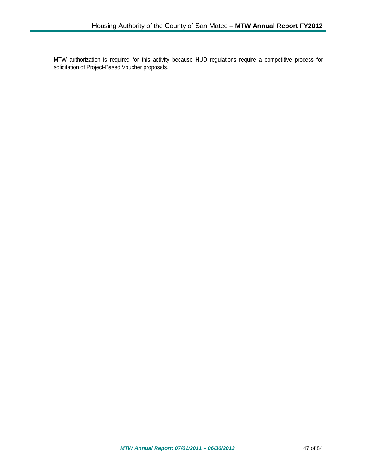MTW authorization is required for this activity because HUD regulations require a competitive process for solicitation of Project-Based Voucher proposals.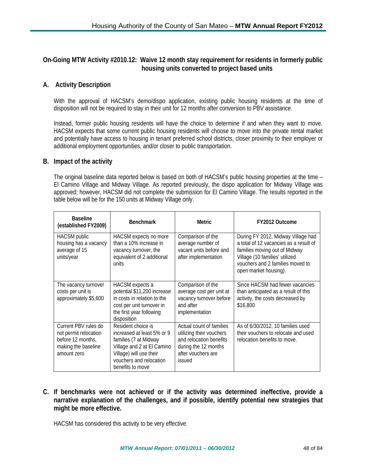# **On-Going MTW Activity #2010.12: Waive 12 month stay requirement for residents in formerly public housing units converted to project based units**

## **A. Activity Description**

With the approval of HACSM's demo/dispo application, existing public housing residents at the time of disposition will not be required to stay in their unit for 12 months after conversion to PBV assistance.

Instead, former public housing residents will have the choice to determine if and when they want to move. HACSM expects that some current public housing residents will choose to move into the private rental market and potentially have access to housing in tenant preferred school districts, closer proximity to their employer or additional employment opportunities, and/or closer to public transportation.

#### **B. Impact of the activity**

The original baseline data reported below is based on both of HACSM's public housing properties at the time – El Camino Village and Midway Village. As reported previously, the dispo application for Midway Village was approved; however, HACSM did not complete the submission for El Camino Village. The results reported in the table below will be for the 150 units at Midway Village only.

| <b>Baseline</b><br>(established FY2009)                                                                  | <b>Benchmark</b>                                                                                                                                                                  | <b>Metric</b>                                                                                                                           | FY2012 Outcome                                                                                                                                                                                               |
|----------------------------------------------------------------------------------------------------------|-----------------------------------------------------------------------------------------------------------------------------------------------------------------------------------|-----------------------------------------------------------------------------------------------------------------------------------------|--------------------------------------------------------------------------------------------------------------------------------------------------------------------------------------------------------------|
| <b>HACSM</b> public<br>housing has a vacancy<br>average of 15<br>units/year                              | HACSM expects no more<br>than a 10% increase in<br>vacancy turnover, the<br>equivalent of 2 additional<br>units                                                                   | Comparison of the<br>average number of<br>vacant units before and<br>after implementation                                               | During FY 2012, Midway Village had<br>a total of 12 vacancies as a result of<br>families moving out of Midway<br>Village (10 families' utilized<br>vouchers and 2 families moved to<br>open market housing). |
| The vacancy turnover<br>costs per unit is<br>approximately \$5,600                                       | HACSM expects a<br>potential \$11,200 increase<br>in costs in relation to the<br>cost per unit turnover in<br>the first year following<br>disposition                             | Comparison of the<br>average cost per unit at<br>vacancy turnover before<br>and after<br>implementation                                 | Since HACSM had fewer vacancies<br>than anticipated as a result of this<br>activity, the costs decreased by<br>\$16,800                                                                                      |
| Current PBV rules do<br>not permit relocation<br>before 12 months,<br>making the baseline<br>amount zero | Resident choice is<br>increased at least 5% or 9<br>families (7 at Midway<br>Village and 2 at El Camino<br>Village) will use their<br>vouchers and relocation<br>benefits to move | Actual count of families<br>utilizing their vouchers<br>and relocation benefits<br>during the 12 months<br>after vouchers are<br>issued | As of 6/30/2012, 10 families used<br>their vouchers to relocate and used<br>relocation benefits to move.                                                                                                     |

**C. If benchmarks were not achieved or if the activity was determined ineffective, provide a narrative explanation of the challenges, and if possible, identify potential new strategies that might be more effective.**

HACSM has considered this activity to be very effective.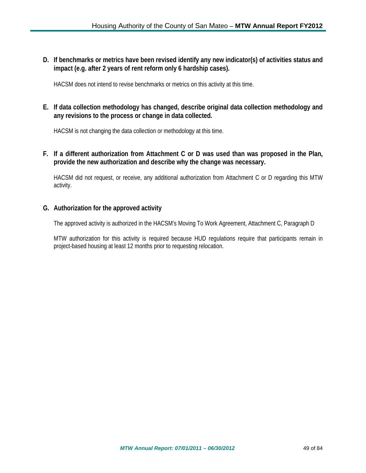**D. If benchmarks or metrics have been revised identify any new indicator(s) of activities status and impact (e.g. after 2 years of rent reform only 6 hardship cases).**

HACSM does not intend to revise benchmarks or metrics on this activity at this time.

**E. If data collection methodology has changed, describe original data collection methodology and any revisions to the process or change in data collected.**

HACSM is not changing the data collection or methodology at this time.

**F. If a different authorization from Attachment C or D was used than was proposed in the Plan, provide the new authorization and describe why the change was necessary.**

HACSM did not request, or receive, any additional authorization from Attachment C or D regarding this MTW activity.

### **G. Authorization for the approved activity**

The approved activity is authorized in the HACSM's Moving To Work Agreement, Attachment C, Paragraph D

MTW authorization for this activity is required because HUD regulations require that participants remain in project-based housing at least 12 months prior to requesting relocation.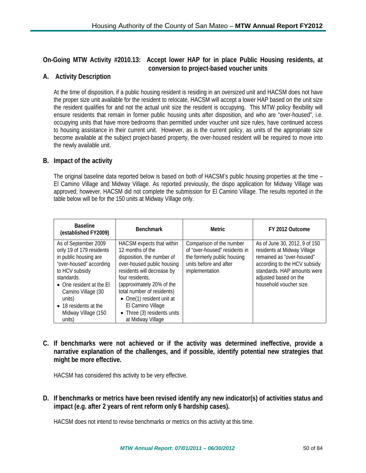**On-Going MTW Activity #2010.13: Accept lower HAP for in place Public Housing residents, at conversion to project-based voucher units**

# **A. Activity Description**

At the time of disposition, if a public housing resident is residing in an oversized unit and HACSM does not have the proper size unit available for the resident to relocate, HACSM will accept a lower HAP based on the unit size the resident qualifies for and not the actual unit size the resident is occupying. This MTW policy flexibility will ensure residents that remain in former public housing units after disposition, and who are "over-housed", i.e. occupying units that have more bedrooms than permitted under voucher unit size rules, have continued access to housing assistance in their current unit. However, as is the current policy, as units of the appropriate size become available at the subject project-based property, the over-housed resident will be required to move into the newly available unit.

### **B. Impact of the activity**

The original baseline data reported below is based on both of HACSM's public housing properties at the time – El Camino Village and Midway Village. As reported previously, the dispo application for Midway Village was approved; however, HACSM did not complete the submission for El Camino Village. The results reported in the table below will be for the 150 units at Midway Village only.

| <b>Baseline</b><br>(established FY2009)                                                                                                                                                                                                                    | <b>Benchmark</b>                                                                                                                                                                                                                                                                                                            | Metric.                                                                                                                              | FY 2012 Outcome                                                                                                                                                                                              |
|------------------------------------------------------------------------------------------------------------------------------------------------------------------------------------------------------------------------------------------------------------|-----------------------------------------------------------------------------------------------------------------------------------------------------------------------------------------------------------------------------------------------------------------------------------------------------------------------------|--------------------------------------------------------------------------------------------------------------------------------------|--------------------------------------------------------------------------------------------------------------------------------------------------------------------------------------------------------------|
| As of September 2009<br>only 19 of 179 residents<br>in public housing are<br>"over-housed" according<br>to HCV subsidy<br>standards.<br>• One resident at the El<br>Camino Village (30<br>units)<br>• 18 residents at the<br>Midway Village (150<br>units) | HACSM expects that within<br>12 months of the<br>disposition, the number of<br>over-housed public housing<br>residents will decrease by<br>four residents,<br>(approximately 20% of the<br>total number of residents)<br>• One(1) resident unit at<br>El Camino Village<br>• Three (3) residents units<br>at Midway Village | Comparison of the number<br>of "over-housed" residents in<br>the formerly public housing<br>units before and after<br>implementation | As of June 30, 2012, 9 of 150<br>residents at Midway Village<br>remained as "over-housed"<br>according to the HCV subsidy<br>standards. HAP amounts were<br>adjusted based on the<br>household voucher size. |

**C. If benchmarks were not achieved or if the activity was determined ineffective, provide a narrative explanation of the challenges, and if possible, identify potential new strategies that might be more effective.**

HACSM has considered this activity to be very effective.

**D. If benchmarks or metrics have been revised identify any new indicator(s) of activities status and impact (e.g. after 2 years of rent reform only 6 hardship cases).**

HACSM does not intend to revise benchmarks or metrics on this activity at this time.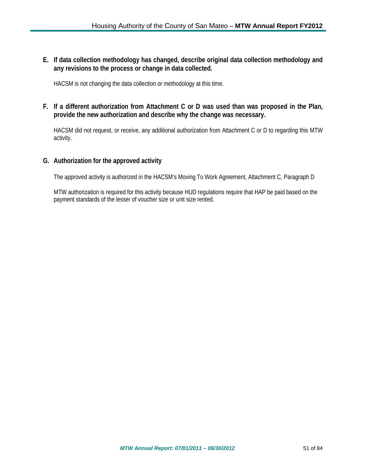**E. If data collection methodology has changed, describe original data collection methodology and any revisions to the process or change in data collected.**

HACSM is not changing the data collection or methodology at this time.

**F. If a different authorization from Attachment C or D was used than was proposed in the Plan, provide the new authorization and describe why the change was necessary.**

HACSM did not request, or receive, any additional authorization from Attachment C or D to regarding this MTW activity.

# **G. Authorization for the approved activity**

The approved activity is authorized in the HACSM's Moving To Work Agreement, Attachment C, Paragraph D

MTW authorization is required for this activity because HUD regulations require that HAP be paid based on the payment standards of the lesser of voucher size or unit size rented.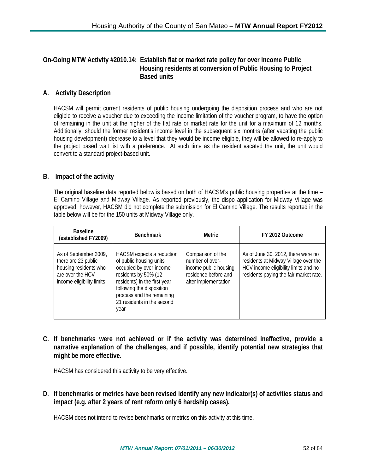# **On-Going MTW Activity #2010.14: Establish flat or market rate policy for over income Public Housing residents at conversion of Public Housing to Project Based units**

# **A. Activity Description**

HACSM will permit current residents of public housing undergoing the disposition process and who are not eligible to receive a voucher due to exceeding the income limitation of the voucher program, to have the option of remaining in the unit at the higher of the flat rate or market rate for the unit for a maximum of 12 months. Additionally, should the former resident's income level in the subsequent six months (after vacating the public housing development) decrease to a level that they would be income eligible, they will be allowed to re-apply to the project based wait list with a preference. At such time as the resident vacated the unit, the unit would convert to a standard project-based unit.

# **B. Impact of the activity**

The original baseline data reported below is based on both of HACSM's public housing properties at the time – El Camino Village and Midway Village. As reported previously, the dispo application for Midway Village was approved; however, HACSM did not complete the submission for El Camino Village. The results reported in the table below will be for the 150 units at Midway Village only.

| <b>Baseline</b><br>(established FY2009)                                                                                | <b>Benchmark</b>                                                                                                                                                                                                                        | <b>Metric</b>                                                                                                 | FY 2012 Outcome                                                                                                                                              |
|------------------------------------------------------------------------------------------------------------------------|-----------------------------------------------------------------------------------------------------------------------------------------------------------------------------------------------------------------------------------------|---------------------------------------------------------------------------------------------------------------|--------------------------------------------------------------------------------------------------------------------------------------------------------------|
| As of September 2009,<br>there are 23 public<br>housing residents who<br>are over the HCV<br>income eligibility limits | HACSM expects a reduction<br>of public housing units<br>occupied by over-income<br>residents by 50% (12<br>residents) in the first year<br>following the disposition<br>process and the remaining<br>21 residents in the second<br>year | Comparison of the<br>number of over-<br>income public housing<br>residence before and<br>after implementation | As of June 30, 2012, there were no<br>residents at Midway Village over the<br>HCV income eligibility limits and no<br>residents paying the fair market rate. |

**C. If benchmarks were not achieved or if the activity was determined ineffective, provide a narrative explanation of the challenges, and if possible, identify potential new strategies that might be more effective.**

HACSM has considered this activity to be very effective.

**D. If benchmarks or metrics have been revised identify any new indicator(s) of activities status and impact (e.g. after 2 years of rent reform only 6 hardship cases).**

HACSM does not intend to revise benchmarks or metrics on this activity at this time.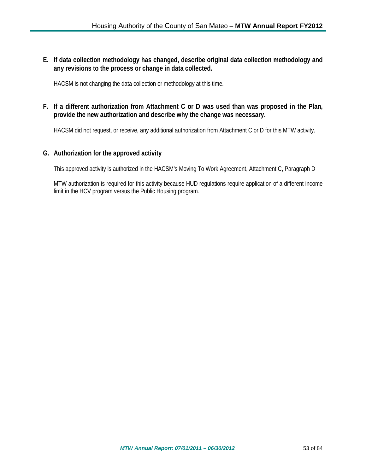**E. If data collection methodology has changed, describe original data collection methodology and any revisions to the process or change in data collected.**

HACSM is not changing the data collection or methodology at this time.

**F. If a different authorization from Attachment C or D was used than was proposed in the Plan, provide the new authorization and describe why the change was necessary.**

HACSM did not request, or receive, any additional authorization from Attachment C or D for this MTW activity.

# **G. Authorization for the approved activity**

This approved activity is authorized in the HACSM's Moving To Work Agreement, Attachment C, Paragraph D

MTW authorization is required for this activity because HUD regulations require application of a different income limit in the HCV program versus the Public Housing program.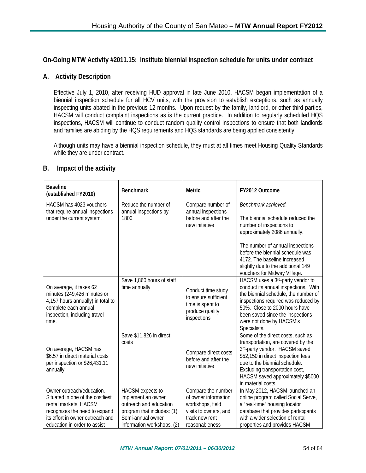## **On-Going MTW Activity #2011.15: Institute biennial inspection schedule for units under contract**

## **A. Activity Description**

Effective July 1, 2010, after receiving HUD approval in late June 2010, HACSM began implementation of a biennial inspection schedule for all HCV units, with the provision to establish exceptions, such as annually inspecting units abated in the previous 12 months. Upon request by the family, landlord, or other third parties, HACSM will conduct complaint inspections as is the current practice. In addition to regularly scheduled HQS inspections, HACSM will continue to conduct random quality control inspections to ensure that both landlords and families are abiding by the HQS requirements and HQS standards are being applied consistently.

Although units may have a biennial inspection schedule, they must at all times meet Housing Quality Standards while they are under contract.

| <b>Baseline</b><br>(established FY2010)                                                                                                                                                     | <b>Benchmark</b>                                                                                                                                  | <b>Metric</b>                                                                                                               | FY2012 Outcome                                                                                                                                                                                                                                                                                           |
|---------------------------------------------------------------------------------------------------------------------------------------------------------------------------------------------|---------------------------------------------------------------------------------------------------------------------------------------------------|-----------------------------------------------------------------------------------------------------------------------------|----------------------------------------------------------------------------------------------------------------------------------------------------------------------------------------------------------------------------------------------------------------------------------------------------------|
| HACSM has 4023 vouchers<br>that require annual inspections<br>under the current system.                                                                                                     | Reduce the number of<br>annual inspections by<br>1800                                                                                             | Compare number of<br>annual inspections<br>before and after the<br>new initiative                                           | Benchmark achieved.<br>The biennial schedule reduced the<br>number of inspections to<br>approximately 2086 annually.<br>The number of annual inspections<br>before the biennial schedule was<br>4172. The baseline increased<br>slightly due to the additional 149                                       |
| On average, it takes 62<br>minutes (249,426 minutes or<br>4,157 hours annually) in total to<br>complete each annual<br>inspection, including travel<br>time.                                | Save 1,860 hours of staff<br>time annually                                                                                                        | Conduct time study<br>to ensure sufficient<br>time is spent to<br>produce quality<br>inspections                            | vouchers for Midway Village.<br>HACSM uses a 3rd-party vendor to<br>conduct its annual inspections. With<br>the biennial schedule, the number of<br>inspections required was reduced by<br>50%. Close to 2000 hours have<br>been saved since the inspections<br>were not done by HACSM's<br>Specialists. |
| On average, HACSM has<br>\$6.57 in direct material costs<br>per inspection or \$26,431.11<br>annually                                                                                       | Save \$11,826 in direct<br>costs                                                                                                                  | Compare direct costs<br>before and after the<br>new initiative                                                              | Some of the direct costs, such as<br>transportation, are covered by the<br>3rd-party vendor. HACSM saved<br>\$52,150 in direct inspection fees<br>due to the biennial schedule.<br>Excluding transportation cost,<br>HACSM saved approximately \$5000<br>in material costs.                              |
| Owner outreach/education.<br>Situated in one of the costliest<br>rental markets, HACSM<br>recognizes the need to expand<br>its effort in owner outreach and<br>education in order to assist | HACSM expects to<br>implement an owner<br>outreach and education<br>program that includes: (1)<br>Semi-annual owner<br>information workshops, (2) | Compare the number<br>of owner information<br>workshops, field<br>visits to owners, and<br>track new rent<br>reasonableness | In May 2012, HACSM launched an<br>online program called Social Serve,<br>a "real-time" housing locator<br>database that provides participants<br>with a wider selection of rental<br>properties and provides HACSM                                                                                       |

### **B. Impact of the activity**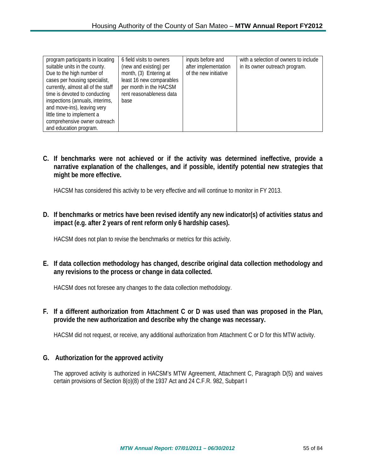| program participants in locating<br>suitable units in the county.<br>Due to the high number of<br>cases per housing specialist,<br>currently, almost all of the staff<br>time is devoted to conducting<br>inspections (annuals, interims,<br>and move-ins), leaving very<br>little time to implement a<br>comprehensive owner outreach | 6 field visits to owners<br>(new and existing) per<br>month, (3) Entering at<br>least 16 new comparables<br>per month in the HACSM<br>rent reasonableness data<br>base | inputs before and<br>after implementation<br>of the new initiative | with a selection of owners to include<br>in its owner outreach program. |
|----------------------------------------------------------------------------------------------------------------------------------------------------------------------------------------------------------------------------------------------------------------------------------------------------------------------------------------|------------------------------------------------------------------------------------------------------------------------------------------------------------------------|--------------------------------------------------------------------|-------------------------------------------------------------------------|
| and education program.                                                                                                                                                                                                                                                                                                                 |                                                                                                                                                                        |                                                                    |                                                                         |

**C. If benchmarks were not achieved or if the activity was determined ineffective, provide a narrative explanation of the challenges, and if possible, identify potential new strategies that might be more effective.**

HACSM has considered this activity to be very effective and will continue to monitor in FY 2013.

**D. If benchmarks or metrics have been revised identify any new indicator(s) of activities status and impact (e.g. after 2 years of rent reform only 6 hardship cases).**

HACSM does not plan to revise the benchmarks or metrics for this activity.

**E. If data collection methodology has changed, describe original data collection methodology and any revisions to the process or change in data collected.**

HACSM does not foresee any changes to the data collection methodology.

**F. If a different authorization from Attachment C or D was used than was proposed in the Plan, provide the new authorization and describe why the change was necessary.**

HACSM did not request, or receive, any additional authorization from Attachment C or D for this MTW activity.

### **G. Authorization for the approved activity**

The approved activity is authorized in HACSM's MTW Agreement, Attachment C, Paragraph D(5) and waives certain provisions of Section 8(o)(8) of the 1937 Act and 24 C.F.R. 982, Subpart I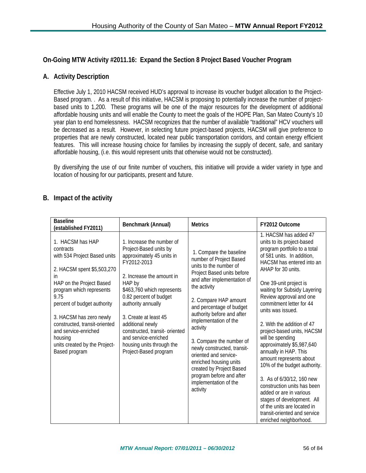# **On-Going MTW Activity #2011.16: Expand the Section 8 Project Based Voucher Program**

# **A. Activity Description**

Effective July 1, 2010 HACSM received HUD's approval to increase its voucher budget allocation to the Project-Based program. . As a result of this initiative, HACSM is proposing to potentially increase the number of projectbased units to 1,200. These programs will be one of the major resources for the development of additional affordable housing units and will enable the County to meet the goals of the HOPE Plan, San Mateo County's 10 year plan to end homelessness. HACSM recognizes that the number of available "traditional" HCV vouchers will be decreased as a result. However, in selecting future project-based projects, HACSM will give preference to properties that are newly constructed, located near public transportation corridors, and contain energy efficient features. This will increase housing choice for families by increasing the supply of decent, safe, and sanitary affordable housing, (i.e. this would represent units that otherwise would not be constructed).

By diversifying the use of our finite number of vouchers, this initiative will provide a wider variety in type and location of housing for our participants, present and future.

# **B. Impact of the activity**

| <b>Baseline</b><br>(established FY2011)                                                                                                                                                                                                                                                                                                           | Benchmark (Annual)                                                                                                                                                                                                                                                                                                                                                                | <b>Metrics</b>                                                                                                                                                                                                                                                                                                                                                                                                                                                                               | FY2012 Outcome                                                                                                                                                                                                                                                                                                                                                                                                                                                                                                                                                                                                                                                                                                            |
|---------------------------------------------------------------------------------------------------------------------------------------------------------------------------------------------------------------------------------------------------------------------------------------------------------------------------------------------------|-----------------------------------------------------------------------------------------------------------------------------------------------------------------------------------------------------------------------------------------------------------------------------------------------------------------------------------------------------------------------------------|----------------------------------------------------------------------------------------------------------------------------------------------------------------------------------------------------------------------------------------------------------------------------------------------------------------------------------------------------------------------------------------------------------------------------------------------------------------------------------------------|---------------------------------------------------------------------------------------------------------------------------------------------------------------------------------------------------------------------------------------------------------------------------------------------------------------------------------------------------------------------------------------------------------------------------------------------------------------------------------------------------------------------------------------------------------------------------------------------------------------------------------------------------------------------------------------------------------------------------|
| 1. HACSM has HAP<br>contracts<br>with 534 Project Based units<br>2. HACSM spent \$5,503,270<br>in<br>HAP on the Project Based<br>program which represents<br>9.75<br>percent of budget authority<br>3. HACSM has zero newly<br>constructed, transit-oriented<br>and service-enriched<br>housing<br>units created by the Project-<br>Based program | 1. Increase the number of<br>Project-Based units by<br>approximately 45 units in<br>FY2012-2013<br>2. Increase the amount in<br>HAP by<br>\$463,760 which represents<br>0.82 percent of budget<br>authority annually<br>3. Create at least 45<br>additional newly<br>constructed, transit- oriented<br>and service-enriched<br>housing units through the<br>Project-Based program | 1. Compare the baseline<br>number of Project Based<br>units to the number of<br>Project Based units before<br>and after implementation of<br>the activity<br>2. Compare HAP amount<br>and percentage of budget<br>authority before and after<br>implementation of the<br>activity<br>3. Compare the number of<br>newly constructed, transit-<br>oriented and service-<br>enriched housing units<br>created by Project Based<br>program before and after<br>implementation of the<br>activity | 1. HACSM has added 47<br>units to its project-based<br>program portfolio to a total<br>of 581 units. In addition,<br>HACSM has entered into an<br>AHAP for 30 units.<br>One 39-unit project is<br>waiting for Subsidy Layering<br>Review approval and one<br>commitment letter for 44<br>units was issued.<br>2. With the addition of 47<br>project-based units, HACSM<br>will be spending<br>approximately \$5,987,640<br>annually in HAP. This<br>amount represents about<br>10% of the budget authority.<br>3. As of 6/30/12, 160 new<br>construction units has been<br>added or are in various<br>stages of development. All<br>of the units are located in<br>transit-oriented and service<br>enriched neighborhood. |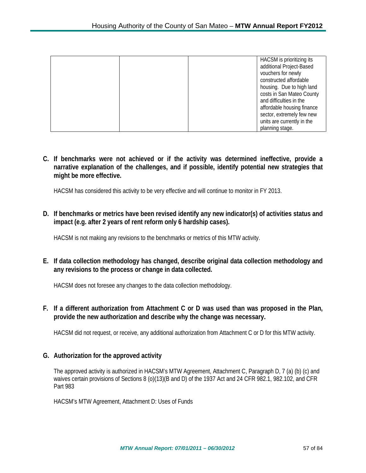| HACSM is prioritizing its  |
|----------------------------|
| additional Project-Based   |
| vouchers for newly         |
| constructed affordable     |
| housing. Due to high land  |
| costs in San Mateo County  |
| and difficulties in the    |
| affordable housing finance |
| sector, extremely few new  |
| units are currently in the |
| planning stage.            |

**C. If benchmarks were not achieved or if the activity was determined ineffective, provide a narrative explanation of the challenges, and if possible, identify potential new strategies that might be more effective.**

HACSM has considered this activity to be very effective and will continue to monitor in FY 2013.

**D. If benchmarks or metrics have been revised identify any new indicator(s) of activities status and impact (e.g. after 2 years of rent reform only 6 hardship cases).**

HACSM is not making any revisions to the benchmarks or metrics of this MTW activity.

**E. If data collection methodology has changed, describe original data collection methodology and any revisions to the process or change in data collected.**

HACSM does not foresee any changes to the data collection methodology.

**F. If a different authorization from Attachment C or D was used than was proposed in the Plan, provide the new authorization and describe why the change was necessary.**

HACSM did not request, or receive, any additional authorization from Attachment C or D for this MTW activity.

### **G. Authorization for the approved activity**

The approved activity is authorized in HACSM's MTW Agreement, Attachment C, Paragraph D, 7 (a) (b) (c) and waives certain provisions of Sections 8 (o)(13)(B and D) of the 1937 Act and 24 CFR 982.1, 982.102, and CFR Part 983

HACSM's MTW Agreement, Attachment D: Uses of Funds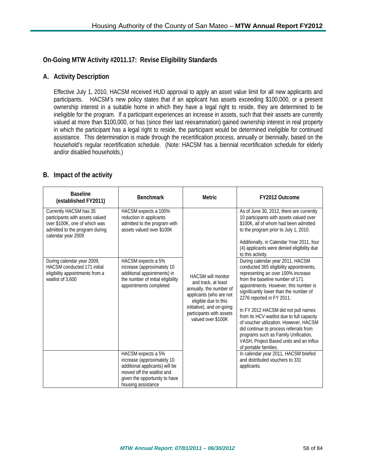# **On-Going MTW Activity #2011.17: Revise Eligibility Standards**

# **A. Activity Description**

Effective July 1, 2010, HACSM received HUD approval to apply an asset value limit for all new applicants and participants. HACSM's new policy states that if an applicant has assets exceeding \$100,000, or a present ownership interest in a suitable home in which they have a legal right to reside, they are determined to be ineligible for the program. If a participant experiences an increase in assets, such that their assets are currently valued at more than \$100,000, or has (since their last reexamination) gained ownership interest in real property in which the participant has a legal right to reside, the participant would be determined ineligible for continued assistance. This determination is made through the recertification process, annually or biennially, based on the household's regular recertification schedule. (Note: HACSM has a biennial recertification schedule for elderly and/or disabled households.)

# **B. Impact of the activity**

| <b>Baseline</b><br>(established FY2011)                                                                                                            | <b>Benchmark</b>                                                                                                                                                        | <b>Metric</b>                                                                                                                                                                                                 | FY2012 Outcome                                                                                                                                                                                                                                                                                                                                                                                                                                                                                                                                            |
|----------------------------------------------------------------------------------------------------------------------------------------------------|-------------------------------------------------------------------------------------------------------------------------------------------------------------------------|---------------------------------------------------------------------------------------------------------------------------------------------------------------------------------------------------------------|-----------------------------------------------------------------------------------------------------------------------------------------------------------------------------------------------------------------------------------------------------------------------------------------------------------------------------------------------------------------------------------------------------------------------------------------------------------------------------------------------------------------------------------------------------------|
| Currently HACSM has 35<br>participants with assets valued<br>over \$100K, one of which was<br>admitted to the program during<br>calendar year 2009 | HACSM expects a 100%<br>reduction in applicants<br>admitted to the program with<br>assets valued over \$100K                                                            | <b>HACSM will monitor</b><br>and track, at least<br>annually, the number of<br>applicants (who are not<br>eligible due to this<br>initiative), and on-going<br>participants with assets<br>valued over \$100K | As of June 30, 2012, there are currently<br>10 participants with assets valued over<br>\$100K, all of whom had been admitted<br>to the program prior to July 1, 2010.<br>Additionally, in Calendar Year 2011, four<br>(4) applicants were denied eligibility due<br>to this activity.                                                                                                                                                                                                                                                                     |
| During calendar year 2009,<br>HACSM conducted 171 initial<br>eligibility appointments from a<br>waitlist of 3,600                                  | HACSM expects a 5%<br>increase (approximately 10<br>additional appointments) in<br>the number of initial eligibility<br>appointments completed                          |                                                                                                                                                                                                               | During calendar year 2011, HACSM<br>conducted 365 eligibility appointments,<br>representing an over 100% increase<br>from the baseline number of 171<br>appointments. However, this number is<br>significantly lower than the number of<br>2276 reported in FY 2011.<br>In FY 2012 HACSM did not pull names<br>from its HCV waitlist due to full capacity<br>of voucher utilization. However, HACSM<br>did continue to process referrals from<br>programs such as Family Unification,<br>VASH, Project Based units and an influx<br>of portable families. |
|                                                                                                                                                    | HACSM expects a 5%<br>increase (approximately 10<br>additional applicants) will be<br>moved off the waitlist and<br>given the opportunity to have<br>housing assistance |                                                                                                                                                                                                               | In calendar year 2011, HACSM briefed<br>and distributed vouchers to 331<br>applicants.                                                                                                                                                                                                                                                                                                                                                                                                                                                                    |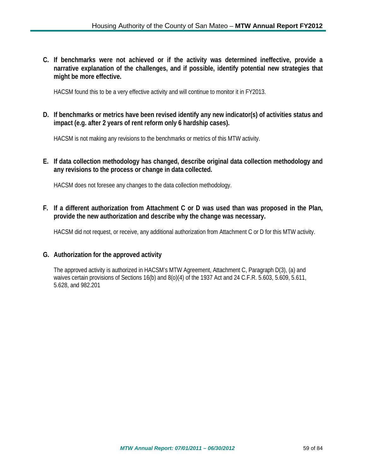**C. If benchmarks were not achieved or if the activity was determined ineffective, provide a narrative explanation of the challenges, and if possible, identify potential new strategies that might be more effective.**

HACSM found this to be a very effective activity and will continue to monitor it in FY2013.

**D. If benchmarks or metrics have been revised identify any new indicator(s) of activities status and impact (e.g. after 2 years of rent reform only 6 hardship cases).**

HACSM is not making any revisions to the benchmarks or metrics of this MTW activity.

**E. If data collection methodology has changed, describe original data collection methodology and any revisions to the process or change in data collected.**

HACSM does not foresee any changes to the data collection methodology.

**F. If a different authorization from Attachment C or D was used than was proposed in the Plan, provide the new authorization and describe why the change was necessary.**

HACSM did not request, or receive, any additional authorization from Attachment C or D for this MTW activity.

### **G. Authorization for the approved activity**

The approved activity is authorized in HACSM's MTW Agreement, Attachment C, Paragraph D(3), (a) and waives certain provisions of Sections 16(b) and 8(o)(4) of the 1937 Act and 24 C.F.R. 5.603, 5.609, 5.611, 5.628, and 982.201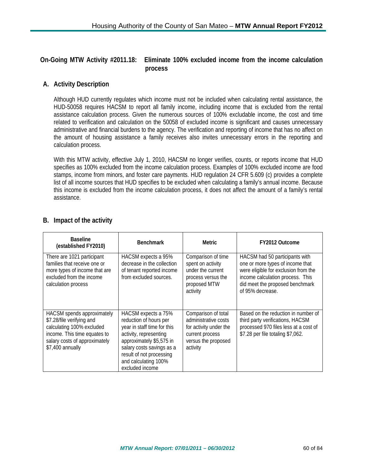**On-Going MTW Activity #2011.18: Eliminate 100% excluded income from the income calculation process**

# **A. Activity Description**

Although HUD currently regulates which income must not be included when calculating rental assistance, the HUD-50058 requires HACSM to report all family income, including income that is excluded from the rental assistance calculation process. Given the numerous sources of 100% excludable income, the cost and time related to verification and calculation on the 50058 of excluded income is significant and causes unnecessary administrative and financial burdens to the agency. The verification and reporting of income that has no affect on the amount of housing assistance a family receives also invites unnecessary errors in the reporting and calculation process.

With this MTW activity, effective July 1, 2010, HACSM no longer verifies, counts, or reports income that HUD specifies as 100% excluded from the income calculation process. Examples of 100% excluded income are food stamps, income from minors, and foster care payments. HUD regulation 24 CFR 5.609 (c) provides a complete list of all income sources that HUD specifies to be excluded when calculating a family's annual income. Because this income is excluded from the income calculation process, it does not affect the amount of a family's rental assistance.

| <b>Baseline</b><br>(established FY2010)                                                                                                                                   | <b>Benchmark</b>                                                                                                                                                                                                                       | <b>Metric</b>                                                                                                               | FY2012 Outcome                                                                                                                                                                                        |
|---------------------------------------------------------------------------------------------------------------------------------------------------------------------------|----------------------------------------------------------------------------------------------------------------------------------------------------------------------------------------------------------------------------------------|-----------------------------------------------------------------------------------------------------------------------------|-------------------------------------------------------------------------------------------------------------------------------------------------------------------------------------------------------|
| There are 1021 participant<br>families that receive one or<br>more types of income that are<br>excluded from the income<br>calculation process                            | HACSM expects a 95%<br>decrease in the collection<br>of tenant reported income<br>from excluded sources.                                                                                                                               | Comparison of time<br>spent on activity<br>under the current<br>process versus the<br>proposed MTW<br>activity              | HACSM had 50 participants with<br>one or more types of income that<br>were eligible for exclusion from the<br>income calculation process. This<br>did meet the proposed benchmark<br>of 95% decrease. |
| HACSM spends approximately<br>\$7.28/file verifying and<br>calculating 100% excluded<br>income. This time equates to<br>salary costs of approximately<br>\$7,400 annually | HACSM expects a 75%<br>reduction of hours per<br>year in staff time for this<br>activity, representing<br>approximately \$5,575 in<br>salary costs savings as a<br>result of not processing<br>and calculating 100%<br>excluded income | Comparison of total<br>administrative costs<br>for activity under the<br>current process<br>versus the proposed<br>activity | Based on the reduction in number of<br>third party verifications, HACSM<br>processed 970 files less at a cost of<br>\$7.28 per file totaling \$7,062.                                                 |

# **B. Impact of the activity**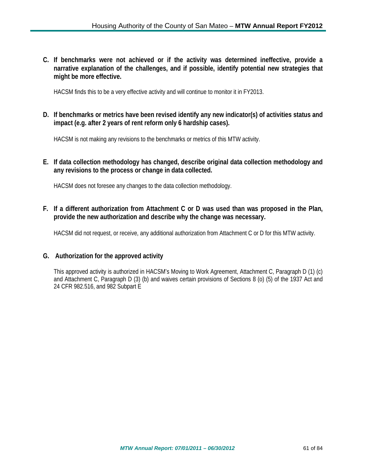**C. If benchmarks were not achieved or if the activity was determined ineffective, provide a narrative explanation of the challenges, and if possible, identify potential new strategies that might be more effective.**

HACSM finds this to be a very effective activity and will continue to monitor it in FY2013.

**D. If benchmarks or metrics have been revised identify any new indicator(s) of activities status and impact (e.g. after 2 years of rent reform only 6 hardship cases).**

HACSM is not making any revisions to the benchmarks or metrics of this MTW activity.

**E. If data collection methodology has changed, describe original data collection methodology and any revisions to the process or change in data collected.**

HACSM does not foresee any changes to the data collection methodology.

**F. If a different authorization from Attachment C or D was used than was proposed in the Plan, provide the new authorization and describe why the change was necessary.**

HACSM did not request, or receive, any additional authorization from Attachment C or D for this MTW activity.

### **G. Authorization for the approved activity**

This approved activity is authorized in HACSM's Moving to Work Agreement, Attachment C, Paragraph D (1) (c) and Attachment C, Paragraph D (3) (b) and waives certain provisions of Sections 8 (o) (5) of the 1937 Act and 24 CFR 982.516, and 982 Subpart E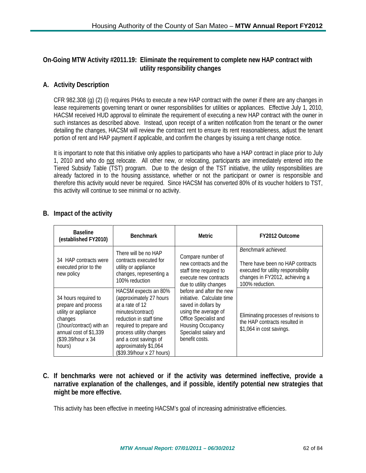# **On-Going MTW Activity #2011.19: Eliminate the requirement to complete new HAP contract with utility responsibility changes**

# **A. Activity Description**

CFR 982.308 (g) (2) (i) requires PHAs to execute a new HAP contract with the owner if there are any changes in lease requirements governing tenant or owner responsibilities for utilities or appliances. Effective July 1, 2010, HACSM received HUD approval to eliminate the requirement of executing a new HAP contract with the owner in such instances as described above. Instead, upon receipt of a written notification from the tenant or the owner detailing the changes, HACSM will review the contract rent to ensure its rent reasonableness, adjust the tenant portion of rent and HAP payment if applicable, and confirm the changes by issuing a rent change notice.

It is important to note that this initiative only applies to participants who have a HAP contract in place prior to July 1, 2010 and who do not relocate. All other new, or relocating, participants are immediately entered into the Tiered Subsidy Table (TST) program. Due to the design of the TST initiative, the utility responsibilities are already factored in to the housing assistance, whether or not the participant or owner is responsible and therefore this activity would never be required. Since HACSM has converted 80% of its voucher holders to TST, this activity will continue to see minimal or no activity.

| <b>Baseline</b><br>(established FY2010)                                                                                                                               | <b>Benchmark</b>                                                                                                                                                                                                                                        | <b>Metric</b>                                                                                                                                                                                                                                                                                                             | FY2012 Outcome                                                                                                                                      |
|-----------------------------------------------------------------------------------------------------------------------------------------------------------------------|---------------------------------------------------------------------------------------------------------------------------------------------------------------------------------------------------------------------------------------------------------|---------------------------------------------------------------------------------------------------------------------------------------------------------------------------------------------------------------------------------------------------------------------------------------------------------------------------|-----------------------------------------------------------------------------------------------------------------------------------------------------|
| 34 HAP contracts were<br>executed prior to the<br>new policy                                                                                                          | There will be no HAP<br>contracts executed for<br>utility or appliance<br>changes, representing a<br>100% reduction                                                                                                                                     | Compare number of<br>new contracts and the<br>staff time required to<br>execute new contracts<br>due to utility changes<br>before and after the new<br>initiative. Calculate time<br>saved in dollars by<br>using the average of<br>Office Specialist and<br>Housing Occupancy<br>Specialist salary and<br>benefit costs. | Benchmark achieved.<br>There have been no HAP contracts<br>executed for utility responsibility<br>changes in FY2012, achieving a<br>100% reduction. |
| 34 hours required to<br>prepare and process<br>utility or appliance<br>changes<br>(1hour/contract) with an<br>annual cost of \$1,339<br>(\$39.39/hour x 34)<br>hours) | HACSM expects an 80%<br>(approximately 27 hours<br>at a rate of 12<br>minutes/contract)<br>reduction in staff time<br>required to prepare and<br>process utility changes<br>and a cost savings of<br>approximately \$1,064<br>(\$39.39/hour x 27 hours) |                                                                                                                                                                                                                                                                                                                           | Eliminating processes of revisions to<br>the HAP contracts resulted in<br>\$1,064 in cost savings.                                                  |

# **B. Impact of the activity**

**C. If benchmarks were not achieved or if the activity was determined ineffective, provide a narrative explanation of the challenges, and if possible, identify potential new strategies that might be more effective.**

This activity has been effective in meeting HACSM's goal of increasing administrative efficiencies.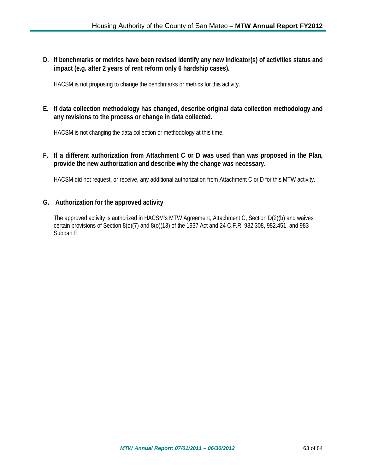**D. If benchmarks or metrics have been revised identify any new indicator(s) of activities status and impact (e.g. after 2 years of rent reform only 6 hardship cases).**

HACSM is not proposing to change the benchmarks or metrics for this activity.

# **E. If data collection methodology has changed, describe original data collection methodology and any revisions to the process or change in data collected.**

HACSM is not changing the data collection or methodology at this time.

### **F. If a different authorization from Attachment C or D was used than was proposed in the Plan, provide the new authorization and describe why the change was necessary.**

HACSM did not request, or receive, any additional authorization from Attachment C or D for this MTW activity.

### **G. Authorization for the approved activity**

The approved activity is authorized in HACSM's MTW Agreement, Attachment C, Section D(2)(b) and waives certain provisions of Section 8(o)(7) and 8(o)(13) of the 1937 Act and 24 C.F.R. 982.308, 982.451, and 983 Subpart E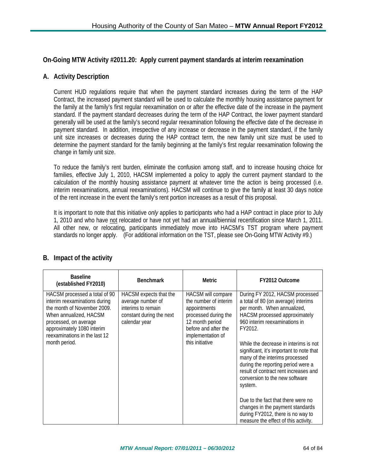# **On-Going MTW Activity #2011.20: Apply current payment standards at interim reexamination**

## **A. Activity Description**

Current HUD regulations require that when the payment standard increases during the term of the HAP Contract, the increased payment standard will be used to calculate the monthly housing assistance payment for the family at the family's first regular reexamination on or after the effective date of the increase in the payment standard. If the payment standard decreases during the term of the HAP Contract, the lower payment standard generally will be used at the family's second regular reexamination following the effective date of the decrease in payment standard. In addition, irrespective of any increase or decrease in the payment standard, if the family unit size increases or decreases during the HAP contract term, the new family unit size must be used to determine the payment standard for the family beginning at the family's first regular reexamination following the change in family unit size.

To reduce the family's rent burden, eliminate the confusion among staff, and to increase housing choice for families, effective July 1, 2010, HACSM implemented a policy to apply the current payment standard to the calculation of the monthly housing assistance payment at whatever time the action is being processed (i.e. interim reexaminations, annual reexaminations). HACSM will continue to give the family at least 30 days notice of the rent increase in the event the family's rent portion increases as a result of this proposal.

It is important to note that this initiative *only* applies to participants who had a HAP contract in place prior to July 1, 2010 and who have not relocated or have not yet had an annual/biennial recertification since March 1, 2011. All other new, or relocating, participants immediately move into HACSM's TST program where payment standards no longer apply. (For additional information on the TST, please see On-Going MTW Activity #9.)

| <b>Baseline</b><br>(established FY2010)                                                                                                                                                                                          | <b>Benchmark</b>                                                                                               | <b>Metric</b>                                                                                                                                                          | FY2012 Outcome                                                                                                                                                                                                                                                                                                                                                                                                                                                                                                                                                                               |
|----------------------------------------------------------------------------------------------------------------------------------------------------------------------------------------------------------------------------------|----------------------------------------------------------------------------------------------------------------|------------------------------------------------------------------------------------------------------------------------------------------------------------------------|----------------------------------------------------------------------------------------------------------------------------------------------------------------------------------------------------------------------------------------------------------------------------------------------------------------------------------------------------------------------------------------------------------------------------------------------------------------------------------------------------------------------------------------------------------------------------------------------|
| HACSM processed a total of 90<br>interim reexaminations during<br>the month of November 2009.<br>When annualized, HACSM<br>processed, on average<br>approximately 1080 interim<br>reexaminations in the last 12<br>month period. | HACSM expects that the<br>average number of<br>interims to remain<br>constant during the next<br>calendar year | HACSM will compare<br>the number of interim<br>appointments<br>processed during the<br>12 month period<br>before and after the<br>implementation of<br>this initiative | During FY 2012, HACSM processed<br>a total of 80 (on average) interims<br>per month. When annualized,<br>HACSM processed approximately<br>960 interim reexaminations in<br>FY2012.<br>While the decrease in interims is not<br>significant, it's important to note that<br>many of the interims processed<br>during the reporting period were a<br>result of contract rent increases and<br>conversion to the new software<br>system.<br>Due to the fact that there were no<br>changes in the payment standards<br>during FY2012, there is no way to<br>measure the effect of this activity. |

# **B. Impact of the activity**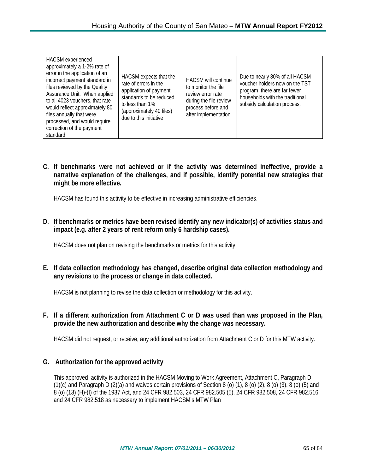| HACSM experienced<br>approximately a 1-2% rate of<br>error in the application of an<br>incorrect payment standard in<br>files reviewed by the Quality<br>Assurance Unit. When applied<br>to all 4023 vouchers, that rate<br>would reflect approximately 80<br>files annually that were<br>processed, and would require<br>correction of the payment<br>standard | HACSM expects that the<br>rate of errors in the<br>application of payment<br>standards to be reduced<br>to less than 1%<br>(approximately 40 files)<br>due to this initiative | <b>HACSM will continue</b><br>to monitor the file<br>review error rate<br>during the file review<br>process before and<br>after implementation | Due to nearly 80% of all HACSM<br>voucher holders now on the TST<br>program, there are far fewer<br>households with the traditional<br>subsidy calculation process. |
|-----------------------------------------------------------------------------------------------------------------------------------------------------------------------------------------------------------------------------------------------------------------------------------------------------------------------------------------------------------------|-------------------------------------------------------------------------------------------------------------------------------------------------------------------------------|------------------------------------------------------------------------------------------------------------------------------------------------|---------------------------------------------------------------------------------------------------------------------------------------------------------------------|
|-----------------------------------------------------------------------------------------------------------------------------------------------------------------------------------------------------------------------------------------------------------------------------------------------------------------------------------------------------------------|-------------------------------------------------------------------------------------------------------------------------------------------------------------------------------|------------------------------------------------------------------------------------------------------------------------------------------------|---------------------------------------------------------------------------------------------------------------------------------------------------------------------|

**C. If benchmarks were not achieved or if the activity was determined ineffective, provide a narrative explanation of the challenges, and if possible, identify potential new strategies that might be more effective.**

HACSM has found this activity to be effective in increasing administrative efficiencies.

**D. If benchmarks or metrics have been revised identify any new indicator(s) of activities status and impact (e.g. after 2 years of rent reform only 6 hardship cases).**

HACSM does not plan on revising the benchmarks or metrics for this activity.

**E. If data collection methodology has changed, describe original data collection methodology and any revisions to the process or change in data collected.**

HACSM is not planning to revise the data collection or methodology for this activity.

**F. If a different authorization from Attachment C or D was used than was proposed in the Plan, provide the new authorization and describe why the change was necessary.**

HACSM did not request, or receive, any additional authorization from Attachment C or D for this MTW activity.

### **G. Authorization for the approved activity**

This approved activity is authorized in the HACSM Moving to Work Agreement, Attachment C, Paragraph D (1)(c) and Paragraph D (2)(a) and waives certain provisions of Section 8 (o) (1), 8 (o) (2), 8 (o) (3), 8 (o) (5) and 8 (o) (13) (H)-(I) of the 1937 Act, and 24 CFR 982.503, 24 CFR 982.505 (5), 24 CFR 982.508, 24 CFR 982.516 and 24 CFR 982.518 as necessary to implement HACSM's MTW Plan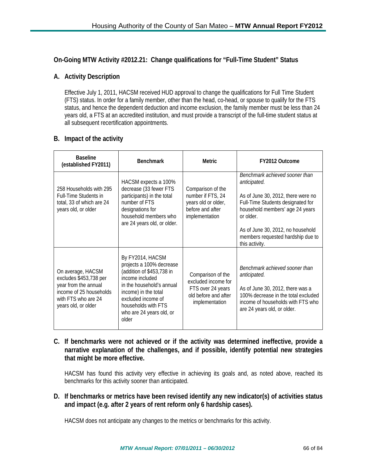## **On-Going MTW Activity #2012.21: Change qualifications for "Full-Time Student" Status**

## **A. Activity Description**

Effective July 1, 2011, HACSM received HUD approval to change the qualifications for Full Time Student (FTS) status. In order for a family member, other than the head, co-head, or spouse to qualify for the FTS status, and hence the dependent deduction and income exclusion, the family member must be less than 24 years old, a FTS at an accredited institution, and must provide a transcript of the full-time student status at all subsequent recertification appointments.

### **B. Impact of the activity**

| <b>Baseline</b><br>(established FY2011)                                                                                                      | <b>Benchmark</b>                                                                                                                                                                                                                    | <b>Metric</b>                                                                                           | FY2012 Outcome                                                                                                                                                                                                                                                        |
|----------------------------------------------------------------------------------------------------------------------------------------------|-------------------------------------------------------------------------------------------------------------------------------------------------------------------------------------------------------------------------------------|---------------------------------------------------------------------------------------------------------|-----------------------------------------------------------------------------------------------------------------------------------------------------------------------------------------------------------------------------------------------------------------------|
| 258 Households with 295<br><b>Full-Time Students in</b><br>total, 33 of which are 24<br>years old, or older                                  | HACSM expects a 100%<br>decrease (33 fewer FTS<br>participants) in the total<br>number of FTS<br>designations for<br>household members who<br>are 24 years old, or older.                                                           | Comparison of the<br>number if FTS, 24<br>years old or older,<br>before and after<br>implementation     | Benchmark achieved sooner than<br>anticipated.<br>As of June 30, 2012, there were no<br>Full-Time Students designated for<br>household members' age 24 years<br>or older.<br>As of June 30, 2012, no household<br>members requested hardship due to<br>this activity. |
| On average, HACSM<br>excludes \$453,738 per<br>year from the annual<br>income of 25 households<br>with FTS who are 24<br>years old, or older | By FY2014, HACSM<br>projects a 100% decrease<br>(addition of \$453,738 in<br>income included<br>in the household's annual<br>income) in the total<br>excluded income of<br>households with FTS<br>who are 24 years old, or<br>older | Comparison of the<br>excluded income for<br>FTS over 24 years<br>old before and after<br>implementation | Benchmark achieved sooner than<br>anticipated.<br>As of June 30, 2012, there was a<br>100% decrease in the total excluded<br>income of households with FTS who<br>are 24 years old, or older.                                                                         |

**C. If benchmarks were not achieved or if the activity was determined ineffective, provide a narrative explanation of the challenges, and if possible, identify potential new strategies that might be more effective.**

HACSM has found this activity very effective in achieving its goals and, as noted above, reached its benchmarks for this activity sooner than anticipated.

## **D. If benchmarks or metrics have been revised identify any new indicator(s) of activities status and impact (e.g. after 2 years of rent reform only 6 hardship cases).**

HACSM does not anticipate any changes to the metrics or benchmarks for this activity.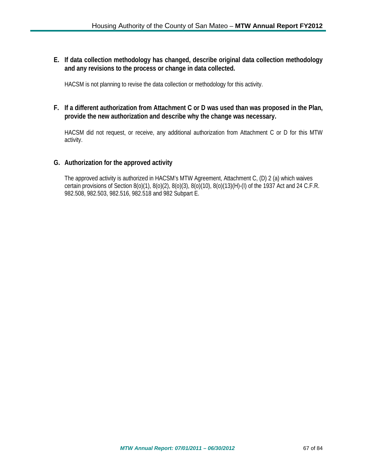**E. If data collection methodology has changed, describe original data collection methodology and any revisions to the process or change in data collected.**

HACSM is not planning to revise the data collection or methodology for this activity.

# **F. If a different authorization from Attachment C or D was used than was proposed in the Plan, provide the new authorization and describe why the change was necessary.**

HACSM did not request, or receive, any additional authorization from Attachment C or D for this MTW activity.

## **G. Authorization for the approved activity**

The approved activity is authorized in HACSM's MTW Agreement, Attachment C, (D) 2 (a) which waives certain provisions of Section 8(o)(1), 8(o)(2), 8(o)(3), 8(o)(10), 8(o)(13)(H)-(I) of the 1937 Act and 24 C.F.R. 982.508, 982.503, 982.516, 982.518 and 982 Subpart E.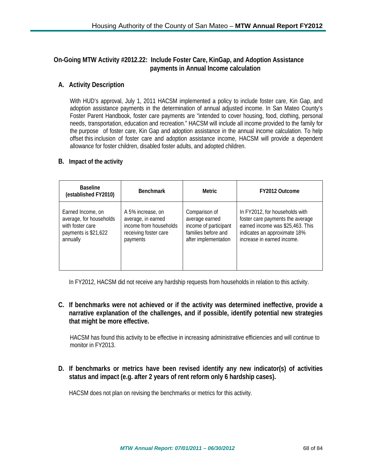# **On-Going MTW Activity #2012.22: Include Foster Care, KinGap, and Adoption Assistance payments in Annual Income calculation**

# **A. Activity Description**

With HUD's approval, July 1, 2011 HACSM implemented a policy to include foster care, Kin Gap, and adoption assistance payments in the determination of annual adjusted income. In San Mateo County's Foster Parent Handbook, foster care payments are "intended to cover housing, food, clothing, personal needs, transportation, education and recreation." HACSM will include all income provided to the family for the purpose of foster care, Kin Gap and adoption assistance in the annual income calculation. To help offset this inclusion of foster care and adoption assistance income, HACSM will provide a dependent allowance for foster children, disabled foster adults, and adopted children.

### **B. Impact of the activity**

| <b>Baseline</b><br>(established FY2010) | <b>Benchmark</b>       | Metric                | FY2012 Outcome                   |
|-----------------------------------------|------------------------|-----------------------|----------------------------------|
| Earned Income, on                       | A 5% increase, on      | Comparison of         | In FY2012, for households with   |
| average, for households                 | average, in earned     | average earned        | foster care payments the average |
| with foster care                        | income from households | income of participant | earned income was \$25,463. This |
| payments is \$21,622                    | receiving foster care  | families before and   | indicates an approximate 18%     |
| annually                                | payments               | after implementation  | increase in earned income.       |

In FY2012, HACSM did not receive any hardship requests from households in relation to this activity.

**C. If benchmarks were not achieved or if the activity was determined ineffective, provide a narrative explanation of the challenges, and if possible, identify potential new strategies that might be more effective.**

HACSM has found this activity to be effective in increasing administrative efficiencies and will continue to monitor in FY2013.

**D. If benchmarks or metrics have been revised identify any new indicator(s) of activities status and impact (e.g. after 2 years of rent reform only 6 hardship cases).**

HACSM does not plan on revising the benchmarks or metrics for this activity.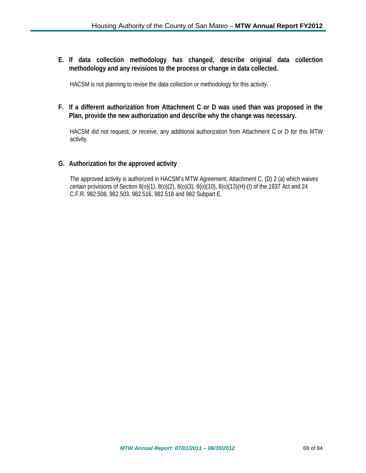**E. If data collection methodology has changed, describe original data collection methodology and any revisions to the process or change in data collected.**

HACSM is not planning to revise the data collection or methodology for this activity.

### **F. If a different authorization from Attachment C or D was used than was proposed in the Plan, provide the new authorization and describe why the change was necessary.**

HACSM did not request, or receive, any additional authorization from Attachment C or D for this MTW activity.

### **G. Authorization for the approved activity**

The approved activity is authorized in HACSM's MTW Agreement, Attachment C, (D) 2 (a) which waives certain provisions of Section 8(o)(1), 8(o)(2), 8(o)(3), 8(o)(10), 8(o)(13)(H)-(I) of the 1937 Act and 24 C.F.R. 982.508, 982.503, 982.516, 982.518 and 982 Subpart E.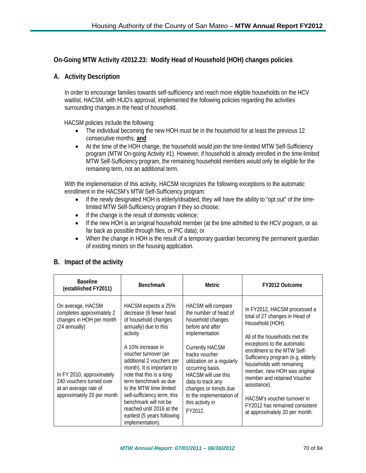# **On-Going MTW Activity #2012.23: Modify Head of Household (HOH) changes policies**

## **A. Activity Description**

In order to encourage families towards self-sufficiency and reach more eligible households on the HCV waitlist, HACSM, with HUD's approval, implemented the following policies regarding the activities surrounding changes in the head of household.

HACSM policies include the following:

- The individual becoming the new HOH must be in the household for at least the previous 12 consecutive months, **and**
- At the time of the HOH change, the household would join the time-limited MTW Self-Sufficiency program (MTW On-going Activity #1). However, if household is already enrolled in the time-limited MTW Self-Sufficiency program, the remaining household members would only be eligible for the remaining term, not an additional term.

With the implementation of this activity, HACSM recognizes the following exceptions to the automatic enrollment in the HACSM's MTW Self-Sufficiency program:

- If the newly designated HOH is elderly/disabled, they will have the ability to "opt out" of the timelimited MTW Self-Sufficiency program if they so choose;
- If the change is the result of domestic violence;
- If the new HOH is an original household member (at the time admitted to the HCV program, or as far back as possible through files, or PIC data); or
- When the change in HOH is the result of a temporary quardian becoming the permanent quardian of existing minors on the housing application.

### **B. Impact of the activity**

| <b>Baseline</b><br>(established FY2011)                                                                      | <b>Benchmark</b>                                                                                                                                                                                                                                                                                                              | Metric                                                                                                                                                                                                                            | FY2012 Outcome                                                                                                                                                                                                                                                                                                                                                                                                                        |
|--------------------------------------------------------------------------------------------------------------|-------------------------------------------------------------------------------------------------------------------------------------------------------------------------------------------------------------------------------------------------------------------------------------------------------------------------------|-----------------------------------------------------------------------------------------------------------------------------------------------------------------------------------------------------------------------------------|---------------------------------------------------------------------------------------------------------------------------------------------------------------------------------------------------------------------------------------------------------------------------------------------------------------------------------------------------------------------------------------------------------------------------------------|
| On average, HACSM<br>completes approximately 2<br>changes in HOH per month<br>(24 annually)                  | HACSM expects a 25%<br>decrease (6 fewer head<br>of household changes<br>annually) due to this<br>activity                                                                                                                                                                                                                    | HACSM will compare<br>the number of head of<br>household changes<br>before and after<br>implementation                                                                                                                            | In FY2012, HACSM processed a<br>total of 27 changes in Head of<br>Household (HOH).<br>All of the households met the<br>exceptions to the automatic<br>enrollment to the MTW Self-<br>Sufficiency program (e.g. elderly<br>households with remaining<br>member, new HOH was original<br>member and retained Voucher<br>assistance).<br>HACSM's voucher turnover in<br>FY2012 has remained consistent<br>at approximately 20 per month. |
| In FY 2010, approximately<br>240 vouchers turned over<br>at an average rate of<br>approximately 20 per month | A 10% increase in<br>voucher turnover (an<br>additional 2 vouchers per<br>month). It is important to<br>note that this is a long-<br>term benchmark as due<br>to the MTW time limited<br>self-sufficiency term, this<br>benchmark will not be<br>reached until 2016 at the<br>earliest (5 years following<br>implementation). | <b>Currently HACSM</b><br>tracks voucher<br>utilization on a regularly<br>occurring basis.<br><b>HACSM</b> will use this<br>data to track any<br>changes or trends due<br>to the implementation of<br>this activity in<br>FY2012. |                                                                                                                                                                                                                                                                                                                                                                                                                                       |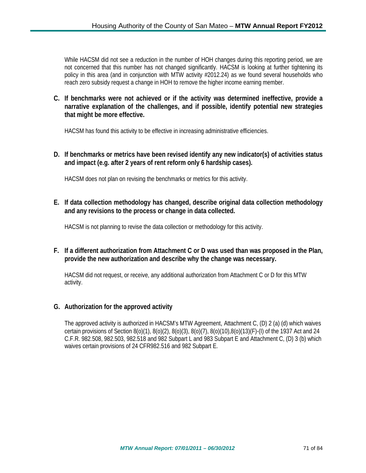While HACSM did not see a reduction in the number of HOH changes during this reporting period, we are not concerned that this number has not changed significantly. HACSM is looking at further tightening its policy in this area (and in conjunction with MTW activity #2012.24) as we found several households who reach zero subsidy request a change in HOH to remove the higher income earning member.

**C. If benchmarks were not achieved or if the activity was determined ineffective, provide a narrative explanation of the challenges, and if possible, identify potential new strategies that might be more effective.**

HACSM has found this activity to be effective in increasing administrative efficiencies.

**D. If benchmarks or metrics have been revised identify any new indicator(s) of activities status and impact (e.g. after 2 years of rent reform only 6 hardship cases).**

HACSM does not plan on revising the benchmarks or metrics for this activity.

**E. If data collection methodology has changed, describe original data collection methodology and any revisions to the process or change in data collected.**

HACSM is not planning to revise the data collection or methodology for this activity.

## **F. If a different authorization from Attachment C or D was used than was proposed in the Plan, provide the new authorization and describe why the change was necessary.**

HACSM did not request, or receive, any additional authorization from Attachment C or D for this MTW activity.

### **G. Authorization for the approved activity**

The approved activity is authorized in HACSM's MTW Agreement, Attachment C, (D) 2 (a) (d) which waives certain provisions of Section 8(o)(1), 8(o)(2), 8(o)(3), 8(o)(7), 8(o)(10),8(o)(13)(F)-(I) of the 1937 Act and 24 C.F.R. 982.508, 982.503, 982.518 and 982 Subpart L and 983 Subpart E and Attachment C, (D) 3 (b) which waives certain provisions of 24 CFR982.516 and 982 Subpart E.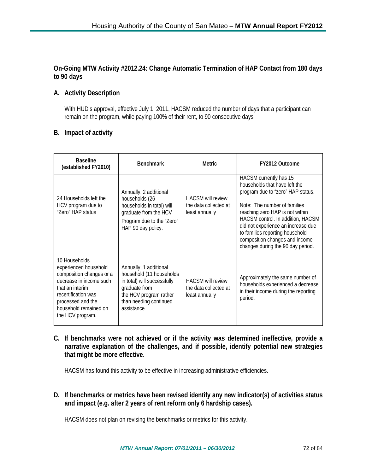### **On-Going MTW Activity #2012.24: Change Automatic Termination of HAP Contact from 180 days to 90 days**

# **A. Activity Description**

With HUD's approval, effective July 1, 2011, HACSM reduced the number of days that a participant can remain on the program, while paying 100% of their rent, to 90 consecutive days

### **B. Impact of activity**

| <b>Baseline</b><br>(established FY2010)                                                                                                                                                                   | <b>Benchmark</b>                                                                                                                                                      | Metric                                                              | <b>FY2012 Outcome</b>                                                                                                                                                                                                                                                                                                                                |
|-----------------------------------------------------------------------------------------------------------------------------------------------------------------------------------------------------------|-----------------------------------------------------------------------------------------------------------------------------------------------------------------------|---------------------------------------------------------------------|------------------------------------------------------------------------------------------------------------------------------------------------------------------------------------------------------------------------------------------------------------------------------------------------------------------------------------------------------|
| 24 Households left the<br>HCV program due to<br>"Zero" HAP status                                                                                                                                         | Annually, 2 additional<br>households (26<br>households in total) will<br>graduate from the HCV<br>Program due to the "Zero"<br>HAP 90 day policy.                     | <b>HACSM will review</b><br>the data collected at<br>least annually | HACSM currently has 15<br>households that have left the<br>program due to "zero" HAP status.<br>Note: The number of families<br>reaching zero HAP is not within<br>HACSM control. In addition, HACSM<br>did not experience an increase due<br>to families reporting household<br>composition changes and income<br>changes during the 90 day period. |
| 10 Households<br>experienced household<br>composition changes or a<br>decrease in income such<br>that an interim<br>recertification was<br>processed and the<br>household remained on<br>the HCV program. | Annually, 1 additional<br>household (11 households<br>in total) will successfully<br>graduate from<br>the HCV program rather<br>than needing continued<br>assistance. | <b>HACSM will review</b><br>the data collected at<br>least annually | Approximately the same number of<br>households experienced a decrease<br>in their income during the reporting<br>period.                                                                                                                                                                                                                             |

**C. If benchmarks were not achieved or if the activity was determined ineffective, provide a narrative explanation of the challenges, and if possible, identify potential new strategies that might be more effective.**

HACSM has found this activity to be effective in increasing administrative efficiencies.

**D. If benchmarks or metrics have been revised identify any new indicator(s) of activities status and impact (e.g. after 2 years of rent reform only 6 hardship cases).**

HACSM does not plan on revising the benchmarks or metrics for this activity.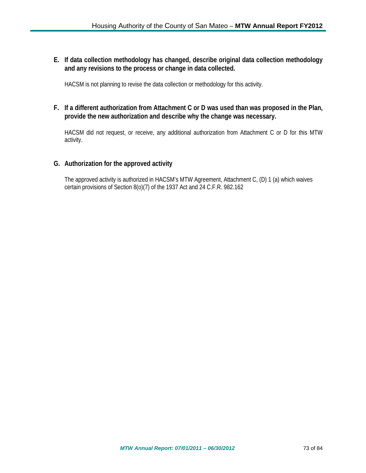**E. If data collection methodology has changed, describe original data collection methodology and any revisions to the process or change in data collected.**

HACSM is not planning to revise the data collection or methodology for this activity.

**F. If a different authorization from Attachment C or D was used than was proposed in the Plan, provide the new authorization and describe why the change was necessary.**

HACSM did not request, or receive, any additional authorization from Attachment C or D for this MTW activity.

### **G. Authorization for the approved activity**

The approved activity is authorized in HACSM's MTW Agreement, Attachment C, (D) 1 (a) which waives certain provisions of Section 8(o)(7) of the 1937 Act and 24 C.F.R. 982.162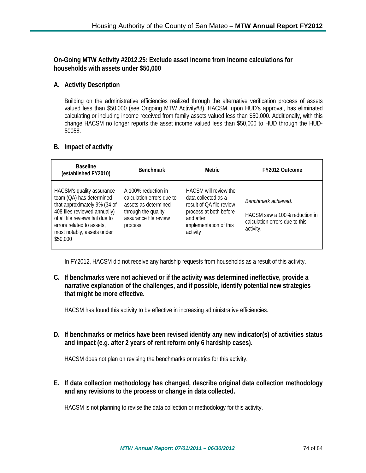**On-Going MTW Activity #2012.25: Exclude asset income from income calculations for households with assets under \$50,000**

### **A. Activity Description**

Building on the administrative efficiencies realized through the alternative verification process of assets valued less than \$50,000 (see Ongoing MTW Activity#8), HACSM, upon HUD's approval, has eliminated calculating or including income received from family assets valued less than \$50,000. Additionally, with this change HACSM no longer reports the asset income valued less than \$50,000 to HUD through the HUD-50058.

### **B. Impact of activity**

| <b>Baseline</b><br>(established FY2010)                                                                                                                                                                                         | <b>Benchmark</b>                                                                                                                    | Metric                                                                                                                                                       | FY2012 Outcome                                                                                      |
|---------------------------------------------------------------------------------------------------------------------------------------------------------------------------------------------------------------------------------|-------------------------------------------------------------------------------------------------------------------------------------|--------------------------------------------------------------------------------------------------------------------------------------------------------------|-----------------------------------------------------------------------------------------------------|
| HACSM's quality assurance<br>team (QA) has determined<br>that approximately 9% (34 of<br>408 files reviewed annually)<br>of all file reviews fail due to<br>errors related to assets,<br>most notably, assets under<br>\$50,000 | A 100% reduction in<br>calculation errors due to<br>assets as determined<br>through the quality<br>assurance file review<br>process | <b>HACSM</b> will review the<br>data collected as a<br>result of OA file review<br>process at both before<br>and after<br>implementation of this<br>activity | Benchmark achieved.<br>HACSM saw a 100% reduction in<br>calculation errors due to this<br>activity. |

In FY2012, HACSM did not receive any hardship requests from households as a result of this activity.

### **C. If benchmarks were not achieved or if the activity was determined ineffective, provide a narrative explanation of the challenges, and if possible, identify potential new strategies that might be more effective.**

HACSM has found this activity to be effective in increasing administrative efficiencies.

**D. If benchmarks or metrics have been revised identify any new indicator(s) of activities status and impact (e.g. after 2 years of rent reform only 6 hardship cases).**

HACSM does not plan on revising the benchmarks or metrics for this activity.

**E. If data collection methodology has changed, describe original data collection methodology and any revisions to the process or change in data collected.**

HACSM is not planning to revise the data collection or methodology for this activity.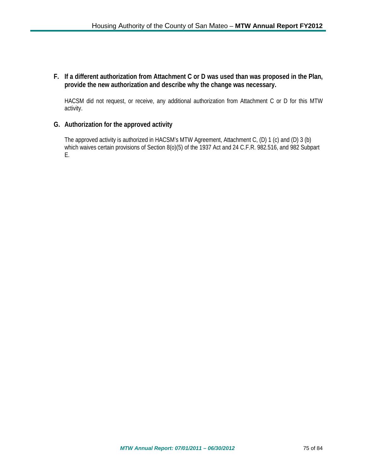### **F. If a different authorization from Attachment C or D was used than was proposed in the Plan, provide the new authorization and describe why the change was necessary.**

HACSM did not request, or receive, any additional authorization from Attachment C or D for this MTW activity.

### **G. Authorization for the approved activity**

The approved activity is authorized in HACSM's MTW Agreement, Attachment C, (D) 1 (c) and (D) 3 (b) which waives certain provisions of Section 8(o)(5) of the 1937 Act and 24 C.F.R. 982.516, and 982 Subpart E.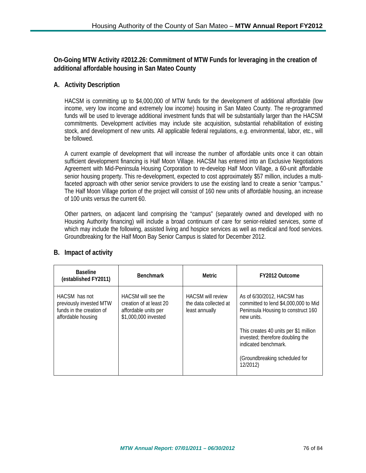**On-Going MTW Activity #2012.26: Commitment of MTW Funds for leveraging in the creation of additional affordable housing in San Mateo County**

# **A. Activity Description**

HACSM is committing up to \$4,000,000 of MTW funds for the development of additional affordable (low income, very low income and extremely low income) housing in San Mateo County. The re-programmed funds will be used to leverage additional investment funds that will be substantially larger than the HACSM commitments. Development activities may include site acquisition, substantial rehabilitation of existing stock, and development of new units. All applicable federal regulations, e.g. environmental, labor, etc., will be followed.

A current example of development that will increase the number of affordable units once it can obtain sufficient development financing is Half Moon Village. HACSM has entered into an Exclusive Negotiations Agreement with Mid-Peninsula Housing Corporation to re-develop Half Moon Village, a 60-unit affordable senior housing property. This re-development, expected to cost approximately \$57 million, includes a multifaceted approach with other senior service providers to use the existing land to create a senior "campus." The Half Moon Village portion of the project will consist of 160 new units of affordable housing, an increase of 100 units versus the current 60.

Other partners, on adjacent land comprising the "campus" (separately owned and developed with no Housing Authority financing) will include a broad continuum of care for senior-related services, some of which may include the following, assisted living and hospice services as well as medical and food services. Groundbreaking for the Half Moon Bay Senior Campus is slated for December 2012.

| <b>Baseline</b><br>(established FY2011)                                                    | <b>Benchmark</b>                                                                              | Metric                                                              | FY2012 Outcome                                                                                                         |
|--------------------------------------------------------------------------------------------|-----------------------------------------------------------------------------------------------|---------------------------------------------------------------------|------------------------------------------------------------------------------------------------------------------------|
| HACSM has not<br>previously invested MTW<br>funds in the creation of<br>affordable housing | HACSM will see the<br>creation of at least 20<br>affordable units per<br>\$1,000,000 invested | <b>HACSM will review</b><br>the data collected at<br>least annually | As of 6/30/2012, HACSM has<br>committed to lend \$4,000,000 to Mid<br>Peninsula Housing to construct 160<br>new units. |
|                                                                                            |                                                                                               |                                                                     | This creates 40 units per \$1 million<br>invested; therefore doubling the<br>indicated benchmark.                      |
|                                                                                            |                                                                                               |                                                                     | (Groundbreaking scheduled for<br>12/2012)                                                                              |

# **B. Impact of activity**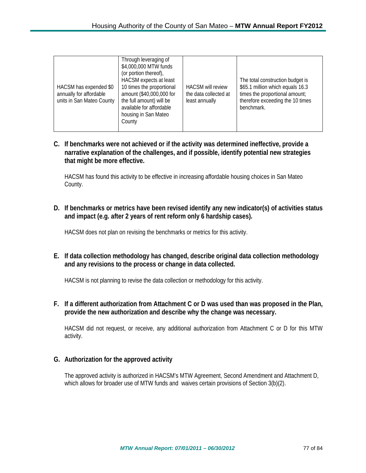| HACSM has expended \$0<br>annually for affordable<br>units in San Mateo County | Through leveraging of<br>\$4,000,000 MTW funds<br>(or portion thereof),<br>HACSM expects at least<br>10 times the proportional<br>amount (\$40,000,000 for<br>the full amount) will be<br>available for affordable<br>housing in San Mateo<br>County | <b>HACSM</b> will review<br>the data collected at<br>least annually | The total construction budget is<br>\$65.1 million which equals 16.3<br>times the proportional amount;<br>therefore exceeding the 10 times<br>benchmark. |
|--------------------------------------------------------------------------------|------------------------------------------------------------------------------------------------------------------------------------------------------------------------------------------------------------------------------------------------------|---------------------------------------------------------------------|----------------------------------------------------------------------------------------------------------------------------------------------------------|
|--------------------------------------------------------------------------------|------------------------------------------------------------------------------------------------------------------------------------------------------------------------------------------------------------------------------------------------------|---------------------------------------------------------------------|----------------------------------------------------------------------------------------------------------------------------------------------------------|

**C. If benchmarks were not achieved or if the activity was determined ineffective, provide a narrative explanation of the challenges, and if possible, identify potential new strategies that might be more effective.**

HACSM has found this activity to be effective in increasing affordable housing choices in San Mateo County.

**D. If benchmarks or metrics have been revised identify any new indicator(s) of activities status and impact (e.g. after 2 years of rent reform only 6 hardship cases).**

HACSM does not plan on revising the benchmarks or metrics for this activity.

**E. If data collection methodology has changed, describe original data collection methodology and any revisions to the process or change in data collected.**

HACSM is not planning to revise the data collection or methodology for this activity.

**F. If a different authorization from Attachment C or D was used than was proposed in the Plan, provide the new authorization and describe why the change was necessary.**

HACSM did not request, or receive, any additional authorization from Attachment C or D for this MTW activity.

#### **G. Authorization for the approved activity**

The approved activity is authorized in HACSM's MTW Agreement, Second Amendment and Attachment D, which allows for broader use of MTW funds and waives certain provisions of Section 3(b)(2).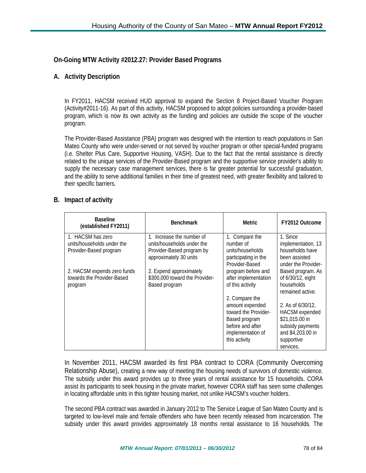### **On-Going MTW Activity #2012.27: Provider Based Programs**

### **A. Activity Description**

In FY2011, HACSM received HUD approval to expand the Section 8 Project-Based Voucher Program (Activity#2011-16). As part of this activity, HACSM proposed to adopt policies surrounding a provider-based program, which is now its own activity as the funding and policies are outside the scope of the voucher program.

The Provider-Based Assistance (PBA) program was designed with the intention to reach populations in San Mateo County who were under-served or not served by voucher program or other special-funded programs (i.e. Shelter Plus Care, Supportive Housing, VASH). Due to the fact that the rental assistance is directly related to the unique services of the Provider-Based program and the supportive service provider's ability to supply the necessary case management services, there is far greater potential for successful graduation, and the ability to serve additional families in their time of greatest need, with greater flexibility and tailored to their specific barriers.

#### **B. Impact of activity**

| <b>Baseline</b><br>(established FY2011) | <b>Benchmark</b>               | <b>Metric</b>        | FY2012 Outcome        |
|-----------------------------------------|--------------------------------|----------------------|-----------------------|
| 1. HACSM has zero                       | 1. Increase the number of      | 1. Compare the       | 1. Since              |
| units/households under the              | units/households under the     | number of            | implementation, 13    |
| Provider-Based program                  | Provider-Based program by      | units/households     | households have       |
|                                         | approximately 30 units         | participating in the | been assisted         |
|                                         |                                | Provider-Based       | under the Provider-   |
| 2. HACSM expends zero funds             | 2. Expend approximately        | program before and   | Based program. As     |
| towards the Provider-Based              | \$300,000 toward the Provider- | after implementation | of 6/30/12, eight     |
| program                                 | Based program                  | of this activity     | households            |
|                                         |                                |                      | remained active.      |
|                                         |                                | 2. Compare the       |                       |
|                                         |                                | amount expended      | 2. As of 6/30/12,     |
|                                         |                                | toward the Provider- | <b>HACSM</b> expended |
|                                         |                                | Based program        | \$21,015.00 in        |
|                                         |                                | before and after     | subsidy payments      |
|                                         |                                | implementation of    | and \$4,203.00 in     |
|                                         |                                | this activity        | supportive            |
|                                         |                                |                      | services.             |

In November 2011, HACSM awarded its first PBA contract to CORA (Community Overcoming Relationship Abuse), creating a new way of meeting the housing needs of survivors of domestic violence. The subsidy under this award provides up to three years of rental assistance for 15 households. CORA assist its participants to seek housing in the private market, however CORA staff has seen some challenges in locating affordable units in this tighter housing market, not unlike HACSM's voucher holders.

The second PBA contract was awarded in January 2012 to The Service League of San Mateo County and is targeted to low-level male and female offenders who have been recently released from incarceration. The subsidy under this award provides approximately 18 months rental assistance to 16 households. The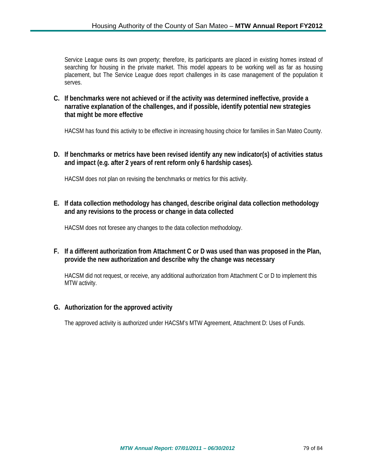Service League owns its own property; therefore, its participants are placed in existing homes instead of searching for housing in the private market. This model appears to be working well as far as housing placement, but The Service League does report challenges in its case management of the population it serves.

**C. If benchmarks were not achieved or if the activity was determined ineffective, provide a narrative explanation of the challenges, and if possible, identify potential new strategies that might be more effective**

HACSM has found this activity to be effective in increasing housing choice for families in San Mateo County.

**D. If benchmarks or metrics have been revised identify any new indicator(s) of activities status and impact (e.g. after 2 years of rent reform only 6 hardship cases).**

HACSM does not plan on revising the benchmarks or metrics for this activity.

**E. If data collection methodology has changed, describe original data collection methodology and any revisions to the process or change in data collected**

HACSM does not foresee any changes to the data collection methodology.

**F. If a different authorization from Attachment C or D was used than was proposed in the Plan, provide the new authorization and describe why the change was necessary**

HACSM did not request, or receive, any additional authorization from Attachment C or D to implement this MTW activity.

#### **G. Authorization for the approved activity**

The approved activity is authorized under HACSM's MTW Agreement, Attachment D: Uses of Funds.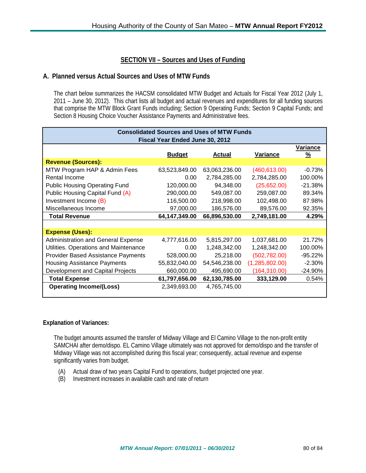### **SECTION VII – Sources and Uses of Funding**

#### **A. Planned versus Actual Sources and Uses of MTW Funds**

The chart below summarizes the HACSM consolidated MTW Budget and Actuals for Fiscal Year 2012 (July 1, 2011 – June 30, 2012). This chart lists all budget and actual revenues and expenditures for all funding sources that comprise the MTW Block Grant Funds including; Section 9 Operating Funds; Section 9 Capital Funds; and Section 8 Housing Choice Voucher Assistance Payments and Administrative fees.

| <b>Consolidated Sources and Uses of MTW Funds</b> |               |                |                      |  |  |
|---------------------------------------------------|---------------|----------------|----------------------|--|--|
| Fiscal Year Ended June 30, 2012                   |               |                |                      |  |  |
|                                                   | <b>Actual</b> |                | <u>Variance</u><br>% |  |  |
|                                                   |               |                |                      |  |  |
| 63,523,849.00                                     | 63,063,236.00 | (460, 613.00)  | $-0.73%$             |  |  |
| 0.00                                              | 2,784,285.00  | 2,784,285.00   | 100.00%              |  |  |
| 120,000.00                                        | 94,348.00     | (25,652.00)    | $-21.38%$            |  |  |
| 290,000.00                                        | 549,087.00    | 259,087.00     | 89.34%               |  |  |
| 116,500.00                                        | 218,998.00    | 102,498.00     | 87.98%               |  |  |
| 97,000.00                                         | 186,576.00    | 89,576.00      | 92.35%               |  |  |
| 64,147,349.00                                     | 66,896,530.00 | 2,749,181.00   | 4.29%                |  |  |
|                                                   |               |                |                      |  |  |
|                                                   |               |                |                      |  |  |
| 4,777,616.00                                      | 5,815,297.00  | 1,037,681.00   | 21.72%               |  |  |
| 0.00                                              | 1,248,342.00  | 1,248,342.00   | 100.00%              |  |  |
| 528,000.00                                        | 25,218.00     | (502, 782.00)  | $-95.22%$            |  |  |
| 55,832,040.00                                     | 54,546,238.00 | (1,285,802.00) | $-2.30%$             |  |  |
| 660,000.00                                        | 495,690.00    | (164, 310.00)  | $-24.90\%$           |  |  |
| 61,797,656.00                                     | 62,130,785.00 | 333,129.00     | 0.54%                |  |  |
| 2,349,693.00                                      | 4,765,745.00  |                |                      |  |  |
|                                                   | <b>Budget</b> |                | Variance             |  |  |

#### **Explanation of Variances:**

The budget amounts assumed the transfer of Midway Village and El Camino Village to the non-profit entity SAMCHAI after demo/dispo. EL Camino Village ultimately was not approved for demo/dispo and the transfer of Midway Village was not accomplished during this fiscal year; consequently, actual revenue and expense significantly varies from budget.

- (A) Actual draw of two years Capital Fund to operations, budget projected one year.
- (B) Investment increases in available cash and rate of return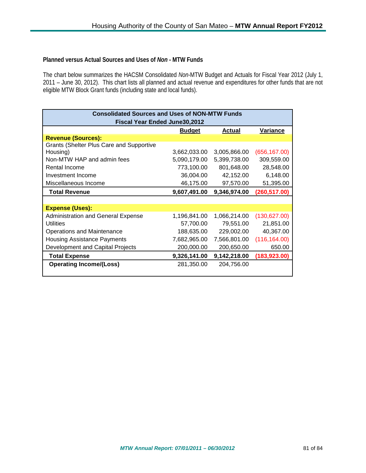#### **Planned versus Actual Sources and Uses of** *Non* **- MTW Funds**

The chart below summarizes the HACSM Consolidated *Non*-MTW Budget and Actuals for Fiscal Year 2012 (July 1, 2011 – June 30, 2012). This chart lists all planned and actual revenue and expenditures for other funds that are not eligible MTW Block Grant funds (including state and local funds).

| <b>Consolidated Sources and Uses of NON-MTW Funds</b><br><b>Fiscal Year Ended June30,2012</b> |              |              |               |  |  |
|-----------------------------------------------------------------------------------------------|--------------|--------------|---------------|--|--|
| <u>Budget</u><br><b>Actual</b><br>Variance                                                    |              |              |               |  |  |
| <b>Revenue (Sources):</b>                                                                     |              |              |               |  |  |
| <b>Grants (Shelter Plus Care and Supportive</b>                                               |              |              |               |  |  |
| Housing)                                                                                      | 3,662,033.00 | 3,005,866.00 | (656, 167.00) |  |  |
| Non-MTW HAP and admin fees<br>5,090,179.00<br>5,399,738.00                                    |              |              |               |  |  |
| Rental Income                                                                                 | 773,100.00   | 801,648.00   | 28,548.00     |  |  |
| Investment Income                                                                             | 36,004.00    | 42,152.00    | 6,148.00      |  |  |
| Miscellaneous Income                                                                          | 46,175.00    | 97,570.00    | 51,395.00     |  |  |
| <b>Total Revenue</b>                                                                          | 9,607,491.00 | 9,346,974.00 | (260, 517.00) |  |  |
|                                                                                               |              |              |               |  |  |
| <b>Expense (Uses):</b>                                                                        |              |              |               |  |  |
| <b>Administration and General Expense</b>                                                     | 1,196,841.00 | 1,066,214.00 | (130, 627.00) |  |  |
| Utilities                                                                                     | 57,700.00    | 79,551.00    | 21,851.00     |  |  |
| Operations and Maintenance                                                                    | 188,635.00   | 229,002.00   | 40,367.00     |  |  |
| Housing Assistance Payments                                                                   | 7,682,965.00 | 7,566,801.00 | (116, 164.00) |  |  |
| Development and Capital Projects                                                              | 200,000.00   | 200,650.00   | 650.00        |  |  |
| <b>Total Expense</b>                                                                          | 9,326,141.00 | 9,142,218.00 | (183, 923.00) |  |  |
| <b>Operating Income/(Loss)</b>                                                                | 281,350.00   | 204,756.00   |               |  |  |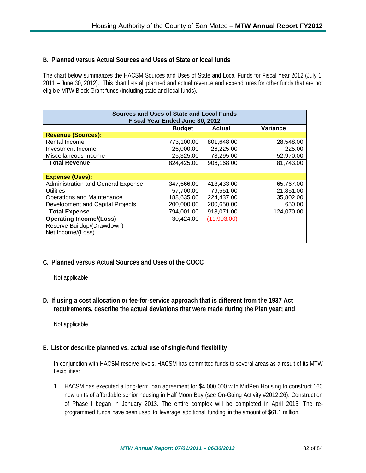#### **B. Planned versus Actual Sources and Uses of State or local funds**

The chart below summarizes the HACSM Sources and Uses of State and Local Funds for Fiscal Year 2012 (July 1, 2011 – June 30, 2012). This chart lists all planned and actual revenue and expenditures for other funds that are not eligible MTW Block Grant funds (including state and local funds).

| Sources and Uses of State and Local Funds |               |               |            |  |  |
|-------------------------------------------|---------------|---------------|------------|--|--|
| Fiscal Year Ended June 30, 2012           |               |               |            |  |  |
|                                           |               |               |            |  |  |
|                                           | <b>Budget</b> | <b>Actual</b> | Variance   |  |  |
| <b>Revenue (Sources):</b>                 |               |               |            |  |  |
| Rental Income                             | 773,100.00    | 801,648.00    | 28,548.00  |  |  |
| Investment Income                         | 26,000.00     | 26,225.00     | 225.00     |  |  |
| Miscellaneous Income                      | 25,325.00     | 78,295.00     | 52,970.00  |  |  |
| <b>Total Revenue</b>                      | 824,425.00    | 906,168.00    | 81,743.00  |  |  |
|                                           |               |               |            |  |  |
| <b>Expense (Uses):</b>                    |               |               |            |  |  |
| <b>Administration and General Expense</b> | 347,666.00    | 413,433.00    | 65,767.00  |  |  |
| Utilities                                 | 57,700.00     | 79,551.00     | 21,851.00  |  |  |
| <b>Operations and Maintenance</b>         | 188,635.00    | 224,437.00    | 35,802.00  |  |  |
| Development and Capital Projects          | 200,000.00    | 200,650.00    | 650.00     |  |  |
| <b>Total Expense</b>                      | 794,001.00    | 918,071.00    | 124,070.00 |  |  |
| <b>Operating Income/(Loss)</b>            | 30,424.00     | (11,903.00)   |            |  |  |
| Reserve Buildup/(Drawdown)                |               |               |            |  |  |
| Net Income/(Loss)                         |               |               |            |  |  |
|                                           |               |               |            |  |  |

# **C. Planned versus Actual Sources and Uses of the COCC**

Not applicable

**D. If using a cost allocation or fee-for-service approach that is different from the 1937 Act requirements, describe the actual deviations that were made during the Plan year; and**

Not applicable

# **E. List or describe planned vs. actual use of single-fund flexibility**

In conjunction with HACSM reserve levels, HACSM has committed funds to several areas as a result of its MTW flexibilities:

1. HACSM has executed a long-term loan agreement for \$4,000,000 with MidPen Housing to construct 160 new units of affordable senior housing in Half Moon Bay (see On-Going Activity #2012.26). Construction of Phase I began in January 2013. The entire complex will be completed in April 2015. The reprogrammed funds have been used to leverage additional funding in the amount of \$61.1 million.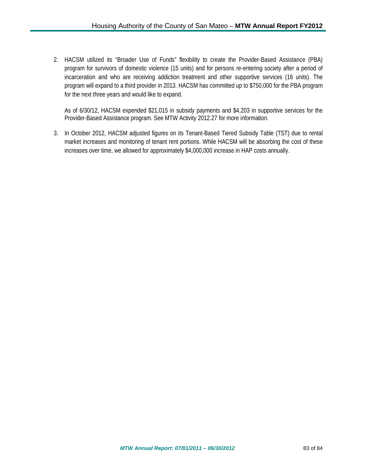2. HACSM utilized its "Broader Use of Funds" flexibility to create the Provider-Based Assistance (PBA) program for survivors of domestic violence (15 units) and for persons re-entering society after a period of incarceration and who are receiving addiction treatment and other supportive services (16 units). The program will expand to a third provider in 2013. HACSM has committed up to \$750,000 for the PBA program for the next three years and would like to expand.

As of 6/30/12, HACSM expended \$21,015 in subsidy payments and \$4,203 in supportive services for the Provider-Based Assistance program. See MTW Activity 2012.27 for more information.

3. In October 2012, HACSM adjusted figures on its Tenant-Based Tiered Subsidy Table (TST) due to rental market increases and monitoring of tenant rent portions. While HACSM will be absorbing the cost of these increases over time, we allowed for approximately \$4,000,000 increase in HAP costs annually.